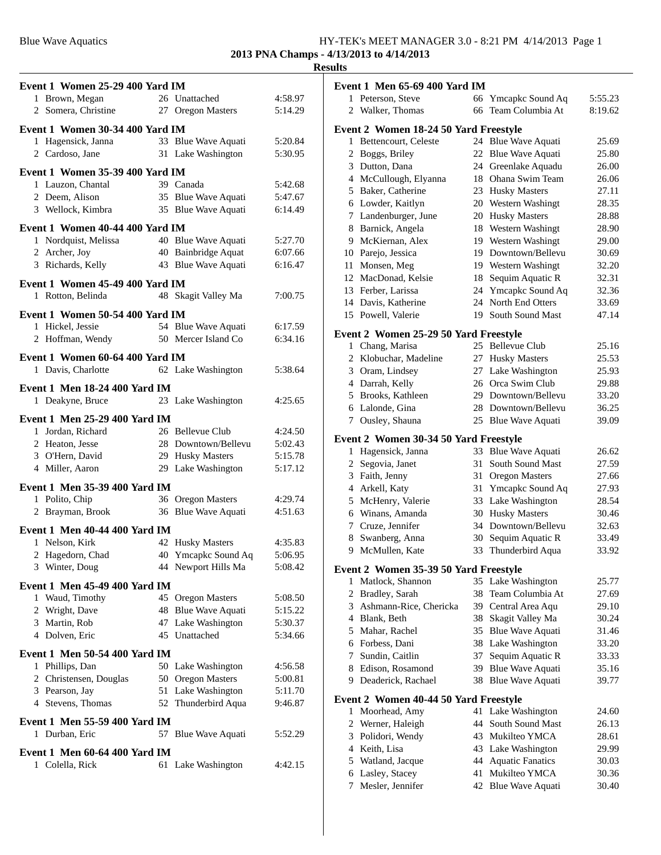**2013 PNA Champs - 4/13/2013 to 4/14/2013**

| Event 1 Women 25-29 400 Yard IM          |                                            |                    |
|------------------------------------------|--------------------------------------------|--------------------|
| 1 Brown, Megan                           | 26 Unattached                              | 4:58.97            |
| 2 Somera, Christine                      | 27 Oregon Masters                          | 5:14.29            |
| Event 1 Women 30-34 400 Yard IM          |                                            |                    |
| 1 Hagensick, Janna                       | 33 Blue Wave Aquati                        | 5:20.84            |
| 2 Cardoso, Jane                          | 31 Lake Washington                         | 5:30.95            |
| Event 1 Women 35-39 400 Yard IM          |                                            |                    |
| 1 Lauzon, Chantal                        | 39 Canada                                  | 5:42.68            |
| 2 Deem, Alison                           | 35 Blue Wave Aquati                        | 5:47.67            |
| 3 Wellock, Kimbra                        | 35 Blue Wave Aquati                        | 6:14.49            |
|                                          |                                            |                    |
| Event 1 Women 40-44 400 Yard IM          |                                            |                    |
| 1 Nordquist, Melissa                     | 40 Blue Wave Aquati                        | 5:27.70            |
| 2 Archer, Joy<br>3 Richards, Kelly       | 40 Bainbridge Aquat<br>43 Blue Wave Aquati | 6:07.66<br>6:16.47 |
|                                          |                                            |                    |
| Event 1 Women 45-49 400 Yard IM          |                                            |                    |
| 1 Rotton, Belinda                        | 48 Skagit Valley Ma                        | 7:00.75            |
| Event 1 Women 50-54 400 Yard IM          |                                            |                    |
| 1 Hickel, Jessie                         | 54 Blue Wave Aquati                        | 6:17.59            |
| 2 Hoffman, Wendy                         | 50 Mercer Island Co                        | 6:34.16            |
| Event 1 Women 60-64 400 Yard IM          |                                            |                    |
| 1 Davis, Charlotte                       | 62 Lake Washington                         | 5:38.64            |
|                                          |                                            |                    |
| Event 1 Men 18-24 400 Yard IM            |                                            |                    |
| 1 Deakyne, Bruce                         | 23 Lake Washington                         | 4:25.65            |
| <b>Event 1 Men 25-29 400 Yard IM</b>     |                                            |                    |
| 1 Jordan, Richard                        | 26 Bellevue Club                           | 4:24.50            |
| 2 Heaton, Jesse                          | 28 Downtown/Bellevu                        | 5:02.43            |
| 3 O'Hern, David                          | 29 Husky Masters                           | 5:15.78            |
| 4 Miller, Aaron                          | 29 Lake Washington                         | 5:17.12            |
| Event 1 Men 35-39 400 Yard IM            |                                            |                    |
| 1 Polito, Chip                           | 36 Oregon Masters                          | 4:29.74            |
| 2 Brayman, Brook                         | 36 Blue Wave Aquati                        | 4:51.63            |
| Event 1 Men 40-44 400 Yard IM            |                                            |                    |
| 1 Nelson, Kirk                           | 42 Husky Masters                           | 4:35.83            |
| Hagedorn, Chad<br>2                      | 40 Ymcapkc Sound Aq                        | 5:06.95            |
| 3 Winter, Doug                           | 44 Newport Hills Ma                        | 5:08.42            |
|                                          |                                            |                    |
| Event 1 Men 45-49 400 Yard IM            | 45 Oregon Masters                          |                    |
| 1 Waud, Timothy<br>2 Wright, Dave        | 48 Blue Wave Aquati                        | 5:08.50<br>5:15.22 |
| 3 Martin, Rob                            | 47 Lake Washington                         | 5:30.37            |
| 4 Dolven, Eric                           | 45 Unattached                              | 5:34.66            |
|                                          |                                            |                    |
| Event 1 Men 50-54 400 Yard IM            |                                            |                    |
| Phillips, Dan<br>1                       | 50 Lake Washington                         | 4:56.58            |
| 2 Christensen, Douglas<br>3 Pearson, Jay | 50 Oregon Masters<br>51 Lake Washington    | 5:00.81<br>5:11.70 |
| 4 Stevens, Thomas                        | 52 Thunderbird Aqua                        | 9:46.87            |
|                                          |                                            |                    |
| Event 1 Men 55-59 400 Yard IM            |                                            |                    |
| 1 Durban, Eric                           | 57 Blue Wave Aquati                        | 5:52.29            |
| <b>Event 1 Men 60-64 400 Yard IM</b>     |                                            |                    |
| 1 Colella, Rick                          | 61 Lake Washington                         | 4:42.15            |
|                                          |                                            |                    |

|                | <b>Event 1 Men 65-69 400 Yard IM</b>                      |     |                         |         |
|----------------|-----------------------------------------------------------|-----|-------------------------|---------|
|                | 1 Peterson, Steve                                         |     | 66 Ymcapkc Sound Aq     | 5:55.23 |
|                | 2 Walker, Thomas                                          | 66  | Team Columbia At        | 8:19.62 |
|                | Event 2 Women 18-24 50 Yard Freestyle                     |     |                         |         |
| 1              | Bettencourt, Celeste                                      |     | 24 Blue Wave Aquati     | 25.69   |
|                | 2 Boggs, Briley                                           |     | 22 Blue Wave Aquati     | 25.80   |
|                | 3 Dutton, Dana                                            |     | 24 Greenlake Aquadu     | 26.00   |
|                | 4 McCullough, Elyanna                                     |     | 18 Ohana Swim Team      | 26.06   |
|                | 5 Baker, Catherine                                        |     | 23 Husky Masters        | 27.11   |
|                | 6 Lowder, Kaitlyn                                         |     | 20 Western Washingt     | 28.35   |
|                | 7 Landenburger, June                                      | 20  | <b>Husky Masters</b>    | 28.88   |
|                | 8 Barnick, Angela                                         | 18  | Western Washingt        | 28.90   |
|                | 9 McKiernan, Alex                                         | 19  | Western Washingt        | 29.00   |
|                | 10 Parejo, Jessica                                        | 19  | Downtown/Bellevu        | 30.69   |
|                | 11 Monsen, Meg                                            | 19  | Western Washingt        | 32.20   |
|                | 12 MacDonad, Kelsie                                       | 18  | Sequim Aquatic R        | 32.31   |
|                | 13 Ferber, Larissa                                        | 24  | Ymcapkc Sound Aq        | 32.36   |
|                | 14 Davis, Katherine                                       | 24  | <b>North End Otters</b> | 33.69   |
|                | 15 Powell, Valerie                                        | 19  | South Sound Mast        | 47.14   |
|                | Event 2 Women 25-29 50 Yard Freestyle                     |     |                         |         |
|                | 1 Chang, Marisa                                           |     | 25 Bellevue Club        | 25.16   |
|                | 2 Klobuchar, Madeline                                     |     | 27 Husky Masters        | 25.53   |
|                | 3 Oram, Lindsey                                           |     | 27 Lake Washington      | 25.93   |
|                | 4 Darrah, Kelly                                           |     | 26 Orca Swim Club       | 29.88   |
|                | 5 Brooks, Kathleen                                        | 29. | Downtown/Bellevu        | 33.20   |
|                | 6 Lalonde, Gina                                           | 28  | Downtown/Bellevu        | 36.25   |
|                | 7 Ousley, Shauna                                          | 25  | Blue Wave Aquati        | 39.09   |
|                | Event 2 Women 30-34 50 Yard Freestyle                     |     |                         |         |
| 1              | Hagensick, Janna                                          | 33  | Blue Wave Aquati        | 26.62   |
|                | 2 Segovia, Janet                                          | 31  | <b>South Sound Mast</b> | 27.59   |
|                | 3 Faith, Jenny                                            | 31  | <b>Oregon Masters</b>   | 27.66   |
|                | 4 Arkell, Katy                                            | 31  | Ymcapkc Sound Aq        | 27.93   |
|                | 5 McHenry, Valerie                                        |     | 33 Lake Washington      | 28.54   |
|                | 6 Winans, Amanda                                          | 30  | <b>Husky Masters</b>    | 30.46   |
|                | 7 Cruze, Jennifer                                         | 34  | Downtown/Bellevu        | 32.63   |
|                | 8 Swanberg, Anna                                          | 30  | Sequim Aquatic R        | 33.49   |
| 9              | McMullen, Kate                                            | 33  | Thunderbird Aqua        | 33.92   |
|                |                                                           |     |                         |         |
| 1              | Event 2 Women 35-39 50 Yard Freestyle<br>Matlock, Shannon |     | 35 Lake Washington      | 25.77   |
| $\overline{c}$ | Bradley, Sarah                                            | 38  | Team Columbia At        | 27.69   |
| 3              | Ashmann-Rice, Chericka                                    |     | 39 Central Area Aqu     | 29.10   |
|                | 4 Blank, Beth                                             | 38  | Skagit Valley Ma        | 30.24   |
|                | 5 Mahar, Rachel                                           |     | 35 Blue Wave Aquati     | 31.46   |
|                | 6 Forbess, Dani                                           |     | 38 Lake Washington      | 33.20   |
|                | 7 Sundin, Caitlin                                         | 37  | Sequim Aquatic R        | 33.33   |
| 8              | Edison, Rosamond                                          | 39  | <b>Blue Wave Aquati</b> | 35.16   |
| 9              | Deaderick, Rachael                                        | 38  | <b>Blue Wave Aquati</b> | 39.77   |
|                |                                                           |     |                         |         |
|                | Event 2 Women 40-44 50 Yard Freestyle                     |     |                         |         |
| 1              | Moorhead, Amy                                             | 41  | Lake Washington         | 24.60   |
| $\mathbf{2}$   | Werner, Haleigh                                           | 44  | South Sound Mast        | 26.13   |
| 3              | Polidori, Wendy                                           | 43  | Mukilteo YMCA           | 28.61   |
|                | 4 Keith, Lisa                                             |     | 43 Lake Washington      | 29.99   |
|                | 5 Watland, Jacque                                         | 44  | <b>Aquatic Fanatics</b> | 30.03   |
| 6              | Lasley, Stacey                                            | 41  | Mukilteo YMCA           | 30.36   |
| 7              | Mesler, Jennifer                                          | 42  | Blue Wave Aquati        | 30.40   |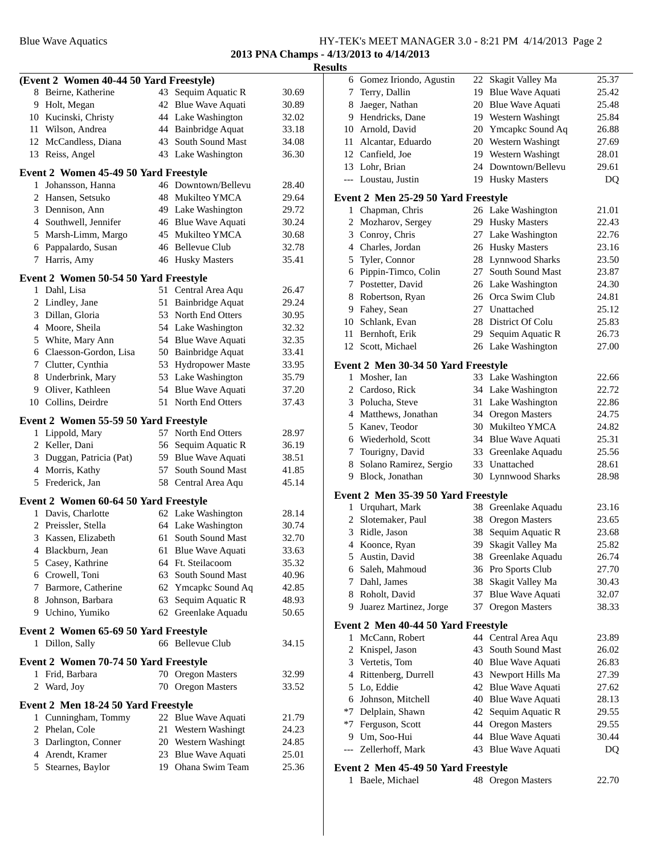# Blue Wave Aquatics **HY-TEK's MEET MANAGER 3.0 - 8:21 PM 4/14/2013** Page 2

**2013 PNA Champs - 4/13/2013 to 4/14/2013**

#### **Results**

|   | (Event 2 Women 40-44 50 Yard Freestyle) |    |                         |       |
|---|-----------------------------------------|----|-------------------------|-------|
| 8 | Beirne, Katherine                       |    | 43 Sequim Aquatic R     | 30.69 |
|   | 9 Holt, Megan                           |    | 42 Blue Wave Aquati     | 30.89 |
|   | 10 Kucinski, Christy                    |    | 44 Lake Washington      | 32.02 |
|   | 11 Wilson, Andrea                       |    | 44 Bainbridge Aquat     | 33.18 |
|   | 12 McCandless, Diana                    |    | 43 South Sound Mast     | 34.08 |
|   | 13 Reiss, Angel                         |    | 43 Lake Washington      | 36.30 |
|   | Event 2 Women 45-49 50 Yard Freestyle   |    |                         |       |
|   | 1 Johansson, Hanna                      |    | 46 Downtown/Bellevu     | 28.40 |
|   | 2 Hansen, Setsuko                       |    | 48 Mukilteo YMCA        | 29.64 |
|   | 3 Dennison, Ann                         |    | 49 Lake Washington      | 29.72 |
|   | 4 Southwell, Jennifer                   |    | 46 Blue Wave Aquati     | 30.24 |
|   | 5 Marsh-Limm, Margo                     |    | 45 Mukilteo YMCA        | 30.68 |
|   | 6 Pappalardo, Susan                     |    | 46 Bellevue Club        | 32.78 |
|   | 7 Harris, Amy                           |    | 46 Husky Masters        | 35.41 |
|   | Event 2 Women 50-54 50 Yard Freestyle   |    |                         |       |
|   | 1 Dahl, Lisa                            |    | 51 Central Area Aqu     | 26.47 |
|   | 2 Lindley, Jane                         | 51 | Bainbridge Aquat        | 29.24 |
|   | 3 Dillan, Gloria                        |    | 53 North End Otters     | 30.95 |
|   | 4 Moore, Sheila                         |    | 54 Lake Washington      | 32.32 |
|   | 5 White, Mary Ann                       |    | 54 Blue Wave Aquati     | 32.35 |
|   | 6 Claesson-Gordon, Lisa                 |    | 50 Bainbridge Aquat     | 33.41 |
|   | 7 Clutter, Cynthia                      |    | 53 Hydropower Maste     | 33.95 |
|   | 8 Underbrink, Mary                      |    | 53 Lake Washington      | 35.79 |
|   | 9 Oliver, Kathleen                      | 54 | <b>Blue Wave Aquati</b> | 37.20 |
|   | 10 Collins, Deirdre                     | 51 | North End Otters        | 37.43 |
|   | Event 2 Women 55-59 50 Yard Freestyle   |    |                         |       |
|   | 1 Lippold, Mary                         |    | 57 North End Otters     | 28.97 |
|   | 2 Keller, Dani                          |    | 56 Sequim Aquatic R     | 36.19 |
|   | 3 Duggan, Patricia (Pat)                | 59 | Blue Wave Aquati        | 38.51 |
|   | 4 Morris, Kathy                         | 57 | <b>South Sound Mast</b> | 41.85 |
|   | 5 Frederick, Jan                        | 58 | Central Area Aqu        | 45.14 |
|   | Event 2 Women 60-64 50 Yard Freestyle   |    |                         |       |
|   | 1 Davis, Charlotte                      |    | 62 Lake Washington      | 28.14 |
|   | 2 Preissler, Stella                     |    | 64 Lake Washington      | 30.74 |
|   | 3 Kassen, Elizabeth                     |    | 61 South Sound Mast     | 32.70 |
|   | 4 Blackburn, Jean                       | 61 | <b>Blue Wave Aquati</b> | 33.63 |
|   | 5 Casey, Kathrine                       |    | 64 Ft. Steilacoom       | 35.32 |
|   | 6 Crowell, Toni                         |    | 63 South Sound Mast     | 40.96 |
|   | 7 Barmore, Catherine                    |    | 62 Ymcapkc Sound Aq     | 42.85 |
|   | 8 Johnson, Barbara                      | 63 | Sequim Aquatic R        | 48.93 |
|   | 9 Uchino, Yumiko                        | 62 | Greenlake Aquadu        | 50.65 |
|   | Event 2 Women 65-69 50 Yard Freestyle   |    |                         |       |
|   | 1 Dillon, Sally                         |    | 66 Bellevue Club        | 34.15 |
|   | Event 2 Women 70-74 50 Yard Freestyle   |    |                         |       |
| 1 | Frid, Barbara                           |    | 70 Oregon Masters       | 32.99 |
| 2 | Ward, Joy                               |    | 70 Oregon Masters       | 33.52 |
|   | Event 2 Men 18-24 50 Yard Freestyle     |    |                         |       |
|   | 1 Cunningham, Tommy                     |    | 22 Blue Wave Aquati     | 21.79 |
|   | 2 Phelan, Cole                          |    | 21 Western Washingt     | 24.23 |
|   | 3 Darlington, Conner                    |    | 20 Western Washingt     | 24.85 |
|   | 4 Arendt, Kramer                        |    | 23 Blue Wave Aquati     | 25.01 |
|   | 5 Stearnes, Baylor                      |    | 19 Ohana Swim Team      | 25.36 |

| 6            | Gomez Iriondo, Agustin              | 22 | Skagit Valley Ma        | 25.37 |
|--------------|-------------------------------------|----|-------------------------|-------|
| 7            | Terry, Dallin                       | 19 | Blue Wave Aquati        | 25.42 |
| 8            | Jaeger, Nathan                      | 20 | <b>Blue Wave Aquati</b> | 25.48 |
|              | 9 Hendricks, Dane                   |    | 19 Western Washingt     | 25.84 |
|              | 10 Arnold, David                    | 20 | Ymcapkc Sound Aq        | 26.88 |
|              | 11 Alcantar, Eduardo                | 20 | Western Washingt        | 27.69 |
|              | 12 Canfield, Joe                    | 19 | Western Washingt        | 28.01 |
|              | 13 Lohr, Brian                      | 24 | Downtown/Bellevu        | 29.61 |
|              | --- Loustau, Justin                 |    | 19 Husky Masters        | DQ    |
|              |                                     |    |                         |       |
|              | Event 2 Men 25-29 50 Yard Freestyle |    |                         |       |
| 1            | Chapman, Chris                      |    | 26 Lake Washington      | 21.01 |
| 2            | Mozharov, Sergey                    | 29 | <b>Husky Masters</b>    | 22.43 |
|              | 3 Conroy, Chris                     | 27 | Lake Washington         | 22.76 |
|              | 4 Charles, Jordan                   | 26 | <b>Husky Masters</b>    | 23.16 |
|              | 5 Tyler, Connor                     | 28 | <b>Lynnwood Sharks</b>  | 23.50 |
|              | 6 Pippin-Timco, Colin               | 27 | South Sound Mast        | 23.87 |
|              | 7 Postetter, David                  |    | 26 Lake Washington      | 24.30 |
|              | 8 Robertson, Ryan                   |    | 26 Orca Swim Club       | 24.81 |
|              | 9 Fahey, Sean                       |    | 27 Unattached           | 25.12 |
|              | 10 Schlank, Evan                    | 28 | District Of Colu        | 25.83 |
|              | 11 Bernhoft, Erik                   | 29 | Sequim Aquatic R        | 26.73 |
| 12           | Scott, Michael                      |    | 26 Lake Washington      | 27.00 |
|              | Event 2 Men 30-34 50 Yard Freestyle |    |                         |       |
| $\mathbf{1}$ | Mosher, Ian                         |    | 33 Lake Washington      | 22.66 |
|              | 2 Cardoso, Rick                     |    | 34 Lake Washington      | 22.72 |
|              | 3 Polucha, Steve                    | 31 | Lake Washington         | 22.86 |
|              | 4 Matthews, Jonathan                |    | 34 Oregon Masters       | 24.75 |
|              | 5 Kanev, Teodor                     |    | 30 Mukilteo YMCA        | 24.82 |
|              | 6 Wiederhold, Scott                 |    | 34 Blue Wave Aquati     | 25.31 |
|              | 7 Tourigny, David                   | 33 | Greenlake Aquadu        | 25.56 |
| 8            | Solano Ramirez, Sergio              | 33 | Unattached              | 28.61 |
|              | 9 Block, Jonathan                   | 30 | Lynnwood Sharks         | 28.98 |
|              |                                     |    |                         |       |
|              | Event 2 Men 35-39 50 Yard Freestyle |    |                         |       |
| 1            | Urquhart, Mark                      |    | 38 Greenlake Aquadu     | 23.16 |
|              | 2 Slotemaker, Paul                  | 38 | <b>Oregon Masters</b>   | 23.65 |
|              | 3 Ridle, Jason                      | 38 | Sequim Aquatic R        | 23.68 |
|              | 4 Koonce, Ryan                      |    | 39 Skagit Valley Ma     | 25.82 |
|              | 5 Austin, David                     |    | 38 Greenlake Aquadu     | 26.74 |
|              | 6 Saleh, Mahmoud                    |    | 36 Pro Sports Club      | 27.70 |
|              | 7 Dahl, James                       | 38 | Skagit Valley Ma        | 30.43 |
| 8            | Roholt, David                       | 37 | Blue Wave Aquati        | 32.07 |
| 9            | Juarez Martinez, Jorge              | 37 | <b>Oregon Masters</b>   | 38.33 |
|              | Event 2 Men 40-44 50 Yard Freestyle |    |                         |       |
| 1            | McCann, Robert                      |    | 44 Central Area Aqu     | 23.89 |
| 2            | Knispel, Jason                      | 43 | South Sound Mast        | 26.02 |
| 3            | Vertetis, Tom                       |    | 40 Blue Wave Aquati     | 26.83 |
|              | 4 Rittenberg, Durrell               | 43 | Newport Hills Ma        | 27.39 |
|              | 5 Lo, Eddie                         |    | 42 Blue Wave Aquati     | 27.62 |
| 6            | Johnson, Mitchell                   |    | 40 Blue Wave Aquati     | 28.13 |
|              | *7 Delplain, Shawn                  |    | 42 Sequim Aquatic R     | 29.55 |
|              | *7 Ferguson, Scott                  |    | 44 Oregon Masters       | 29.55 |
|              | 9 Um, Soo-Hui                       |    | 44 Blue Wave Aquati     | 30.44 |
| ---          | Zellerhoff, Mark                    | 43 | Blue Wave Aquati        | DQ    |
|              | Event 2 Men 45-49 50 Yard Freestyle |    |                         |       |
|              |                                     |    |                         |       |

1 Baele, Michael 48 Oregon Masters 22.70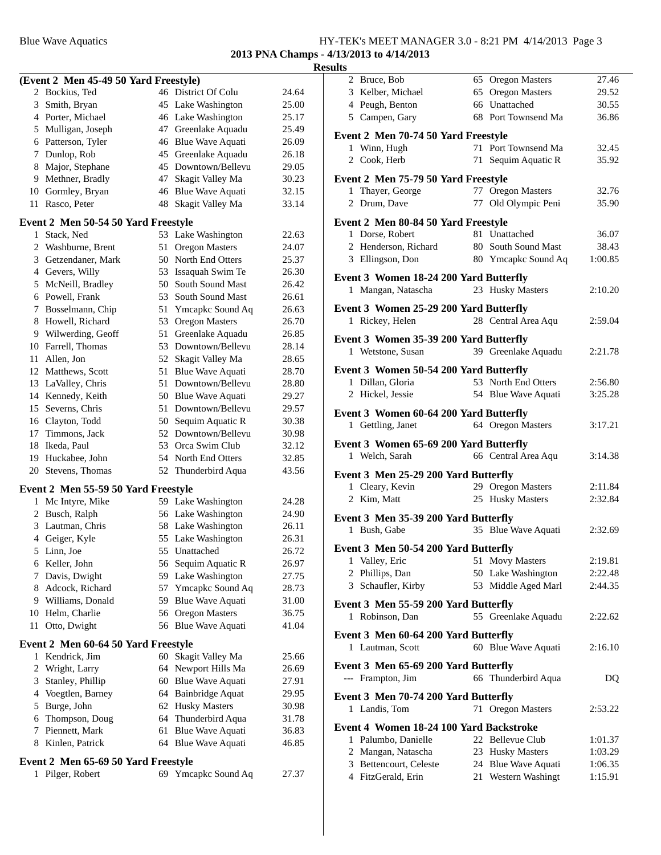## Blue Wave Aquatics **HY-TEK's MEET MANAGER 3.0 - 8:21 PM 4/14/2013** Page 3 **2013 PNA Champs - 4/13/2013 to 4/14/2013**

|    | (Event 2 Men 45-49 50 Yard Freestyle) |    |                       |       |
|----|---------------------------------------|----|-----------------------|-------|
| 2  | Bockius, Ted                          |    | 46 District Of Colu   | 24.64 |
| 3  | Smith, Bryan                          |    | 45 Lake Washington    | 25.00 |
|    | 4 Porter, Michael                     |    | 46 Lake Washington    | 25.17 |
|    | 5 Mulligan, Joseph                    |    | 47 Greenlake Aquadu   | 25.49 |
|    | 6 Patterson, Tyler                    |    | 46 Blue Wave Aquati   | 26.09 |
|    | 7 Dunlop, Rob                         | 45 | Greenlake Aquadu      | 26.18 |
| 8  | Major, Stephane                       |    | 45 Downtown/Bellevu   | 29.05 |
| 9  | Methner, Bradly                       | 47 | Skagit Valley Ma      | 30.23 |
|    | 10 Gormley, Bryan                     |    | 46 Blue Wave Aquati   | 32.15 |
| 11 | Rasco, Peter                          | 48 | Skagit Valley Ma      | 33.14 |
|    | Event 2 Men 50-54 50 Yard Freestyle   |    |                       |       |
|    | 1 Stack, Ned                          |    | 53 Lake Washington    | 22.63 |
|    | 2 Washburne, Brent                    | 51 | <b>Oregon Masters</b> | 24.07 |
|    | 3 Getzendaner, Mark                   |    | 50 North End Otters   | 25.37 |
|    | 4 Gevers, Willy                       |    | 53 Issaquah Swim Te   | 26.30 |
| 5  | McNeill, Bradley                      |    | 50 South Sound Mast   | 26.42 |
|    | 6 Powell, Frank                       | 53 | South Sound Mast      | 26.61 |
| 7  | Bosselmann, Chip                      | 51 | Ymcapkc Sound Aq      | 26.63 |
| 8  | Howell, Richard                       | 53 | <b>Oregon Masters</b> | 26.70 |
|    | 9 Wilwerding, Geoff                   | 51 | Greenlake Aquadu      | 26.85 |
|    | 10 Farrell, Thomas                    | 53 | Downtown/Bellevu      | 28.14 |
| 11 | Allen, Jon                            |    | 52 Skagit Valley Ma   | 28.65 |
|    | 12 Matthews, Scott                    | 51 | Blue Wave Aquati      | 28.70 |
|    | 13 LaValley, Chris                    |    | 51 Downtown/Bellevu   | 28.80 |
|    | 14 Kennedy, Keith                     |    | 50 Blue Wave Aquati   | 29.27 |
|    | 15 Severns, Chris                     |    | 51 Downtown/Bellevu   | 29.57 |
|    | 16 Clayton, Todd                      |    | 50 Sequim Aquatic R   | 30.38 |
|    | 17 Timmons, Jack                      |    | 52 Downtown/Bellevu   | 30.98 |
|    | 18 Ikeda, Paul                        | 53 | Orca Swim Club        | 32.12 |
|    | 19 Huckabee, John                     | 54 | North End Otters      | 32.85 |
| 20 | Stevens, Thomas                       | 52 | Thunderbird Aqua      | 43.56 |
|    | Event 2 Men 55-59 50 Yard Freestyle   |    |                       |       |
|    | 1 Mc Intyre, Mike                     |    | 59 Lake Washington    | 24.28 |
|    | 2 Busch, Ralph                        |    | 56 Lake Washington    | 24.90 |
|    | 3 Lautman, Chris                      |    | 58 Lake Washington    | 26.11 |
|    | 4 Geiger, Kyle                        |    | 55 Lake Washington    | 26.31 |
|    | 5 Linn, Joe                           |    | 55 Unattached         | 26.72 |
|    | 6 Keller, John                        |    | 56 Sequim Aquatic R   | 26.97 |
| 7  | Davis, Dwight                         |    | 59 Lake Washington    | 27.75 |
|    | 8 Adcock, Richard                     |    | 57 Ymcapkc Sound Aq   | 28.73 |
|    | 9 Williams, Donald                    | 59 | Blue Wave Aquati      | 31.00 |
| 10 | Helm, Charlie                         | 56 | <b>Oregon Masters</b> | 36.75 |
| 11 | Otto, Dwight                          |    | 56 Blue Wave Aquati   | 41.04 |
|    | Event 2 Men 60-64 50 Yard Freestyle   |    |                       |       |
| 1  | Kendrick, Jim                         |    | 60 Skagit Valley Ma   | 25.66 |
|    | 2 Wright, Larry                       |    | 64 Newport Hills Ma   | 26.69 |
| 3  | Stanley, Phillip                      |    | 60 Blue Wave Aquati   | 27.91 |
|    | 4 Voegtlen, Barney                    |    | 64 Bainbridge Aquat   | 29.95 |
| 5  | Burge, John                           |    | 62 Husky Masters      | 30.98 |
| 6  | Thompson, Doug                        |    | 64 Thunderbird Aqua   | 31.78 |
| 7. | Piennett, Mark                        | 61 | Blue Wave Aquati      | 36.83 |
| 8  | Kinlen, Patrick                       | 64 | Blue Wave Aquati      | 46.85 |
|    | Event 2 Men 65-69 50 Yard Freestyle   |    |                       |       |
| 1  | Pilger, Robert                        | 69 | Ymcapkc Sound Aq      | 27.37 |
|    |                                       |    |                       |       |

| 2 Bruce, Bob                                              |    | 65 Oregon Masters    | 27.46   |
|-----------------------------------------------------------|----|----------------------|---------|
| 3 Kelber, Michael                                         |    | 65 Oregon Masters    | 29.52   |
| 4 Peugh, Benton                                           |    | 66 Unattached        | 30.55   |
| 5 Campen, Gary                                            |    | 68 Port Townsend Ma  | 36.86   |
|                                                           |    |                      |         |
| Event 2 Men 70-74 50 Yard Freestyle                       |    |                      |         |
| 1 Winn, Hugh                                              |    | 71 Port Townsend Ma  | 32.45   |
| 2 Cook, Herb                                              |    | 71 Sequim Aquatic R  | 35.92   |
| Event 2 Men 75-79 50 Yard Freestyle                       |    |                      |         |
| 1 Thayer, George                                          |    | 77 Oregon Masters    | 32.76   |
| 2 Drum, Dave                                              |    | 77 Old Olympic Peni  | 35.90   |
|                                                           |    |                      |         |
| Event 2 Men 80-84 50 Yard Freestyle                       |    |                      |         |
| 1 Dorse, Robert                                           |    | 81 Unattached        | 36.07   |
| 2 Henderson, Richard                                      |    | 80 South Sound Mast  | 38.43   |
| 3 Ellingson, Don                                          |    | 80 Ymcapkc Sound Aq  | 1:00.85 |
| Event 3 Women 18-24 200 Yard Butterfly                    |    |                      |         |
| 1 Mangan, Natascha                                        |    | 23 Husky Masters     | 2:10.20 |
|                                                           |    |                      |         |
| Event 3 Women 25-29 200 Yard Butterfly<br>1 Rickey, Helen |    | 28 Central Area Aqu  | 2:59.04 |
|                                                           |    |                      |         |
| Event 3 Women 35-39 200 Yard Butterfly                    |    |                      |         |
| 1 Wetstone, Susan                                         |    | 39 Greenlake Aquadu  | 2:21.78 |
| Event 3 Women 50-54 200 Yard Butterfly                    |    |                      |         |
| 1 Dillan, Gloria                                          |    | 53 North End Otters  | 2:56.80 |
| 2 Hickel, Jessie                                          |    | 54 Blue Wave Aquati  | 3:25.28 |
|                                                           |    |                      |         |
| Event 3 Women 60-64 200 Yard Butterfly                    |    |                      |         |
| 1 Gettling, Janet                                         |    | 64 Oregon Masters    | 3:17.21 |
|                                                           |    |                      |         |
|                                                           |    |                      |         |
| Event 3 Women 65-69 200 Yard Butterfly                    |    |                      |         |
| 1 Welch, Sarah                                            |    | 66 Central Area Aqu  | 3:14.38 |
| Event 3 Men 25-29 200 Yard Butterfly                      |    |                      |         |
| 1 Cleary, Kevin                                           |    | 29 Oregon Masters    | 2:11.84 |
| 2 Kim, Matt                                               | 25 | <b>Husky Masters</b> | 2:32.84 |
|                                                           |    |                      |         |
| Event 3 Men 35-39 200 Yard Butterfly                      |    |                      | 2:32.69 |
| 1 Bush, Gabe                                              |    | 35 Blue Wave Aquati  |         |
| Event 3 Men 50-54 200 Yard Butterfly                      |    |                      |         |
| $\mathbf{1}$<br>Valley, Eric                              |    | 51 Movy Masters      | 2:19.81 |
| 2 Phillips, Dan                                           |    | 50 Lake Washington   | 2:22.48 |
| 3 Schaufler, Kirby                                        | 53 | Middle Aged Marl     | 2:44.35 |
|                                                           |    |                      |         |
| Event 3 Men 55-59 200 Yard Butterfly                      |    |                      | 2:22.62 |
| 1 Robinson, Dan                                           |    | 55 Greenlake Aquadu  |         |
| Event 3 Men 60-64 200 Yard Butterfly                      |    |                      |         |
| 1 Lautman, Scott                                          |    | 60 Blue Wave Aquati  | 2:16.10 |
| Event 3 Men 65-69 200 Yard Butterfly                      |    |                      |         |
| --- Frampton, Jim                                         |    | 66 Thunderbird Aqua  | DQ      |
|                                                           |    |                      |         |
| Event 3 Men 70-74 200 Yard Butterfly                      |    |                      |         |
| 1 Landis, Tom                                             |    | 71 Oregon Masters    | 2:53.22 |
| Event 4 Women 18-24 100 Yard Backstroke                   |    |                      |         |
| 1 Palumbo, Danielle                                       |    | 22 Bellevue Club     | 1:01.37 |
| 2 Mangan, Natascha                                        |    | 23 Husky Masters     | 1:03.29 |
| 3 Bettencourt, Celeste                                    |    | 24 Blue Wave Aquati  | 1:06.35 |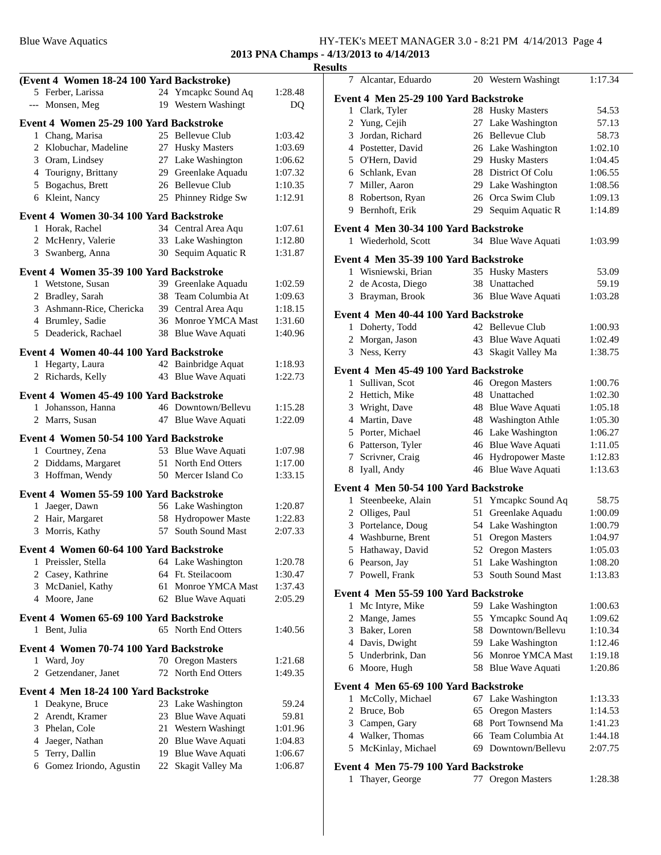#### Blue Wave Aquatics **HY-TEK's MEET MANAGER 3.0 - 8:21 PM 4/14/2013** Page 4 **2013 PNA Champs - 4/13/2013 to 4/14/2013**

|   | (Event 4 Women 18-24 100 Yard Backstroke)    |    |                                            |                    |
|---|----------------------------------------------|----|--------------------------------------------|--------------------|
|   | 5 Ferber, Larissa                            |    | 24 Ymcapkc Sound Aq                        | 1:28.48            |
|   | --- Monsen, Meg                              |    | 19 Western Washingt                        | DQ                 |
|   | Event 4 Women 25-29 100 Yard Backstroke      |    |                                            |                    |
|   | 1 Chang, Marisa                              |    | 25 Bellevue Club                           | 1:03.42            |
|   | 2 Klobuchar, Madeline                        |    | 27 Husky Masters                           | 1:03.69            |
|   | 3 Oram, Lindsey                              |    | 27 Lake Washington                         | 1:06.62            |
|   | 4 Tourigny, Brittany                         |    | 29 Greenlake Aquadu                        | 1:07.32            |
|   | 5 Bogachus, Brett                            |    | 26 Bellevue Club                           | 1:10.35            |
|   | 6 Kleint, Nancy                              |    | 25 Phinney Ridge Sw                        | 1:12.91            |
|   | Event 4 Women 30-34 100 Yard Backstroke      |    |                                            |                    |
|   | 1 Horak, Rachel                              |    | 34 Central Area Aqu                        | 1:07.61            |
|   | 2 McHenry, Valerie                           |    | 33 Lake Washington                         | 1:12.80            |
|   | 3 Swanberg, Anna                             |    | 30 Sequim Aquatic R                        | 1:31.87            |
|   |                                              |    |                                            |                    |
|   | Event 4 Women 35-39 100 Yard Backstroke      |    |                                            |                    |
|   | 1 Wetstone, Susan                            |    | 39 Greenlake Aquadu<br>38 Team Columbia At | 1:02.59            |
|   | 2 Bradley, Sarah                             |    |                                            | 1:09.63<br>1:18.15 |
|   | 3 Ashmann-Rice, Chericka<br>4 Brumley, Sadie |    | 39 Central Area Aqu<br>36 Monroe YMCA Mast | 1:31.60            |
|   | 5 Deaderick, Rachael                         |    | 38 Blue Wave Aquati                        | 1:40.96            |
|   |                                              |    |                                            |                    |
|   | Event 4 Women 40-44 100 Yard Backstroke      |    |                                            |                    |
|   | 1 Hegarty, Laura                             |    | 42 Bainbridge Aquat                        | 1:18.93            |
|   | 2 Richards, Kelly                            |    | 43 Blue Wave Aquati                        | 1:22.73            |
|   | Event 4 Women 45-49 100 Yard Backstroke      |    |                                            |                    |
|   | 1 Johansson, Hanna                           |    | 46 Downtown/Bellevu                        | 1:15.28            |
|   | 2 Marrs, Susan                               |    | 47 Blue Wave Aquati                        | 1:22.09            |
|   | Event 4 Women 50-54 100 Yard Backstroke      |    |                                            |                    |
|   | 1 Courtney, Zena                             |    | 53 Blue Wave Aquati                        | 1:07.98            |
|   | 2 Diddams, Margaret                          |    | 51 North End Otters                        | 1:17.00            |
|   |                                              |    | 50 Mercer Island Co                        |                    |
|   |                                              |    |                                            | 1:33.15            |
|   | 3 Hoffman, Wendy                             |    |                                            |                    |
|   | Event 4 Women 55-59 100 Yard Backstroke      |    |                                            |                    |
|   | 1 Jaeger, Dawn                               |    | 56 Lake Washington                         | 1:20.87            |
|   | 2 Hair, Margaret                             |    | 58 Hydropower Maste                        | 1:22.83            |
|   | 3 Morris, Kathy                              |    | 57 South Sound Mast                        | 2:07.33            |
|   | Event 4 Women 60-64 100 Yard Backstroke      |    |                                            |                    |
| 1 | Preissler, Stella                            |    | 64 Lake Washington                         | 1:20.78            |
| 2 | Casey, Kathrine                              |    | 64 Ft. Steilacoom                          | 1:30.47            |
|   | 3 McDaniel, Kathy                            | 61 | Monroe YMCA Mast                           | 1:37.43            |
|   | 4 Moore, Jane                                |    | 62 Blue Wave Aquati                        | 2:05.29            |
|   | Event 4 Women 65-69 100 Yard Backstroke      |    |                                            |                    |
|   | 1 Bent, Julia                                |    | 65 North End Otters                        | 1:40.56            |
|   |                                              |    |                                            |                    |
|   | Event 4 Women 70-74 100 Yard Backstroke      |    |                                            |                    |
|   | 1 Ward, Joy                                  |    | 70 Oregon Masters                          | 1:21.68            |
|   | 2 Getzendaner, Janet                         |    | 72 North End Otters                        | 1:49.35            |
|   | Event 4 Men 18-24 100 Yard Backstroke        |    |                                            |                    |
| 1 | Deakyne, Bruce                               |    | 23 Lake Washington                         | 59.24              |
|   | 2 Arendt, Kramer                             |    | 23 Blue Wave Aquati                        | 59.81              |
|   | 3 Phelan, Cole                               |    | 21 Western Washingt                        | 1:01.96            |
|   | 4 Jaeger, Nathan                             |    | 20 Blue Wave Aquati                        | 1:04.83            |
|   | 5 Terry, Dallin<br>6 Gomez Iriondo, Agustin  |    | 19 Blue Wave Aquati<br>22 Skagit Valley Ma | 1:06.67<br>1:06.87 |

| 7 | Alcantar, Eduardo                                            |     | 20 Western Washingt                          | 1:17.34            |
|---|--------------------------------------------------------------|-----|----------------------------------------------|--------------------|
|   | Event 4 Men 25-29 100 Yard Backstroke                        |     |                                              |                    |
| 1 | Clark, Tyler                                                 |     | 28 Husky Masters                             | 54.53              |
|   | 2 Yung, Cejih                                                |     | 27 Lake Washington                           | 57.13              |
|   | 3 Jordan, Richard                                            |     | 26 Bellevue Club                             | 58.73              |
|   | 4 Postetter, David                                           |     | 26 Lake Washington                           | 1:02.10            |
|   | 5 O'Hern, David                                              |     | 29 Husky Masters                             | 1:04.45            |
|   | 6 Schlank, Evan                                              |     | 28 District Of Colu                          | 1:06.55            |
| 7 | Miller, Aaron                                                |     | 29 Lake Washington                           | 1:08.56            |
|   | 8 Robertson, Ryan                                            |     | 26 Orca Swim Club                            | 1:09.13            |
|   | 9 Bernhoft, Erik                                             | 29. | Sequim Aquatic R                             | 1:14.89            |
|   | Event 4 Men 30-34 100 Yard Backstroke                        |     |                                              |                    |
| 1 | Wiederhold, Scott                                            |     | 34 Blue Wave Aquati                          | 1:03.99            |
|   |                                                              |     |                                              |                    |
|   | Event 4 Men 35-39 100 Yard Backstroke<br>1 Wisniewski, Brian |     | 35 Husky Masters                             | 53.09              |
|   | 2 de Acosta, Diego                                           |     | 38 Unattached                                | 59.19              |
|   | 3 Brayman, Brook                                             |     | 36 Blue Wave Aquati                          | 1:03.28            |
|   |                                                              |     |                                              |                    |
|   | Event 4 Men 40-44 100 Yard Backstroke                        |     |                                              |                    |
|   | 1 Doherty, Todd                                              |     | 42 Bellevue Club                             | 1:00.93            |
|   | 2 Morgan, Jason                                              |     | 43 Blue Wave Aquati                          | 1:02.49            |
|   | 3 Ness, Kerry                                                |     | 43 Skagit Valley Ma                          | 1:38.75            |
|   | Event 4 Men 45-49 100 Yard Backstroke                        |     |                                              |                    |
|   | 1 Sullivan, Scot                                             |     | 46 Oregon Masters                            | 1:00.76            |
|   | 2 Hettich, Mike                                              |     | 48 Unattached                                | 1:02.30            |
|   | 3 Wright, Dave                                               |     | 48 Blue Wave Aquati                          | 1:05.18            |
|   | 4 Martin, Dave                                               |     | 48 Washington Athle                          | 1:05.30            |
|   | 5 Porter, Michael                                            |     | 46 Lake Washington                           | 1:06.27            |
|   | 6 Patterson, Tyler                                           |     | 46 Blue Wave Aquati                          | 1:11.05            |
|   | 7 Scrivner, Craig                                            | 46  | Hydropower Maste                             | 1:12.83            |
|   | 8 Iyall, Andy                                                |     | 46 Blue Wave Aquati                          | 1:13.63            |
|   | Event 4 Men 50-54 100 Yard Backstroke                        |     |                                              |                    |
|   | 1 Steenbeeke, Alain                                          | 51  | Ymcapkc Sound Aq                             | 58.75              |
|   | 2 Olliges, Paul                                              | 51  | Greenlake Aquadu                             | 1:00.09            |
|   | 3 Portelance, Doug                                           |     | 54 Lake Washington                           | 1:00.79            |
|   | 4 Washburne, Brent                                           |     | 51 Oregon Masters                            | 1:04.97            |
| 5 | Hathaway, David                                              |     | 52 Oregon Masters                            | 1:05.03            |
|   | 6 Pearson, Jay                                               | 51  | Lake Washington                              | 1:08.20            |
| 7 | Powell, Frank                                                | 53  | South Sound Mast                             | 1:13.83            |
|   | Event 4 Men 55-59 100 Yard Backstroke                        |     |                                              |                    |
| 1 | Mc Intyre, Mike                                              |     | 59 Lake Washington                           | 1:00.63            |
|   | 2 Mange, James                                               | 55  | Ymcapkc Sound Aq                             | 1:09.62            |
|   | 3 Baker, Loren                                               |     | 58 Downtown/Bellevu                          | 1:10.34            |
|   | 4 Davis, Dwight                                              |     | 59 Lake Washington                           | 1:12.46            |
|   | 5 Underbrink, Dan                                            |     | 56 Monroe YMCA Mast                          | 1:19.18            |
|   | 6 Moore, Hugh                                                |     | 58 Blue Wave Aquati                          | 1:20.86            |
|   |                                                              |     |                                              |                    |
|   | Event 4 Men 65-69 100 Yard Backstroke                        |     |                                              |                    |
| 1 | McColly, Michael<br>2 Bruce, Bob                             |     | 67 Lake Washington                           | 1:13.33<br>1:14.53 |
|   |                                                              | 65  | <b>Oregon Masters</b><br>68 Port Townsend Ma |                    |
|   | 3 Campen, Gary<br>4 Walker, Thomas                           | 66. | Team Columbia At                             | 1:41.23<br>1:44.18 |
|   | 5 McKinlay, Michael                                          |     | 69 Downtown/Bellevu                          | 2:07.75            |
|   |                                                              |     |                                              |                    |
|   | Event 4 Men 75-79 100 Yard Backstroke                        |     |                                              |                    |

| Thayer, George | 77 Oregon Masters | 1:28.38 |
|----------------|-------------------|---------|
|                |                   |         |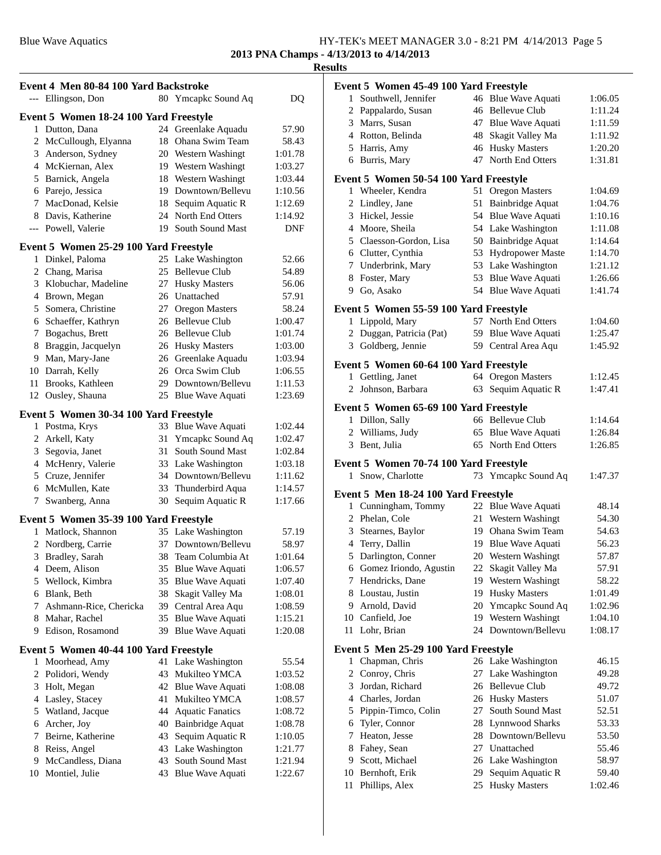# Blue Wave Aquatics **HY-TEK's MEET MANAGER 3.0 - 8:21 PM 4/14/2013** Page 5

**2013 PNA Champs - 4/13/2013 to 4/14/2013 Results**

|    | Event 4 Men 80-84 100 Yard Backstroke  |    |                         |         |
|----|----------------------------------------|----|-------------------------|---------|
|    | --- Ellingson, Don                     |    | 80 Ymcapkc Sound Aq     | DQ      |
|    | Event 5 Women 18-24 100 Yard Freestyle |    |                         |         |
|    | 1 Dutton, Dana                         | 24 | Greenlake Aquadu        | 57.90   |
|    | 2 McCullough, Elyanna                  | 18 | Ohana Swim Team         | 58.43   |
|    | 3 Anderson, Sydney                     |    | 20 Western Washingt     | 1:01.78 |
|    | 4 McKiernan, Alex                      |    | 19 Western Washingt     | 1:03.27 |
|    | 5 Barnick, Angela                      |    | 18 Western Washingt     | 1:03.44 |
|    | 6 Parejo, Jessica                      |    | 19 Downtown/Bellevu     | 1:10.56 |
|    | 7 MacDonad, Kelsie                     |    | 18 Sequim Aquatic R     | 1:12.69 |
|    | 8 Davis, Katherine                     |    | 24 North End Otters     | 1:14.92 |
|    | --- Powell, Valerie                    |    | 19 South Sound Mast     | DNF     |
|    | Event 5 Women 25-29 100 Yard Freestyle |    |                         |         |
|    | 1 Dinkel, Paloma                       |    | 25 Lake Washington      | 52.66   |
|    | 2 Chang, Marisa                        |    | 25 Bellevue Club        | 54.89   |
|    | 3 Klobuchar, Madeline                  |    | 27 Husky Masters        | 56.06   |
|    | 4 Brown, Megan                         |    | 26 Unattached           | 57.91   |
|    | 5 Somera, Christine                    |    | 27 Oregon Masters       | 58.24   |
|    | 6 Schaeffer, Kathryn                   |    | 26 Bellevue Club        | 1:00.47 |
| 7  | Bogachus, Brett                        |    | 26 Bellevue Club        | 1:01.74 |
| 8  | Braggin, Jacquelyn                     |    | 26 Husky Masters        | 1:03.00 |
|    | 9 Man, Mary-Jane                       |    | 26 Greenlake Aquadu     | 1:03.94 |
|    | 10 Darrah, Kelly                       |    | 26 Orca Swim Club       | 1:06.55 |
|    | 11 Brooks, Kathleen                    |    | 29 Downtown/Bellevu     | 1:11.53 |
|    | 12 Ousley, Shauna                      | 25 | Blue Wave Aquati        | 1:23.69 |
|    | Event 5 Women 30-34 100 Yard Freestyle |    |                         |         |
|    | 1 Postma, Krys                         |    | 33 Blue Wave Aquati     | 1:02.44 |
|    | 2 Arkell, Katy                         |    | 31 Ymcapkc Sound Aq     | 1:02.47 |
|    | 3 Segovia, Janet                       |    | 31 South Sound Mast     | 1:02.84 |
|    | 4 McHenry, Valerie                     |    | 33 Lake Washington      | 1:03.18 |
|    | 5 Cruze, Jennifer                      |    | 34 Downtown/Bellevu     | 1:11.62 |
|    | 6 McMullen, Kate                       | 33 | Thunderbird Aqua        | 1:14.57 |
| 7  | Swanberg, Anna                         | 30 | Sequim Aquatic R        | 1:17.66 |
|    | Event 5 Women 35-39 100 Yard Freestyle |    |                         |         |
|    | 1 Matlock, Shannon                     |    | 35 Lake Washington      | 57.19   |
| 2  | Nordberg, Carrie                       |    | 37 Downtown/Bellevu     | 58.97   |
| 3  | Bradley, Sarah                         | 38 | Team Columbia At        | 1:01.64 |
| 4  | Deem, Alison                           | 35 | Blue Wave Aquati        | 1:06.57 |
| 5  | Wellock, Kimbra                        | 35 | Blue Wave Aquati        | 1:07.40 |
| 6  | Blank, Beth                            | 38 | Skagit Valley Ma        | 1:08.01 |
| 7  | Ashmann-Rice, Chericka                 | 39 | Central Area Aqu        | 1:08.59 |
| 8  | Mahar, Rachel                          | 35 | <b>Blue Wave Aquati</b> | 1:15.21 |
| 9  | Edison, Rosamond                       | 39 | <b>Blue Wave Aquati</b> | 1:20.08 |
|    | Event 5 Women 40-44 100 Yard Freestyle |    |                         |         |
| 1  | Moorhead, Amy                          | 41 | Lake Washington         | 55.54   |
| 2  | Polidori, Wendy                        | 43 | Mukilteo YMCA           | 1:03.52 |
| 3  | Holt, Megan                            | 42 | Blue Wave Aquati        | 1:08.08 |
| 4  | Lasley, Stacey                         | 41 | Mukilteo YMCA           | 1:08.57 |
| 5  | Watland, Jacque                        | 44 | <b>Aquatic Fanatics</b> | 1:08.72 |
| 6  | Archer, Joy                            | 40 | <b>Bainbridge Aquat</b> | 1:08.78 |
| 7  | Beirne, Katherine                      | 43 | Sequim Aquatic R        | 1:10.05 |
| 8  | Reiss, Angel                           | 43 | Lake Washington         | 1:21.77 |
| 9  | McCandless, Diana                      | 43 | South Sound Mast        | 1:21.94 |
| 10 | Montiel, Julie                         | 43 | Blue Wave Aquati        | 1:22.67 |
|    |                                        |    |                         |         |

|                | Event 5 Women 45-49 100 Yard Freestyle |    |                         |         |
|----------------|----------------------------------------|----|-------------------------|---------|
| 1              | Southwell, Jennifer                    |    | 46 Blue Wave Aquati     | 1:06.05 |
|                | 2 Pappalardo, Susan                    | 46 | <b>Bellevue Club</b>    | 1:11.24 |
|                | 3 Marrs, Susan                         | 47 | Blue Wave Aquati        | 1:11.59 |
|                | 4 Rotton, Belinda                      | 48 | Skagit Valley Ma        | 1:11.92 |
|                | 5 Harris, Amy                          |    | 46 Husky Masters        | 1:20.20 |
|                | 6 Burris, Mary                         | 47 | North End Otters        | 1:31.81 |
|                | Event 5 Women 50-54 100 Yard Freestyle |    |                         |         |
|                | 1 Wheeler, Kendra                      |    | 51 Oregon Masters       | 1:04.69 |
|                | 2 Lindley, Jane                        | 51 | <b>Bainbridge Aquat</b> | 1:04.76 |
|                | 3 Hickel, Jessie                       |    | 54 Blue Wave Aquati     | 1:10.16 |
|                | 4 Moore, Sheila                        |    | 54 Lake Washington      | 1:11.08 |
|                | 5 Claesson-Gordon, Lisa                |    | 50 Bainbridge Aquat     | 1:14.64 |
|                | 6 Clutter, Cynthia                     | 53 | <b>Hydropower Maste</b> | 1:14.70 |
|                | 7 Underbrink, Mary                     | 53 | Lake Washington         | 1:21.12 |
|                | 8 Foster, Mary                         | 53 | <b>Blue Wave Aquati</b> | 1:26.66 |
|                | 9 Go, Asako                            |    | 54 Blue Wave Aquati     | 1:41.74 |
|                | Event 5 Women 55-59 100 Yard Freestyle |    |                         |         |
|                | 1 Lippold, Mary                        |    | 57 North End Otters     | 1:04.60 |
|                | 2 Duggan, Patricia (Pat)               |    | 59 Blue Wave Aquati     | 1:25.47 |
|                | 3 Goldberg, Jennie                     |    | 59 Central Area Aqu     | 1:45.92 |
|                | Event 5 Women 60-64 100 Yard Freestyle |    |                         |         |
| 1              | Gettling, Janet                        |    | 64 Oregon Masters       | 1:12.45 |
| $\overline{2}$ | Johnson, Barbara                       | 63 | Sequim Aquatic R        | 1:47.41 |
|                | Event 5 Women 65-69 100 Yard Freestyle |    |                         |         |
|                | 1 Dillon, Sally                        |    | 66 Bellevue Club        | 1:14.64 |
| 2              | Williams, Judy                         |    | 65 Blue Wave Aquati     | 1:26.84 |
|                | 3 Bent, Julia                          |    | 65 North End Otters     | 1:26.85 |
|                | Event 5 Women 70-74 100 Yard Freestyle |    |                         |         |
| 1              | Snow, Charlotte                        |    | 73 Ymcapkc Sound Aq     | 1:47.37 |
|                | Event 5 Men 18-24 100 Yard Freestyle   |    |                         |         |
|                | 1 Cunningham, Tommy                    |    | 22 Blue Wave Aquati     | 48.14   |
|                | 2 Phelan, Cole                         | 21 | Western Washingt        | 54.30   |
|                | 3 Stearnes, Baylor                     |    | 19 Ohana Swim Team      | 54.63   |
|                | 4 Terry, Dallin                        | 19 | Blue Wave Aquati        | 56.23   |
| 5              | Darlington, Conner                     | 20 | Western Washingt        | 57.87   |
|                | 6 Gomez Iriondo, Agustin               | 22 | Skagit Valley Ma        | 57.91   |
| 7              | Hendricks, Dane                        | 19 | Western Washingt        | 58.22   |
| 8              | Loustau, Justin                        | 19 | <b>Husky Masters</b>    | 1:01.49 |
|                | 9 Arnold, David                        | 20 | Ymcapkc Sound Aq        | 1:02.96 |
|                | 10 Canfield, Joe                       | 19 | Western Washingt        | 1:04.10 |
| 11             | Lohr, Brian                            | 24 | Downtown/Bellevu        | 1:08.17 |
|                | Event 5 Men 25-29 100 Yard Freestyle   |    |                         |         |
| 1              | Chapman, Chris                         |    | 26 Lake Washington      | 46.15   |
| 2              | Conroy, Chris                          | 27 | Lake Washington         | 49.28   |
| 3              | Jordan, Richard                        | 26 | <b>Bellevue Club</b>    | 49.72   |
| 4              | Charles, Jordan                        | 26 | <b>Husky Masters</b>    | 51.07   |
|                | 5 Pippin-Timco, Colin                  | 27 | South Sound Mast        | 52.51   |
| 6              | Tyler, Connor                          | 28 | Lynnwood Sharks         | 53.33   |
| 7              | Heaton, Jesse                          | 28 | Downtown/Bellevu        | 53.50   |
| 8              | Fahey, Sean                            | 27 | Unattached              | 55.46   |
| 9              | Scott, Michael                         | 26 | Lake Washington         | 58.97   |
| 10             | Bernhoft, Erik                         |    | 29 Sequim Aquatic R     | 59.40   |

11 Phillips, Alex 25 Husky Masters 1:02.46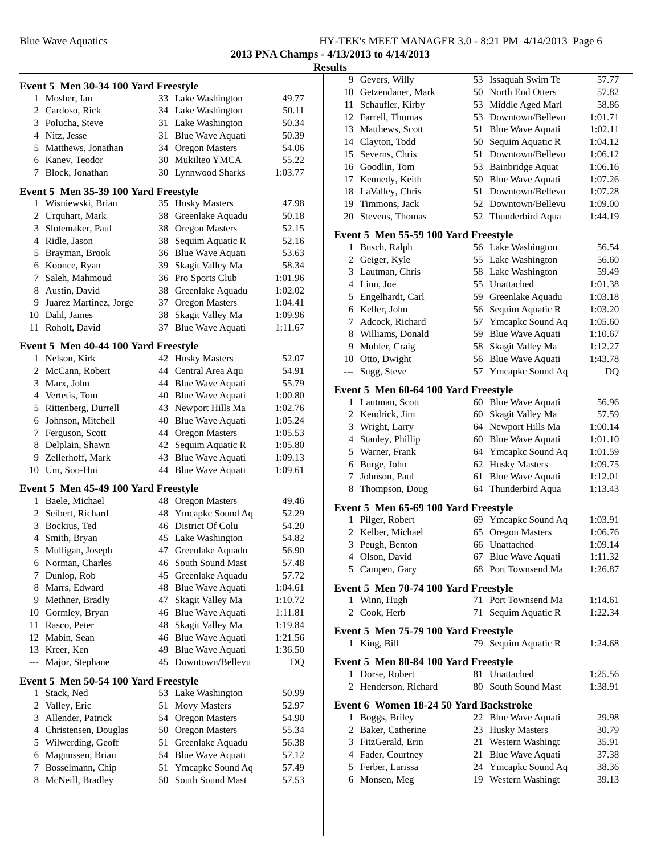# Blue Wave Aquatics **HY-TEK's MEET MANAGER 3.0 - 8:21 PM 4/14/2013** Page 6

**2013 PNA Champs - 4/13/2013 to 4/14/2013 Results**

|     | Event 5 Men 30-34 100 Yard Freestyle                     |          |                                         |         |
|-----|----------------------------------------------------------|----------|-----------------------------------------|---------|
| 1   | Mosher, Ian                                              |          | 33 Lake Washington                      | 49.77   |
|     | 2 Cardoso, Rick                                          |          | 34 Lake Washington                      | 50.11   |
|     | 3 Polucha, Steve                                         |          | 31 Lake Washington                      | 50.34   |
|     | 4 Nitz, Jesse                                            |          | 31 Blue Wave Aquati                     | 50.39   |
|     | 5 Matthews, Jonathan                                     |          | 34 Oregon Masters                       | 54.06   |
|     | 6 Kanev, Teodor                                          |          | 30 Mukilteo YMCA                        | 55.22   |
| 7   | Block, Jonathan                                          |          | 30 Lynnwood Sharks                      | 1:03.77 |
|     | Event 5 Men 35-39 100 Yard Freestyle                     |          |                                         |         |
|     | 1 Wisniewski, Brian                                      |          | 35 Husky Masters                        | 47.98   |
|     | 2 Urquhart, Mark                                         | 38       | Greenlake Aquadu                        | 50.18   |
|     | 3 Slotemaker, Paul                                       |          | 38 Oregon Masters                       | 52.15   |
|     | 4 Ridle, Jason                                           | 38       | Sequim Aquatic R                        | 52.16   |
|     | 5 Brayman, Brook                                         |          | 36 Blue Wave Aquati                     | 53.63   |
|     | 6 Koonce, Ryan                                           |          | 39 Skagit Valley Ma                     | 58.34   |
|     | 7 Saleh, Mahmoud                                         |          | 36 Pro Sports Club                      | 1:01.96 |
|     | 8 Austin, David                                          |          | 38 Greenlake Aquadu                     | 1:02.02 |
|     | 9 Juarez Martinez, Jorge                                 |          | 37 Oregon Masters                       | 1:04.41 |
|     | 10 Dahl, James                                           | 38       | Skagit Valley Ma                        | 1:09.96 |
|     | 11 Roholt, David                                         | 37       | <b>Blue Wave Aquati</b>                 | 1:11.67 |
|     |                                                          |          |                                         |         |
|     | Event 5 Men 40-44 100 Yard Freestyle<br>1 Nelson, Kirk   |          |                                         | 52.07   |
|     | 2 McCann, Robert                                         |          | 42 Husky Masters<br>44 Central Area Aqu | 54.91   |
|     | 3 Marx, John                                             |          | 44 Blue Wave Aquati                     | 55.79   |
|     | 4 Vertetis, Tom                                          |          | 40 Blue Wave Aquati                     | 1:00.80 |
|     | 5 Rittenberg, Durrell                                    |          | 43 Newport Hills Ma                     | 1:02.76 |
|     | 6 Johnson, Mitchell                                      |          | 40 Blue Wave Aquati                     | 1:05.24 |
|     | 7 Ferguson, Scott                                        |          | 44 Oregon Masters                       | 1:05.53 |
|     | 8 Delplain, Shawn                                        |          | 42 Sequim Aquatic R                     | 1:05.80 |
|     | 9 Zellerhoff, Mark                                       |          | 43 Blue Wave Aquati                     | 1:09.13 |
|     | 10 Um, Soo-Hui                                           |          | 44 Blue Wave Aquati                     | 1:09.61 |
|     |                                                          |          |                                         |         |
|     | Event 5 Men 45-49 100 Yard Freestyle<br>1 Baele, Michael |          | 48 Oregon Masters                       | 49.46   |
|     | 2 Seibert, Richard                                       |          | 48 Ymcapkc Sound Aq                     | 52.29   |
|     | 3 Bockius, Ted                                           |          | 46 District Of Colu                     | 54.20   |
|     | 4 Smith, Bryan                                           |          | 45 Lake Washington                      | 54.82   |
|     | Mulligan, Joseph                                         |          |                                         | 56.90   |
| 5   | 6 Norman, Charles                                        | 47<br>46 | Greenlake Aquadu<br>South Sound Mast    | 57.48   |
|     | 7 Dunlop, Rob                                            |          | 45 Greenlake Aquadu                     | 57.72   |
| 8.  | Marrs, Edward                                            |          | 48 Blue Wave Aquati                     | 1:04.61 |
|     | 9 Methner, Bradly                                        | 47       | Skagit Valley Ma                        | 1:10.72 |
|     | 10 Gormley, Bryan                                        |          | 46 Blue Wave Aquati                     | 1:11.81 |
| 11  | Rasco, Peter                                             |          | 48 Skagit Valley Ma                     | 1:19.84 |
| 12  | Mabin, Sean                                              |          | 46 Blue Wave Aquati                     | 1:21.56 |
| 13  | Kreer, Ken                                               | 49       | Blue Wave Aquati                        | 1:36.50 |
| --- | Major, Stephane                                          | 45       | Downtown/Bellevu                        | DQ      |
|     |                                                          |          |                                         |         |
|     | Event 5 Men 50-54 100 Yard Freestyle                     |          |                                         |         |
| 1   | Stack, Ned                                               | 53       | Lake Washington                         | 50.99   |
| 2   | Valley, Eric                                             | 51       | <b>Movy Masters</b>                     | 52.97   |
| 3   | Allender, Patrick                                        | 54       | <b>Oregon Masters</b>                   | 54.90   |
|     | 4 Christensen, Douglas                                   |          | 50 Oregon Masters                       | 55.34   |
| 5   | Wilwerding, Geoff                                        | 51       | Greenlake Aquadu                        | 56.38   |
| 6   | Magnussen, Brian                                         |          | 54 Blue Wave Aquati                     | 57.12   |
| 7   | Bosselmann, Chip                                         | 51       | Ymcapkc Sound Aq                        | 57.49   |
| 8   | McNeill, Bradley                                         | 50       | South Sound Mast                        | 57.53   |

| 9              | Gevers, Willy                                        | 53 | Issaquah Swim Te        | 57.77   |
|----------------|------------------------------------------------------|----|-------------------------|---------|
| 10             | Getzendaner, Mark                                    | 50 | North End Otters        | 57.82   |
| 11             | Schaufler, Kirby                                     | 53 | Middle Aged Marl        | 58.86   |
|                | 12 Farrell, Thomas                                   | 53 | Downtown/Bellevu        | 1:01.71 |
| 13             | Matthews, Scott                                      | 51 | <b>Blue Wave Aquati</b> | 1:02.11 |
| 14             | Clayton, Todd                                        | 50 | Sequim Aquatic R        | 1:04.12 |
| 15             | Severns, Chris                                       | 51 | Downtown/Bellevu        | 1:06.12 |
|                | 16 Goodlin, Tom                                      | 53 | <b>Bainbridge Aquat</b> | 1:06.16 |
|                | 17 Kennedy, Keith                                    | 50 | Blue Wave Aquati        | 1:07.26 |
| 18             | LaValley, Chris                                      | 51 | Downtown/Bellevu        | 1:07.28 |
| 19             | Timmons, Jack                                        | 52 | Downtown/Bellevu        | 1:09.00 |
| 20             | Stevens, Thomas                                      | 52 | Thunderbird Aqua        | 1:44.19 |
|                |                                                      |    |                         |         |
| 1              | Event 5 Men 55-59 100 Yard Freestyle<br>Busch, Ralph |    | 56 Lake Washington      | 56.54   |
| $\overline{c}$ | Geiger, Kyle                                         | 55 | Lake Washington         | 56.60   |
| 3              | Lautman, Chris                                       | 58 | Lake Washington         | 59.49   |
|                | 4 Linn, Joe                                          |    | Unattached              |         |
|                |                                                      | 55 |                         | 1:01.38 |
|                | 5 Engelhardt, Carl                                   |    | 59 Greenlake Aquadu     | 1:03.18 |
|                | 6 Keller, John                                       |    | 56 Sequim Aquatic R     | 1:03.20 |
|                | 7 Adcock, Richard                                    | 57 | Ymcapkc Sound Aq        | 1:05.60 |
| 8              | Williams, Donald                                     | 59 | <b>Blue Wave Aquati</b> | 1:10.67 |
| 9              | Mohler, Craig                                        | 58 | Skagit Valley Ma        | 1:12.27 |
| 10             | Otto, Dwight                                         | 56 | <b>Blue Wave Aquati</b> | 1:43.78 |
| ---            | Sugg, Steve                                          | 57 | Ymcapkc Sound Aq        | DQ      |
|                | Event 5 Men 60-64 100 Yard Freestyle                 |    |                         |         |
|                | 1 Lautman, Scott                                     | 60 | Blue Wave Aquati        | 56.96   |
|                | 2 Kendrick, Jim                                      | 60 | Skagit Valley Ma        | 57.59   |
| 3              | Wright, Larry                                        | 64 | Newport Hills Ma        | 1:00.14 |
|                | 4 Stanley, Phillip                                   |    | 60 Blue Wave Aquati     | 1:01.10 |
|                | 5 Warner, Frank                                      |    | 64 Ymcapkc Sound Aq     | 1:01.59 |
|                | 6 Burge, John                                        | 62 | <b>Husky Masters</b>    | 1:09.75 |
| 7              | Johnson, Paul                                        | 61 | <b>Blue Wave Aquati</b> | 1:12.01 |
| 8              | Thompson, Doug                                       |    | 64 Thunderbird Aqua     | 1:13.43 |
|                |                                                      |    |                         |         |
|                | Event 5 Men 65-69 100 Yard Freestyle                 |    |                         |         |
| 1              | Pilger, Robert                                       | 69 | Ymcapkc Sound Aq        | 1:03.91 |
| 2              | Kelber, Michael                                      | 65 | <b>Oregon Masters</b>   | 1:06.76 |
|                | 3 Peugh, Benton                                      |    | 66 Unattached           | 1:09.14 |
|                | 4 Olson, David                                       |    | 67 Blue Wave Aquati     | 1:11.32 |
|                | 5 Campen, Gary                                       |    | 68 Port Townsend Ma     | 1:26.87 |
|                | Event 5 Men 70-74 100 Yard Freestyle                 |    |                         |         |
|                | 1 Winn, Hugh                                         |    | 71 Port Townsend Ma     | 1:14.61 |
| $\overline{c}$ | Cook, Herb                                           | 71 | Sequim Aquatic R        | 1:22.34 |
|                |                                                      |    |                         |         |
|                | Event 5 Men 75-79 100 Yard Freestyle                 |    |                         |         |
|                | 1 King, Bill                                         |    | 79 Sequim Aquatic R     | 1:24.68 |
|                | Event 5 Men 80-84 100 Yard Freestyle                 |    |                         |         |
| 1              | Dorse, Robert                                        | 81 | Unattached              | 1:25.56 |
| 2              | Henderson, Richard                                   |    | 80 South Sound Mast     | 1:38.91 |
|                |                                                      |    |                         |         |
|                | Event 6 Women 18-24 50 Yard Backstroke               |    |                         |         |
|                | 1 Boggs, Briley                                      |    | 22 Blue Wave Aquati     | 29.98   |
|                | 2 Baker, Catherine                                   |    | 23 Husky Masters        | 30.79   |
|                | 3 FitzGerald, Erin                                   | 21 | Western Washingt        | 35.91   |
|                | 4 Fader, Courtney                                    | 21 | <b>Blue Wave Aquati</b> | 37.38   |
|                | 5 Ferber, Larissa                                    |    | 24 Ymcapkc Sound Aq     | 38.36   |
|                | 6 Monsen, Meg                                        |    | 19 Western Washingt     | 39.13   |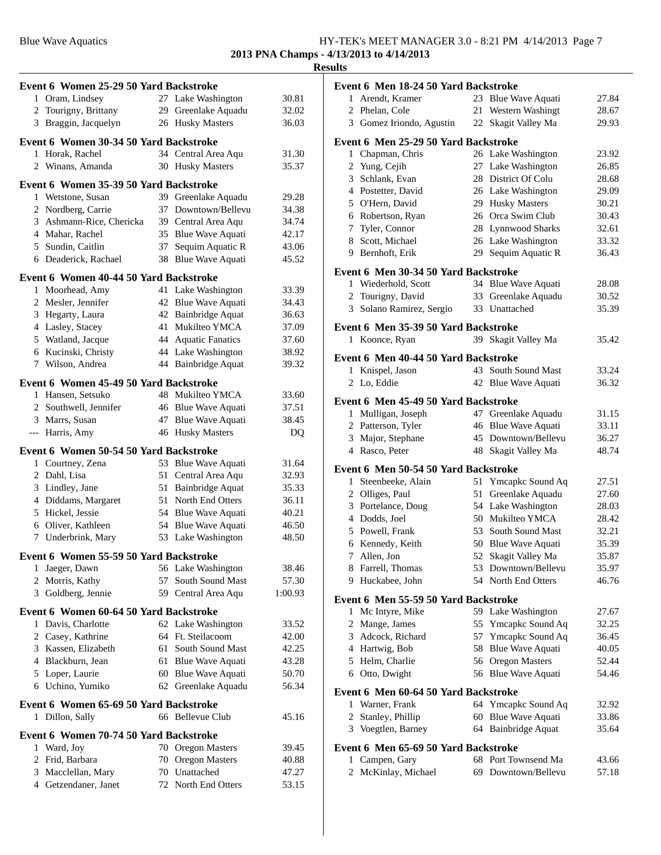**2013 PNA Champs - 4/13/2013 to 4/14/2013 Results**

| Event 6 Women 25-29 50 Yard Backstroke |    |                     |         |
|----------------------------------------|----|---------------------|---------|
| 1 Oram, Lindsey                        |    | 27 Lake Washington  | 30.81   |
| 2 Tourigny, Brittany                   |    | 29 Greenlake Aquadu | 32.02   |
| 3 Braggin, Jacquelyn                   |    | 26 Husky Masters    | 36.03   |
| Event 6 Women 30-34 50 Yard Backstroke |    |                     |         |
| 1 Horak, Rachel                        |    | 34 Central Area Aqu | 31.30   |
| 2 Winans, Amanda                       |    | 30 Husky Masters    | 35.37   |
| Event 6 Women 35-39 50 Yard Backstroke |    |                     |         |
| 1 Wetstone, Susan                      |    | 39 Greenlake Aquadu | 29.28   |
| 2 Nordberg, Carrie                     |    | 37 Downtown/Bellevu | 34.38   |
| 3 Ashmann-Rice, Chericka               |    | 39 Central Area Aqu | 34.74   |
| 4 Mahar, Rachel                        |    | 35 Blue Wave Aquati | 42.17   |
| 5 Sundin, Caitlin                      |    | 37 Sequim Aquatic R | 43.06   |
| 6 Deaderick, Rachael                   |    | 38 Blue Wave Aquati | 45.52   |
| Event 6 Women 40-44 50 Yard Backstroke |    |                     |         |
| 1 Moorhead, Amy                        |    | 41 Lake Washington  | 33.39   |
| 2 Mesler, Jennifer                     |    | 42 Blue Wave Aquati | 34.43   |
| 3 Hegarty, Laura                       |    | 42 Bainbridge Aquat | 36.63   |
| 4 Lasley, Stacey                       |    | 41 Mukilteo YMCA    | 37.09   |
| 5 Watland, Jacque                      |    | 44 Aquatic Fanatics | 37.60   |
| 6 Kucinski, Christy                    |    | 44 Lake Washington  | 38.92   |
| 7 Wilson, Andrea                       |    | 44 Bainbridge Aquat | 39.32   |
| Event 6 Women 45-49 50 Yard Backstroke |    |                     |         |
| 1 Hansen, Setsuko                      |    | 48 Mukilteo YMCA    | 33.60   |
| 2 Southwell, Jennifer                  |    | 46 Blue Wave Aquati | 37.51   |
| 3 Marrs, Susan                         |    | 47 Blue Wave Aquati | 38.45   |
| --- Harris, Amy                        |    | 46 Husky Masters    | DQ      |
| Event 6 Women 50-54 50 Yard Backstroke |    |                     |         |
| 1 Courtney, Zena                       |    | 53 Blue Wave Aquati | 31.64   |
| 2 Dahl, Lisa                           |    | 51 Central Area Aqu | 32.93   |
| 3 Lindley, Jane                        |    | 51 Bainbridge Aquat | 35.33   |
| 4 Diddams, Margaret                    |    | 51 North End Otters | 36.11   |
| 5 Hickel, Jessie                       |    | 54 Blue Wave Aquati | 40.21   |
| 6 Oliver, Kathleen                     |    | 54 Blue Wave Aquati | 46.50   |
| 7 Underbrink, Mary                     |    | 53 Lake Washington  | 48.50   |
| Event 6 Women 55-59 50 Yard Backstroke |    |                     |         |
| Jaeger, Dawn<br>1                      |    | 56 Lake Washington  | 38.46   |
| Morris, Kathy<br>$\overline{2}$        | 57 | South Sound Mast    | 57.30   |
| 3 Goldberg, Jennie                     |    | 59 Central Area Aqu | 1:00.93 |
| Event 6 Women 60-64 50 Yard Backstroke |    |                     |         |
| 1 Davis, Charlotte                     |    | 62 Lake Washington  | 33.52   |
| 2 Casey, Kathrine                      |    | 64 Ft. Steilacoom   | 42.00   |
| 3 Kassen, Elizabeth                    |    | 61 South Sound Mast | 42.25   |
| 4 Blackburn, Jean                      |    | 61 Blue Wave Aquati | 43.28   |
| 5 Loper, Laurie                        |    | 60 Blue Wave Aquati | 50.70   |
| 6 Uchino, Yumiko                       |    | 62 Greenlake Aquadu | 56.34   |
| Event 6 Women 65-69 50 Yard Backstroke |    |                     |         |
| 1 Dillon, Sally                        |    | 66 Bellevue Club    | 45.16   |
| Event 6 Women 70-74 50 Yard Backstroke |    |                     |         |
| 1 Ward, Joy                            |    | 70 Oregon Masters   | 39.45   |
| 2 Frid, Barbara                        |    | 70 Oregon Masters   | 40.88   |
| 3 Macclellan, Mary                     |    | 70 Unattached       | 47.27   |
| 4 Getzendaner, Janet                   |    | 72 North End Otters | 53.15   |
|                                        |    |                     |         |

|                 | Event 6 Men 18-24 50 Yard Backstroke  |    |                     |       |
|-----------------|---------------------------------------|----|---------------------|-------|
| $\mathbf{1}$    | Arendt, Kramer                        |    | 23 Blue Wave Aquati | 27.84 |
|                 | 2 Phelan, Cole                        | 21 | Western Washingt    | 28.67 |
|                 | 3 Gomez Iriondo, Agustin              |    | 22 Skagit Valley Ma | 29.93 |
|                 | Event 6 Men 25-29 50 Yard Backstroke  |    |                     |       |
|                 | 1 Chapman, Chris                      |    | 26 Lake Washington  | 23.92 |
|                 | 2 Yung, Cejih                         |    | 27 Lake Washington  | 26.85 |
|                 | 3 Schlank, Evan                       |    | 28 District Of Colu | 28.68 |
|                 | 4 Postetter, David                    |    | 26 Lake Washington  | 29.09 |
|                 | 5 O'Hern, David                       |    | 29 Husky Masters    | 30.21 |
|                 | 6 Robertson, Ryan                     |    | 26 Orca Swim Club   | 30.43 |
|                 | 7 Tyler, Connor                       |    | 28 Lynnwood Sharks  | 32.61 |
|                 | 8 Scott, Michael                      |    | 26 Lake Washington  | 33.32 |
|                 | 9 Bernhoft, Erik                      | 29 | Sequim Aquatic R    | 36.43 |
|                 | Event 6 Men 30-34 50 Yard Backstroke  |    |                     |       |
|                 | 1 Wiederhold, Scott                   |    | 34 Blue Wave Aquati | 28.08 |
|                 | 2 Tourigny, David                     |    | 33 Greenlake Aquadu | 30.52 |
| 3               | Solano Ramirez, Sergio                |    | 33 Unattached       | 35.39 |
|                 | Event 6 Men 35-39 50 Yard Backstroke  |    |                     |       |
| 1               | Koonce, Ryan                          | 39 | Skagit Valley Ma    | 35.42 |
|                 |                                       |    |                     |       |
|                 | Event 6 Men 40-44 50 Yard Backstroke  |    |                     |       |
|                 | 1 Knispel, Jason                      |    | 43 South Sound Mast | 33.24 |
|                 | 2 Lo, Eddie                           |    | 42 Blue Wave Aquati | 36.32 |
|                 | Event 6 Men 45-49 50 Yard Backstroke  |    |                     |       |
|                 | 1 Mulligan, Joseph                    |    | 47 Greenlake Aquadu | 31.15 |
|                 | 2 Patterson, Tyler                    |    | 46 Blue Wave Aquati | 33.11 |
|                 | 3 Major, Stephane                     |    | 45 Downtown/Bellevu | 36.27 |
|                 | 4 Rasco, Peter                        |    | 48 Skagit Valley Ma | 48.74 |
|                 | Event 6  Men 50-54 50 Yard Backstroke |    |                     |       |
|                 | 1 Steenbeeke, Alain                   |    | 51 Ymcapkc Sound Aq | 27.51 |
|                 | 2 Olliges, Paul                       | 51 | Greenlake Aquadu    | 27.60 |
|                 | 3 Portelance, Doug                    |    | 54 Lake Washington  | 28.03 |
|                 | 4 Dodds, Joel                         |    | 50 Mukilteo YMCA    | 28.42 |
|                 | 5 Powell, Frank                       |    | 53 South Sound Mast | 32.21 |
|                 | 6 Kennedy, Keith                      |    | 50 Blue Wave Aquati | 35.39 |
| $7\overline{ }$ | Allen, Jon                            | 52 | Skagit Valley Ma    | 35.87 |
| 8               | Farrell, Thomas                       |    | 53 Downtown/Bellevu | 35.97 |
| 9               | Huckabee, John                        |    | 54 North End Otters | 46.76 |
|                 | Event 6  Men 55-59 50 Yard Backstroke |    |                     |       |
| 1               | Mc Intyre, Mike                       |    | 59 Lake Washington  | 27.67 |
|                 | 2 Mange, James                        | 55 | Ymcapkc Sound Aq    | 32.25 |
|                 | 3 Adcock, Richard                     | 57 | Ymcapkc Sound Aq    | 36.45 |
|                 | 4 Hartwig, Bob                        | 58 | Blue Wave Aquati    | 40.05 |
|                 | 5 Helm, Charlie                       |    | 56 Oregon Masters   | 52.44 |
|                 | 6 Otto, Dwight                        |    | 56 Blue Wave Aquati | 54.46 |
|                 | Event 6 Men 60-64 50 Yard Backstroke  |    |                     |       |
|                 | 1 Warner, Frank                       |    | 64 Ymcapkc Sound Aq | 32.92 |
| $\overline{c}$  | Stanley, Phillip                      | 60 | Blue Wave Aquati    | 33.86 |
| 3               | Voegtlen, Barney                      |    | 64 Bainbridge Aquat | 35.64 |
|                 | Event 6 Men 65-69 50 Yard Backstroke  |    |                     |       |
| 1               | Campen, Gary                          |    | 68 Port Townsend Ma | 43.66 |
| 2               | McKinlay, Michael                     | 69 | Downtown/Bellevu    | 57.18 |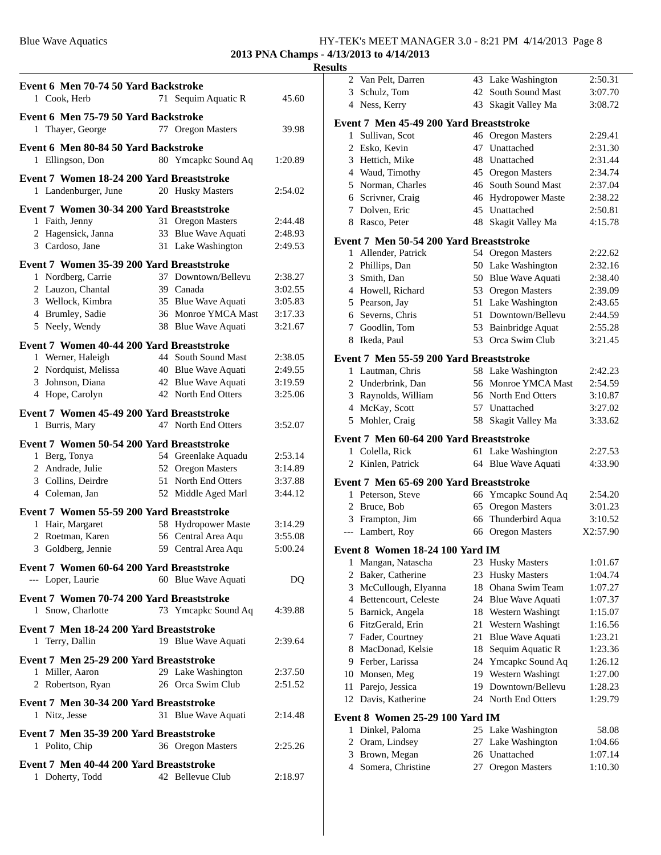## Blue Wave Aquatics **HY-TEK's MEET MANAGER 3.0 - 8:21 PM 4/14/2013** Page 8 **2013 PNA Champs - 4/13/2013 to 4/14/2013**

| Event 6 Men 70-74 50 Yard Backstroke<br>1 Cook, Herb              | 71 | Sequim Aquatic R        | 45.60   |
|-------------------------------------------------------------------|----|-------------------------|---------|
| Event 6 Men 75-79 50 Yard Backstroke<br>1 Thayer, George          |    | 77 Oregon Masters       | 39.98   |
| Event 6 Men 80-84 50 Yard Backstroke<br>1 Ellingson, Don          |    | 80 Ymcapkc Sound Aq     | 1:20.89 |
| Event 7 Women 18-24 200 Yard Breaststroke<br>1 Landenburger, June |    | 20 Husky Masters        | 2:54.02 |
| Event 7 Women 30-34 200 Yard Breaststroke                         |    |                         |         |
| 1 Faith, Jenny                                                    | 31 | Oregon Masters          | 2:44.48 |
| 2 Hagensick, Janna                                                | 33 | Blue Wave Aquati        | 2:48.93 |
| 3 Cardoso, Jane                                                   |    | 31 Lake Washington      | 2:49.53 |
| Event 7 Women 35-39 200 Yard Breaststroke                         |    |                         |         |
| 1 Nordberg, Carrie                                                |    | 37 Downtown/Bellevu     | 2:38.27 |
| 2 Lauzon, Chantal                                                 |    | 39 Canada               | 3:02.55 |
| 3 Wellock, Kimbra                                                 |    | 35 Blue Wave Aquati     | 3:05.83 |
| 4 Brumley, Sadie                                                  |    | 36 Monroe YMCA Mast     | 3:17.33 |
| 5 Neely, Wendy                                                    |    | 38 Blue Wave Aquati     | 3:21.67 |
|                                                                   |    |                         |         |
| Event 7 Women 40-44 200 Yard Breaststroke                         |    |                         |         |
| 1 Werner, Haleigh                                                 |    | 44 South Sound Mast     | 2:38.05 |
| 2 Nordquist, Melissa                                              |    | 40 Blue Wave Aquati     | 2:49.55 |
| 3 Johnson, Diana                                                  |    | 42 Blue Wave Aquati     | 3:19.59 |
| 4 Hope, Carolyn                                                   |    | 42 North End Otters     | 3:25.06 |
| Event 7 Women 45-49 200 Yard Breaststroke                         |    |                         |         |
| 1 Burris, Mary                                                    |    | 47 North End Otters     | 3:52.07 |
|                                                                   |    |                         |         |
| Event 7 Women 50-54 200 Yard Breaststroke<br>1 Berg, Tonya        |    | 54 Greenlake Aquadu     | 2:53.14 |
| 2 Andrade, Julie                                                  | 52 | <b>Oregon Masters</b>   | 3:14.89 |
| 3 Collins, Deirdre                                                | 51 | <b>North End Otters</b> | 3:37.88 |
| 4 Coleman, Jan                                                    | 52 | Middle Aged Marl        | 3:44.12 |
|                                                                   |    |                         |         |
| Event 7 Women 55-59 200 Yard Breaststroke                         |    |                         |         |
| 1 Hair, Margaret                                                  |    | 58 Hydropower Maste     | 3:14.29 |
| 2 Roetman, Karen                                                  |    | 56 Central Area Aqu     | 3:55.08 |
| 3 Goldberg, Jennie                                                |    | 59 Central Area Aqu     | 5:00.24 |
| Event 7 Women 60-64 200 Yard Breaststroke                         |    |                         |         |
| --- Loper, Laurie                                                 |    | 60 Blue Wave Aquati     | DQ      |
| Event 7 Women 70-74 200 Yard Breaststroke                         |    |                         |         |
| 1 Snow, Charlotte                                                 |    | 73 Ymcapkc Sound Aq     | 4:39.88 |
| Event 7 Men 18-24 200 Yard Breaststroke                           |    |                         |         |
| 1 Terry, Dallin                                                   |    | 19 Blue Wave Aquati     | 2:39.64 |
|                                                                   |    |                         |         |
| Event 7 Men 25-29 200 Yard Breaststroke                           |    |                         |         |
| 1 Miller, Aaron                                                   |    | 29 Lake Washington      | 2:37.50 |
| 2 Robertson, Ryan                                                 |    | 26 Orca Swim Club       | 2:51.52 |
| Event 7 Men 30-34 200 Yard Breaststroke<br>1 Nitz, Jesse          | 31 | Blue Wave Aquati        | 2:14.48 |
| Event 7 Men 35-39 200 Yard Breaststroke                           |    |                         |         |
| 1 Polito, Chip                                                    |    | 36 Oregon Masters       | 2:25.26 |
|                                                                   |    |                         |         |
| Event 7 Men 40-44 200 Yard Breaststroke<br>1 Doherty, Todd        |    | 42 Bellevue Club        | 2:18.97 |
|                                                                   |    |                         |         |

| 2            | Van Pelt, Darren                                           | 43       | Lake Washington                              | 2:50.31            |
|--------------|------------------------------------------------------------|----------|----------------------------------------------|--------------------|
|              | 3 Schulz, Tom                                              | 42       | South Sound Mast                             | 3:07.70            |
|              | 4 Ness, Kerry                                              | 43       | Skagit Valley Ma                             | 3:08.72            |
|              | Event 7 Men 45-49 200 Yard Breaststroke                    |          |                                              |                    |
| 1            | Sullivan, Scot                                             |          | 46 Oregon Masters                            | 2:29.41            |
|              | 2 Esko, Kevin                                              | 47       | Unattached                                   | 2:31.30            |
|              | 3 Hettich, Mike                                            |          | 48 Unattached                                | 2:31.44            |
|              | 4 Waud, Timothy                                            |          | 45 Oregon Masters                            | 2:34.74            |
|              | 5 Norman, Charles                                          |          | 46 South Sound Mast                          | 2:37.04            |
|              | 6 Scrivner, Craig                                          |          | 46 Hydropower Maste                          | 2:38.22            |
|              | 7 Dolven, Eric                                             |          | 45 Unattached                                | 2:50.81            |
|              | 8 Rasco, Peter                                             | 48       | Skagit Valley Ma                             | 4:15.78            |
|              | Event 7 Men 50-54 200 Yard Breaststroke                    |          |                                              |                    |
| $\mathbf{1}$ | Allender, Patrick                                          |          | 54 Oregon Masters                            | 2:22.62            |
|              | 2 Phillips, Dan                                            | 50       | Lake Washington                              | 2:32.16            |
|              | 3 Smith, Dan<br>4 Howell, Richard                          | 50       | <b>Blue Wave Aquati</b><br>53 Oregon Masters | 2:38.40<br>2:39.09 |
|              |                                                            | 51       | Lake Washington                              | 2:43.65            |
|              | 5 Pearson, Jay<br>6 Severns, Chris                         | 51       | Downtown/Bellevu                             | 2:44.59            |
|              | 7 Goodlin, Tom                                             | 53       | Bainbridge Aquat                             | 2:55.28            |
|              | 8 Ikeda, Paul                                              | 53       | Orca Swim Club                               | 3:21.45            |
|              |                                                            |          |                                              |                    |
|              | Event 7 Men 55-59 200 Yard Breaststroke                    |          |                                              |                    |
|              | 1 Lautman, Chris                                           | 56       | 58 Lake Washington<br>Monroe YMCA Mast       | 2:42.23<br>2:54.59 |
|              | 2 Underbrink, Dan<br>3 Raynolds, William                   | 56       | North End Otters                             | 3:10.87            |
|              | 4 McKay, Scott                                             | 57       | Unattached                                   | 3:27.02            |
|              | 5 Mohler, Craig                                            | 58       | Skagit Valley Ma                             | 3:33.62            |
|              |                                                            |          |                                              |                    |
|              | Event 7 Men 60-64 200 Yard Breaststroke<br>1 Colella, Rick |          | 61 Lake Washington                           |                    |
| $\mathbf{2}$ | Kinlen, Patrick                                            |          | 64 Blue Wave Aquati                          | 2:27.53<br>4:33.90 |
|              |                                                            |          |                                              |                    |
|              | Event 7 Men 65-69 200 Yard Breaststroke                    |          |                                              |                    |
|              | 1 Peterson, Steve                                          |          | 66 Ymcapkc Sound Aq<br><b>Oregon Masters</b> | 2:54.20            |
|              | 2 Bruce, Bob<br>3 Frampton, Jim                            | 65<br>66 | Thunderbird Aqua                             | 3:01.23<br>3:10.52 |
|              | --- Lambert, Roy                                           | 66       | <b>Oregon Masters</b>                        | X2:57.90           |
|              |                                                            |          |                                              |                    |
| T            | Event 8 Women 18-24 100 Yard IM<br>Mangan, Natascha        |          | <b>Husky Masters</b>                         | 1:01.67            |
| 2            | Baker, Catherine                                           | 23<br>23 | <b>Husky Masters</b>                         | 1:04.74            |
| 3            | McCullough, Elyanna                                        | 18       | Ohana Swim Team                              | 1:07.27            |
|              | 4 Bettencourt, Celeste                                     | 24       | <b>Blue Wave Aquati</b>                      | 1:07.37            |
| 5            | Barnick, Angela                                            | 18       | Western Washingt                             | 1:15.07            |
|              | 6 FitzGerald, Erin                                         | 21       | Western Washingt                             | 1:16.56            |
| 7            | Fader, Courtney                                            | 21       | Blue Wave Aquati                             | 1:23.21            |
| 8            | MacDonad, Kelsie                                           | 18       | Sequim Aquatic R                             | 1:23.36            |
| 9            | Ferber, Larissa                                            | 24       | Ymcapkc Sound Aq                             | 1:26.12            |
| 10           | Monsen, Meg                                                | 19       | Western Washingt                             | 1:27.00            |
| 11           | Parejo, Jessica                                            | 19       | Downtown/Bellevu                             | 1:28.23            |
| 12           | Davis, Katherine                                           | 24       | North End Otters                             | 1:29.79            |
|              | Event 8 Women 25-29 100 Yard IM                            |          |                                              |                    |
| 1            | Dinkel, Paloma                                             |          | 25 Lake Washington                           | 58.08              |
| 2            | Oram, Lindsey                                              | 27       | Lake Washington                              | 1:04.66            |
| 3            | Brown, Megan                                               | 26       | Unattached                                   | 1:07.14            |
| 4            | Somera, Christine                                          | 27       | <b>Oregon Masters</b>                        | 1:10.30            |
|              |                                                            |          |                                              |                    |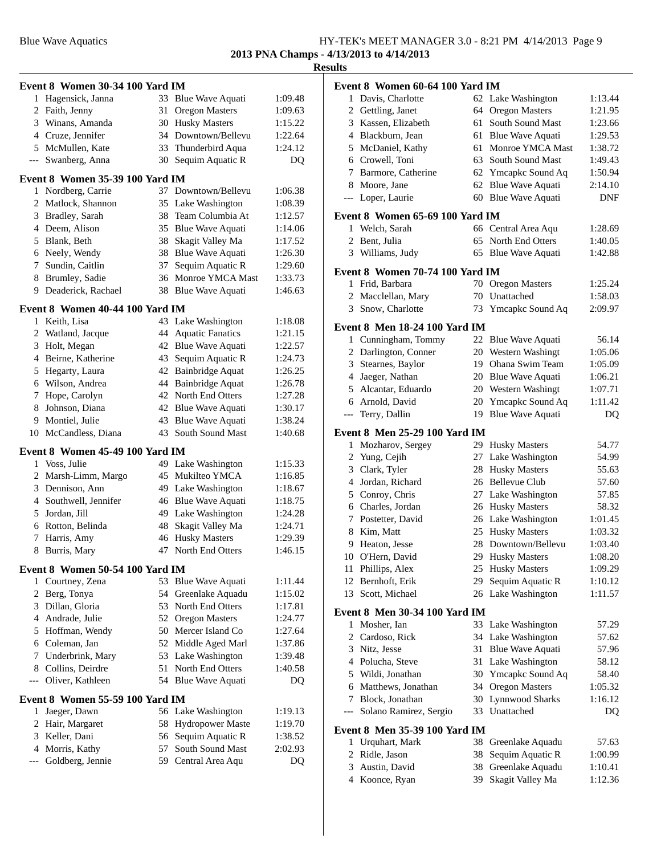|              | Event 8 Women 30-34 100 Yard IM        |    |                         |         |
|--------------|----------------------------------------|----|-------------------------|---------|
| 1            | Hagensick, Janna                       |    | 33 Blue Wave Aquati     | 1:09.48 |
|              | 2 Faith, Jenny                         | 31 | <b>Oregon Masters</b>   | 1:09.63 |
|              | 3 Winans, Amanda                       |    | 30 Husky Masters        | 1:15.22 |
|              | 4 Cruze, Jennifer                      |    | 34 Downtown/Bellevu     | 1:22.64 |
|              | 5 McMullen, Kate                       | 33 | Thunderbird Aqua        | 1:24.12 |
| ---          | Swanberg, Anna                         | 30 | Sequim Aquatic R        | DQ      |
|              | <b>Event 8 Women 35-39 100 Yard IM</b> |    |                         |         |
| 1            | Nordberg, Carrie                       | 37 | Downtown/Bellevu        | 1:06.38 |
| 2            | Matlock, Shannon                       | 35 | Lake Washington         | 1:08.39 |
|              | 3 Bradley, Sarah                       | 38 | Team Columbia At        | 1:12.57 |
|              | 4 Deem, Alison                         |    | 35 Blue Wave Aquati     | 1:14.06 |
|              | 5 Blank, Beth                          | 38 | Skagit Valley Ma        | 1:17.52 |
|              | 6 Neely, Wendy                         |    | 38 Blue Wave Aquati     | 1:26.30 |
|              | 7 Sundin, Caitlin                      | 37 | Sequim Aquatic R        | 1:29.60 |
| 8            | Brumley, Sadie                         | 36 | Monroe YMCA Mast        | 1:33.73 |
| 9            | Deaderick, Rachael                     | 38 | Blue Wave Aquati        | 1:46.63 |
|              | Event 8 Women 40-44 100 Yard IM        |    |                         |         |
| 1            | Keith, Lisa                            |    | 43 Lake Washington      | 1:18.08 |
| 2            | Watland, Jacque                        | 44 | <b>Aquatic Fanatics</b> | 1:21.15 |
| 3            | Holt, Megan                            | 42 | Blue Wave Aquati        | 1:22.57 |
| 4            | Beirne, Katherine                      |    | 43 Sequim Aquatic R     | 1:24.73 |
| 5            | Hegarty, Laura                         |    | 42 Bainbridge Aquat     | 1:26.25 |
|              | 6 Wilson, Andrea                       |    | 44 Bainbridge Aquat     | 1:26.78 |
|              | 7 Hope, Carolyn                        |    | 42 North End Otters     | 1:27.28 |
|              | 8 Johnson, Diana                       |    | 42 Blue Wave Aquati     | 1:30.17 |
|              | 9 Montiel, Julie                       | 43 | Blue Wave Aquati        | 1:38.24 |
|              | 10 McCandless, Diana                   | 43 | South Sound Mast        | 1:40.68 |
|              | Event 8 Women 45-49 100 Yard IM        |    |                         |         |
| 1            | Voss, Julie                            |    | 49 Lake Washington      | 1:15.33 |
|              | 2 Marsh-Limm, Margo                    | 45 | Mukilteo YMCA           | 1:16.85 |
|              | 3 Dennison, Ann                        | 49 | Lake Washington         | 1:18.67 |
|              | 4 Southwell, Jennifer                  |    | 46 Blue Wave Aquati     | 1:18.75 |
| 5            | Jordan, Jill                           |    | 49 Lake Washington      | 1:24.28 |
|              | 6 Rotton, Belinda                      | 48 | Skagit Valley Ma        | 1:24.71 |
| 7            | Harris, Amy                            |    | 46 Husky Masters        | 1:29.39 |
| 8            | Burris, Mary                           | 47 | North End Otters        | 1:46.15 |
|              | <b>Event 8 Women 50-54 100 Yard IM</b> |    |                         |         |
|              | 1 Courtney, Zena                       |    | 53 Blue Wave Aquati     | 1:11.44 |
|              | 2 Berg, Tonya                          | 54 | Greenlake Aquadu        | 1:15.02 |
|              | 3 Dillan, Gloria                       | 53 | North End Otters        | 1:17.81 |
|              | 4 Andrade, Julie                       | 52 | <b>Oregon Masters</b>   | 1:24.77 |
|              | 5 Hoffman, Wendy                       | 50 | Mercer Island Co        | 1:27.64 |
|              | 6 Coleman, Jan                         | 52 | Middle Aged Marl        | 1:37.86 |
|              | 7 Underbrink, Mary                     | 53 | Lake Washington         | 1:39.48 |
|              | 8 Collins, Deirdre                     | 51 | North End Otters        | 1:40.58 |
| $---$        | Oliver, Kathleen                       | 54 | Blue Wave Aquati        | DQ      |
|              | <b>Event 8 Women 55-59 100 Yard IM</b> |    |                         |         |
| $\mathbf{1}$ | Jaeger, Dawn                           |    | 56 Lake Washington      | 1:19.13 |
|              | 2 Hair, Margaret                       | 58 | <b>Hydropower Maste</b> | 1:19.70 |
|              | 3 Keller, Dani                         | 56 | Sequim Aquatic R        | 1:38.52 |
|              | 4 Morris, Kathy                        | 57 | South Sound Mast        | 2:02.93 |
| ---          | Goldberg, Jennie                       |    | 59 Central Area Aqu     | DQ      |

|       | Event 8 Women 60-64 100 Yard IM |    |                         |         |
|-------|---------------------------------|----|-------------------------|---------|
|       | 1 Davis, Charlotte              |    | 62 Lake Washington      | 1:13.44 |
|       | 2 Gettling, Janet               |    | 64 Oregon Masters       | 1:21.95 |
|       | 3 Kassen, Elizabeth             | 61 | South Sound Mast        | 1:23.66 |
|       | 4 Blackburn, Jean               | 61 | <b>Blue Wave Aquati</b> | 1:29.53 |
|       | 5 McDaniel, Kathy               | 61 | Monroe YMCA Mast        | 1:38.72 |
|       | 6 Crowell, Toni                 | 63 | <b>South Sound Mast</b> | 1:49.43 |
|       | 7 Barmore, Catherine            | 62 | Ymcapkc Sound Aq        | 1:50.94 |
|       | 8 Moore, Jane                   | 62 | Blue Wave Aquati        | 2:14.10 |
| $---$ | Loper, Laurie                   |    | 60 Blue Wave Aquati     | DNF     |
|       | Event 8 Women 65-69 100 Yard IM |    |                         |         |
|       | 1 Welch, Sarah                  |    | 66 Central Area Aqu     | 1:28.69 |
| 2     | Bent, Julia                     |    | 65 North End Otters     | 1:40.05 |
|       | 3 Williams, Judy                |    | 65 Blue Wave Aquati     | 1:42.88 |
|       | Event 8 Women 70-74 100 Yard IM |    |                         |         |
|       | 1 Frid, Barbara                 |    | 70 Oregon Masters       | 1:25.24 |
|       | 2 Macclellan, Mary              |    | 70 Unattached           | 1:58.03 |
| 3     | Snow, Charlotte                 |    | 73 Ymcapkc Sound Aq     | 2:09.97 |
|       | Event 8 Men 18-24 100 Yard IM   |    |                         |         |
|       | 1 Cunningham, Tommy             |    | 22 Blue Wave Aquati     | 56.14   |
|       | 2 Darlington, Conner            |    | 20 Western Washingt     | 1:05.06 |
|       | 3 Stearnes, Baylor              |    | 19 Ohana Swim Team      | 1:05.09 |
|       | 4 Jaeger, Nathan                |    | 20 Blue Wave Aquati     | 1:06.21 |
|       | 5 Alcantar, Eduardo             |    | 20 Western Washingt     | 1:07.71 |
|       | 6 Arnold, David                 |    | 20 Ymcapkc Sound Aq     | 1:11.42 |
|       | --- Terry, Dallin               | 19 | <b>Blue Wave Aquati</b> | DQ      |
|       | Event 8 Men 25-29 100 Yard IM   |    |                         |         |
| 1     | Mozharov, Sergey                | 29 | <b>Husky Masters</b>    | 54.77   |
| 2     | Yung, Cejih                     | 27 | Lake Washington         | 54.99   |
| 3     | Clark, Tyler                    | 28 | <b>Husky Masters</b>    | 55.63   |
|       | 4 Jordan, Richard               |    | 26 Bellevue Club        | 57.60   |
|       | 5 Conroy, Chris                 |    | 27 Lake Washington      | 57.85   |
|       | 6 Charles, Jordan               |    | 26 Husky Masters        | 58.32   |
|       | 7 Postetter, David              |    | 26 Lake Washington      | 1:01.45 |
|       | 8 Kim. Matt                     |    | 25 Husky Masters        | 1:03.32 |
|       | 9 Heaton, Jesse                 |    | 28 Downtown/Bellevu     | 1:03.40 |
|       | 10 O'Hern, David                |    | 29 Husky Masters        | 1:08.20 |
| 11    | Phillips, Alex                  |    | 25 Husky Masters        | 1:09.29 |
| 12    | Bernhoft, Erik                  | 29 | Sequim Aquatic R        | 1:10.12 |
| 13    | Scott, Michael                  |    | 26 Lake Washington      | 1:11.57 |
|       | Event 8 Men 30-34 100 Yard IM   |    |                         |         |
| 1     | Mosher, Ian                     |    | 33 Lake Washington      | 57.29   |
|       | 2 Cardoso, Rick                 |    | 34 Lake Washington      | 57.62   |
| 3     | Nitz, Jesse                     | 31 | Blue Wave Aquati        | 57.96   |
|       | 4 Polucha, Steve                | 31 | Lake Washington         | 58.12   |
|       | 5 Wildi, Jonathan               |    | 30 Ymcapkc Sound Aq     | 58.40   |
| 6     | Matthews, Jonathan              | 34 | <b>Oregon Masters</b>   | 1:05.32 |
| 7     | Block, Jonathan                 | 30 | Lynnwood Sharks         | 1:16.12 |
| ---   | Solano Ramirez, Sergio          | 33 | Unattached              | DQ      |
|       | Event 8 Men 35-39 100 Yard IM   |    |                         |         |
| 1     | Urquhart, Mark                  | 38 | Greenlake Aquadu        | 57.63   |
| 2     | Ridle, Jason                    | 38 | Sequim Aquatic R        | 1:00.99 |
| 3     | Austin, David                   | 38 | Greenlake Aquadu        | 1:10.41 |
| 4     | Koonce, Ryan                    | 39 | Skagit Valley Ma        | 1:12.36 |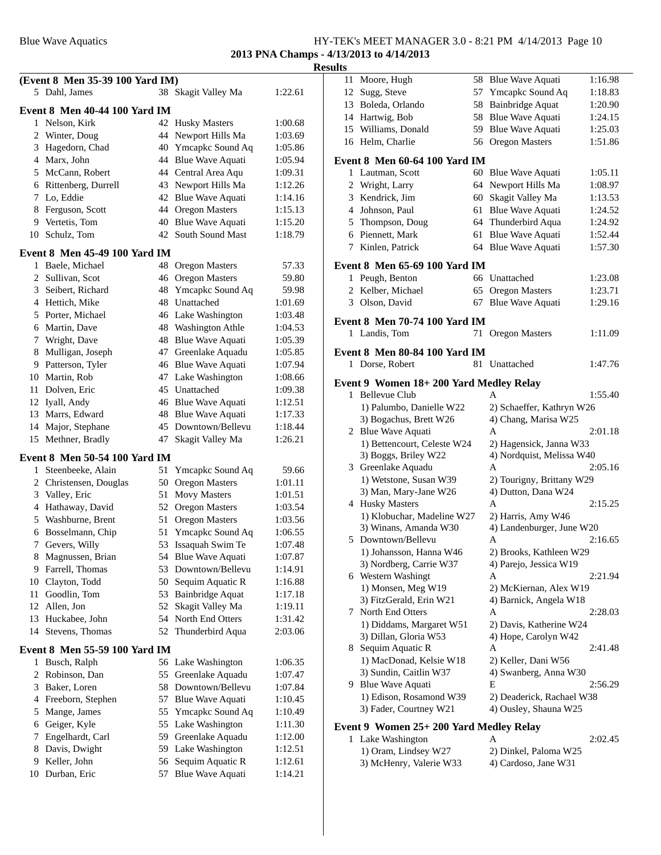#### Blue Wave Aquatics HY-TEK's MEET MANAGER 3.0 - 8:21 PM 4/14/2013 Page 10 **2013 PNA Champs - 4/13/2013 to 4/14/2013**

|          | (Event 8 Men 35-39 100 Yard IM)      |    |                         |                    |
|----------|--------------------------------------|----|-------------------------|--------------------|
|          | 5 Dahl, James                        | 38 | Skagit Valley Ma        | 1:22.61            |
|          | Event 8 Men 40-44 100 Yard IM        |    |                         |                    |
| 1        | Nelson, Kirk                         | 42 | <b>Husky Masters</b>    | 1:00.68            |
| 2        | Winter, Doug                         | 44 | Newport Hills Ma        | 1:03.69            |
|          | 3 Hagedorn, Chad                     |    | 40 Ymcapkc Sound Aq     | 1:05.86            |
|          | 4 Marx, John                         |    | 44 Blue Wave Aquati     | 1:05.94            |
|          | 5 McCann, Robert                     |    | 44 Central Area Aqu     | 1:09.31            |
|          | 6 Rittenberg, Durrell                |    | 43 Newport Hills Ma     | 1:12.26            |
|          | 7 Lo, Eddie                          |    | 42 Blue Wave Aquati     | 1:14.16            |
|          | 8 Ferguson, Scott                    |    | 44 Oregon Masters       | 1:15.13            |
|          | 9 Vertetis, Tom                      |    | 40 Blue Wave Aquati     | 1:15.20            |
| 10       | Schulz, Tom                          | 42 | South Sound Mast        | 1:18.79            |
|          | Event 8 Men 45-49 100 Yard IM        |    |                         |                    |
| 1        | Baele, Michael                       | 48 | Oregon Masters          | 57.33              |
| 2        | Sullivan, Scot                       | 46 | <b>Oregon Masters</b>   | 59.80              |
|          | 3 Seibert, Richard                   |    | 48 Ymcapkc Sound Aq     | 59.98              |
|          | 4 Hettich, Mike                      |    | 48 Unattached           | 1:01.69            |
|          | 5 Porter, Michael                    |    | 46 Lake Washington      | 1:03.48            |
|          | 6 Martin, Dave                       |    | 48 Washington Athle     | 1:04.53            |
|          | 7 Wright, Dave                       |    | 48 Blue Wave Aquati     | 1:05.39            |
| 8        | Mulligan, Joseph                     |    | 47 Greenlake Aquadu     | 1:05.85            |
|          | 9 Patterson, Tyler                   |    | 46 Blue Wave Aquati     | 1:07.94            |
|          | 10 Martin, Rob                       |    | 47 Lake Washington      | 1:08.66            |
|          | 11 Dolven, Eric                      |    | 45 Unattached           | 1:09.38            |
|          | 12 Iyall, Andy                       |    | 46 Blue Wave Aquati     | 1:12.51            |
|          | 13 Marrs, Edward                     |    | 48 Blue Wave Aquati     | 1:17.33            |
| 14       | Major, Stephane                      | 45 | Downtown/Bellevu        | 1:18.44            |
| 15       | Methner, Bradly                      | 47 | Skagit Valley Ma        | 1:26.21            |
|          | <b>Event 8 Men 50-54 100 Yard IM</b> |    |                         |                    |
|          | 1 Steenbeeke, Alain                  | 51 | Ymcapkc Sound Aq        | 59.66              |
|          | 2 Christensen, Douglas               | 50 | <b>Oregon Masters</b>   | 1:01.11            |
|          | 3 Valley, Eric                       | 51 | <b>Movy Masters</b>     | 1:01.51            |
|          | 4 Hathaway, David                    | 52 | Oregon Masters          | 1:03.54            |
|          | 5 Washburne, Brent                   | 51 | <b>Oregon Masters</b>   | 1:03.56            |
|          | 6 Bosselmann, Chip                   | 51 | Ymcapkc Sound Aq        | 1:06.55            |
|          | 7 Gevers, Willy                      | 53 | Issaquah Swim Te        | 1:07.48            |
| 8        | Magnussen, Brian                     | 54 | Blue Wave Aquati        | 1:07.87            |
| 9        | Farrell, Thomas                      | 53 | Downtown/Bellevu        | 1:14.91            |
| 10       | Clayton, Todd                        | 50 | Sequim Aquatic R        | 1:16.88            |
| 11       | Goodlin, Tom                         | 53 | <b>Bainbridge Aquat</b> | 1:17.18            |
| 12       | Allen, Jon                           | 52 |                         | 1:19.11            |
|          |                                      | 54 | Skagit Valley Ma        |                    |
| 13<br>14 | Huckabee, John<br>Stevens, Thomas    | 52 | North End Otters        | 1:31.42<br>2:03.06 |
|          |                                      |    | Thunderbird Aqua        |                    |
|          | Event 8 Men 55-59 100 Yard IM        |    |                         |                    |
| 1        | Busch, Ralph                         |    | 56 Lake Washington      | 1:06.35            |
| 2        | Robinson, Dan                        | 55 | Greenlake Aquadu        | 1:07.47            |
| 3        | Baker, Loren                         | 58 | Downtown/Bellevu        | 1:07.84            |
| 4        | Freeborn, Stephen                    | 57 | Blue Wave Aquati        | 1:10.45            |
| 5        | Mange, James                         | 55 | Ymcapkc Sound Aq        | 1:10.49            |
| 6        | Geiger, Kyle                         | 55 | Lake Washington         | 1:11.30            |
| 7        | Engelhardt, Carl                     | 59 | Greenlake Aquadu        | 1:12.00            |
| 8        | Davis, Dwight                        | 59 | Lake Washington         | 1:12.51            |
| 9        | Keller, John                         | 56 | Sequim Aquatic R        | 1:12.61            |
| 10       | Durban, Eric                         | 57 | Blue Wave Aquati        | 1:14.21            |
|          |                                      |    |                         |                    |

| 11           | Moore, Hugh                                                      | 58 | <b>Blue Wave Aquati</b>     | 1:16.98            |
|--------------|------------------------------------------------------------------|----|-----------------------------|--------------------|
| 12           | Sugg, Steve                                                      | 57 | Ymcapkc Sound Aq            | 1:18.83            |
| 13           | Boleda, Orlando                                                  | 58 | <b>Bainbridge Aquat</b>     | 1:20.90            |
|              | 14 Hartwig, Bob                                                  | 58 | Blue Wave Aquati            | 1:24.15            |
| 15           | Williams, Donald                                                 | 59 | <b>Blue Wave Aquati</b>     | 1:25.03            |
| 16           | Helm, Charlie                                                    | 56 | <b>Oregon Masters</b>       | 1:51.86            |
|              | Event 8 Men 60-64 100 Yard IM                                    |    |                             |                    |
|              | 1 Lautman, Scott                                                 |    | 60 Blue Wave Aquati         | 1:05.11            |
| 2            | Wright, Larry                                                    | 64 | Newport Hills Ma            | 1:08.97            |
|              | 3 Kendrick, Jim                                                  | 60 | Skagit Valley Ma            | 1:13.53            |
|              | 4 Johnson, Paul                                                  | 61 | <b>Blue Wave Aquati</b>     | 1:24.52            |
|              | 5 Thompson, Doug                                                 |    | 64 Thunderbird Aqua         | 1:24.92            |
|              | 6 Piennett, Mark                                                 | 61 | Blue Wave Aquati            | 1:52.44            |
| 7            | Kinlen, Patrick                                                  | 64 | Blue Wave Aquati            | 1:57.30            |
|              | Event 8 Men 65-69 100 Yard IM                                    |    |                             |                    |
| 1            | Peugh, Benton                                                    | 66 | Unattached                  | 1:23.08            |
| 2            | Kelber, Michael                                                  | 65 | <b>Oregon Masters</b>       | 1:23.71            |
| 3            | Olson, David                                                     | 67 | <b>Blue Wave Aquati</b>     | 1:29.16            |
|              | <b>Event 8 Men 70-74 100 Yard IM</b>                             |    |                             |                    |
|              | 1 Landis, Tom                                                    | 71 | <b>Oregon Masters</b>       | 1:11.09            |
|              | Event 8 Men 80-84 100 Yard IM                                    |    |                             |                    |
|              | 1 Dorse, Robert                                                  |    | 81 Unattached               | 1:47.76            |
|              | Event 9 Women 18+200 Yard Medley Relay                           |    |                             |                    |
| $\mathbf{1}$ | Bellevue Club                                                    |    | A                           | 1:55.40            |
|              | 1) Palumbo, Danielle W22                                         |    | 2) Schaeffer, Kathryn W26   |                    |
|              | 3) Bogachus, Brett W26                                           |    | 4) Chang, Marisa W25        |                    |
|              | 2 Blue Wave Aquati                                               |    | A                           | 2:01.18            |
|              | 1) Bettencourt, Celeste W24                                      |    | 2) Hagensick, Janna W33     |                    |
|              | 3) Boggs, Briley W22                                             |    | 4) Nordquist, Melissa W40   |                    |
| 3            | Greenlake Aquadu                                                 |    | A                           | 2:05.16            |
|              | 1) Wetstone, Susan W39                                           |    | 2) Tourigny, Brittany W29   |                    |
|              | 3) Man, Mary-Jane W26                                            |    | 4) Dutton, Dana W24         |                    |
| 4            | <b>Husky Masters</b>                                             |    | А                           | 2:15.25            |
|              | 1) Klobuchar, Madeline W27                                       |    | 2) Harris, Amy W46          |                    |
|              | 3) Winans, Amanda W30                                            |    | 4) Landenburger, June W20   |                    |
| 5            | Downtown/Bellevu                                                 |    | A                           | 2:16.65            |
|              | 1) Johansson, Hanna W46                                          |    | 2) Brooks, Kathleen W29     |                    |
|              | 3) Nordberg, Carrie W37                                          |    | 4) Parejo, Jessica W19      |                    |
|              | 6 Western Washingt                                               |    | Α                           | 2:21.94            |
|              | 1) Monsen, Meg W19                                               |    | 2) McKiernan, Alex W19      |                    |
| 7            | 3) FitzGerald, Erin W21<br>North End Otters                      |    | 4) Barnick, Angela W18<br>Α |                    |
|              | 1) Diddams, Margaret W51                                         |    | 2) Davis, Katherine W24     | 2:28.03            |
|              | 3) Dillan, Gloria W53                                            |    | 4) Hope, Carolyn W42        |                    |
| 8            | Sequim Aquatic R                                                 |    | А                           | 2:41.48            |
|              | 1) MacDonad, Kelsie W18                                          |    | 2) Keller, Dani W56         |                    |
|              | 3) Sundin, Caitlin W37                                           |    | 4) Swanberg, Anna W30       |                    |
| 9            | <b>Blue Wave Aquati</b>                                          |    | Е                           | 2:56.29            |
|              | 1) Edison, Rosamond W39                                          |    | 2) Deaderick, Rachael W38   |                    |
|              | 3) Fader, Courtney W21                                           |    | 4) Ousley, Shauna W25       |                    |
|              |                                                                  |    |                             |                    |
|              | Event 9 Women 25+ 200 Yard Medley Relay<br>$\sim$ W <sub>c</sub> |    |                             | $\Omega$ $\Lambda$ |

| 1 Lake Washington       |                       | 2:02.45 |
|-------------------------|-----------------------|---------|
| 1) Oram, Lindsey W27    | 2) Dinkel, Paloma W25 |         |
| 3) McHenry, Valerie W33 | 4) Cardoso, Jane W31  |         |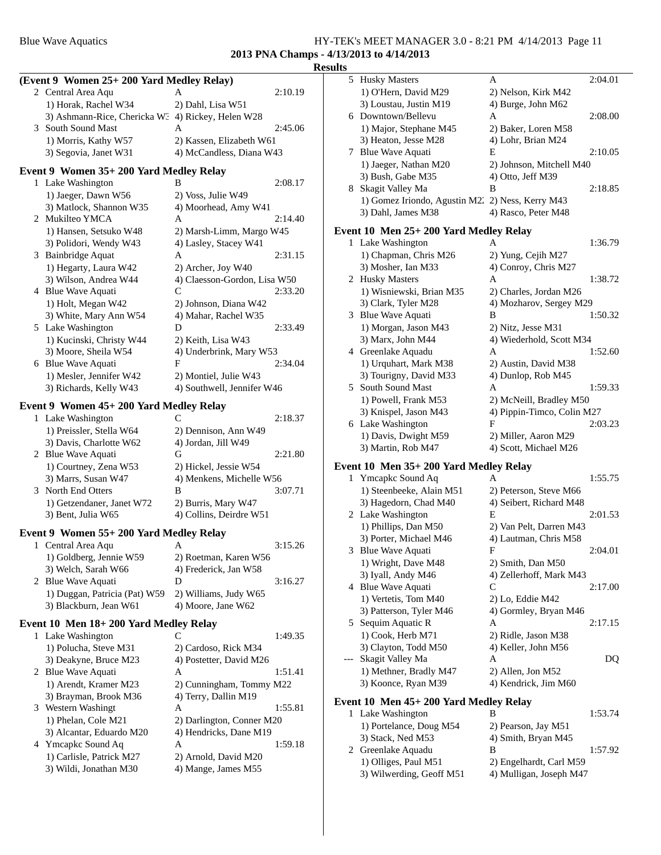#### Blue Wave Aquatics **HY-TEK's MEET MANAGER 3.0 - 8:21 PM 4/14/2013** Page 11 **2013 PNA Champs - 4/13/2013 to 4/14/2013**

#### **Results**

| (Event 9 Women 25+ 200 Yard Medley Relay) |                                                   |                              |         |  |  |
|-------------------------------------------|---------------------------------------------------|------------------------------|---------|--|--|
|                                           | 2 Central Area Aqu                                | A                            | 2:10.19 |  |  |
|                                           | 1) Horak, Rachel W34                              | 2) Dahl, Lisa W51            |         |  |  |
|                                           | 3) Ashmann-Rice, Chericka W: 4) Rickey, Helen W28 |                              |         |  |  |
|                                           | 3 South Sound Mast                                | A                            | 2:45.06 |  |  |
|                                           | 1) Morris, Kathy W57                              | 2) Kassen, Elizabeth W61     |         |  |  |
|                                           | 3) Segovia, Janet W31                             | 4) McCandless, Diana W43     |         |  |  |
|                                           | Event 9 Women 35+ 200 Yard Medley Relay           |                              |         |  |  |
|                                           | 1 Lake Washington                                 | В                            | 2:08.17 |  |  |
|                                           | 1) Jaeger, Dawn W56                               | 2) Voss, Julie W49           |         |  |  |
|                                           | 3) Matlock, Shannon W35                           | 4) Moorhead, Amy W41         |         |  |  |
|                                           | 2 Mukilteo YMCA                                   | A                            | 2:14.40 |  |  |
|                                           | 1) Hansen, Setsuko W48                            | 2) Marsh-Limm, Margo W45     |         |  |  |
|                                           | 3) Polidori, Wendy W43                            | 4) Lasley, Stacey W41        |         |  |  |
|                                           | 3 Bainbridge Aquat                                | А                            | 2:31.15 |  |  |
|                                           | 1) Hegarty, Laura W42                             | 2) Archer, Joy W40           |         |  |  |
|                                           | 3) Wilson, Andrea W44                             | 4) Claesson-Gordon, Lisa W50 |         |  |  |
|                                           | 4 Blue Wave Aquati                                | C                            | 2:33.20 |  |  |
|                                           | 1) Holt, Megan W42                                | 2) Johnson, Diana W42        |         |  |  |
|                                           | 3) White, Mary Ann W54                            | 4) Mahar, Rachel W35         |         |  |  |
|                                           | 5 Lake Washington                                 | D                            | 2:33.49 |  |  |
|                                           | 1) Kucinski, Christy W44                          | 2) Keith, Lisa W43           |         |  |  |
|                                           | 3) Moore, Sheila W54                              | 4) Underbrink, Mary W53      |         |  |  |
| 6                                         | <b>Blue Wave Aquati</b>                           | F                            | 2:34.04 |  |  |
|                                           | 1) Mesler, Jennifer W42                           | 2) Montiel, Julie W43        |         |  |  |
|                                           | 3) Richards, Kelly W43                            | 4) Southwell, Jennifer W46   |         |  |  |
|                                           | Event 9 Women 45+ 200 Yard Medley Relay           |                              |         |  |  |
|                                           | 1 Lake Washington                                 | C                            | 2:18.37 |  |  |
|                                           | 1) Preissler, Stella W64                          | 2) Dennison, Ann W49         |         |  |  |
|                                           | 3) Davis, Charlotte W62                           | 4) Jordan, Jill W49          |         |  |  |
|                                           | 2 Blue Wave Aquati                                | G                            | 2:21.80 |  |  |
|                                           | 1) Courtney, Zena W53                             | 2) Hickel, Jessie W54        |         |  |  |
|                                           | 3) Marrs, Susan W47                               | 4) Menkens, Michelle W56     |         |  |  |
|                                           | 3 North End Otters                                | B                            | 3:07.71 |  |  |
|                                           | 1) Getzendaner, Janet W72                         | 2) Burris, Mary W47          |         |  |  |
|                                           | 3) Bent, Julia W65                                | 4) Collins, Deirdre W51      |         |  |  |
|                                           | Event 9 Women 55+ 200 Yard Medley Relay           |                              |         |  |  |
| 1                                         | Central Area Aqu                                  | Α                            | 3:15.26 |  |  |
|                                           | 1) Goldberg, Jennie W59                           | 2) Roetman, Karen W56        |         |  |  |
|                                           | 3) Welch, Sarah W66                               | 4) Frederick, Jan W58        |         |  |  |
|                                           | 2 Blue Wave Aquati                                | D                            | 3:16.27 |  |  |
|                                           | 1) Duggan, Patricia (Pat) W59                     | 2) Williams, Judy W65        |         |  |  |
|                                           | 3) Blackburn, Jean W61                            | 4) Moore, Jane W62           |         |  |  |
|                                           | Event 10 Men 18+200 Yard Medley Relay             |                              |         |  |  |
|                                           | 1 Lake Washington                                 | C                            | 1:49.35 |  |  |
|                                           | 1) Polucha, Steve M31                             | 2) Cardoso, Rick M34         |         |  |  |
|                                           | 3) Deakyne, Bruce M23                             | 4) Postetter, David M26      |         |  |  |
|                                           | 2 Blue Wave Aquati                                | A                            | 1:51.41 |  |  |
|                                           | 1) Arendt, Kramer M23                             | 2) Cunningham, Tommy M22     |         |  |  |
|                                           | 3) Brayman, Brook M36                             | 4) Terry, Dallin M19         |         |  |  |
|                                           | 3 Western Washingt                                | А                            | 1:55.81 |  |  |
|                                           | 1) Phelan, Cole M21                               | 2) Darlington, Conner M20    |         |  |  |
|                                           | 3) Alcantar, Eduardo M20                          | 4) Hendricks, Dane M19       |         |  |  |
| 4                                         | Ymcapkc Sound Aq                                  | A                            | 1:59.18 |  |  |
|                                           | 1) Carlisle, Patrick M27                          | 2) Arnold, David M20         |         |  |  |
|                                           | 3) Wildi, Jonathan M30                            | 4) Mange, James M55          |         |  |  |
|                                           |                                                   |                              |         |  |  |

| llts |    |                                                  |                                                    |         |
|------|----|--------------------------------------------------|----------------------------------------------------|---------|
|      |    | 5 Husky Masters                                  | Α                                                  | 2:04.01 |
|      |    | 1) O'Hern, David M29                             | 2) Nelson, Kirk M42                                |         |
|      |    | 3) Loustau, Justin M19                           | 4) Burge, John M62                                 |         |
|      | 6  | Downtown/Bellevu                                 | A                                                  | 2:08.00 |
|      |    | 1) Major, Stephane M45                           | 2) Baker, Loren M58                                |         |
|      |    | 3) Heaton, Jesse M28                             | 4) Lohr, Brian M24                                 |         |
|      | 7  | Blue Wave Aquati                                 | Е                                                  | 2:10.05 |
|      |    | 1) Jaeger, Nathan M20<br>3) Bush, Gabe M35       | 2) Johnson, Mitchell M40<br>4) Otto, Jeff M39      |         |
|      | 8  | Skagit Valley Ma                                 | В                                                  | 2:18.85 |
|      |    | 1) Gomez Iriondo, Agustin M2. 2) Ness, Kerry M43 |                                                    |         |
|      |    | 3) Dahl, James M38                               | 4) Rasco, Peter M48                                |         |
|      |    |                                                  |                                                    |         |
|      |    | Event 10 Men 25+ 200 Yard Medley Relay           |                                                    |         |
|      | 1  | Lake Washington                                  | A                                                  | 1:36.79 |
|      |    | 1) Chapman, Chris M26<br>3) Mosher, Ian M33      | 2) Yung, Cejih M27<br>4) Conroy, Chris M27         |         |
|      |    | 2 Husky Masters                                  | A                                                  | 1:38.72 |
|      |    | 1) Wisniewski, Brian M35                         | 2) Charles, Jordan M26                             |         |
|      |    | 3) Clark, Tyler M28                              | 4) Mozharov, Sergey M29                            |         |
|      | 3  | <b>Blue Wave Aquati</b>                          | В                                                  | 1:50.32 |
|      |    | 1) Morgan, Jason M43                             | 2) Nitz, Jesse M31                                 |         |
|      |    | 3) Marx, John M44                                | 4) Wiederhold, Scott M34                           |         |
|      | 4  | Greenlake Aquadu                                 | А                                                  | 1:52.60 |
|      |    | 1) Urquhart, Mark M38                            | 2) Austin, David M38                               |         |
|      |    | 3) Tourigny, David M33                           | 4) Dunlop, Rob M45                                 |         |
|      | 5. | <b>South Sound Mast</b>                          | A                                                  | 1:59.33 |
|      |    | 1) Powell, Frank M53                             | 2) McNeill, Bradley M50                            |         |
|      |    | 3) Knispel, Jason M43                            | 4) Pippin-Timco, Colin M27                         |         |
|      |    | 6 Lake Washington                                | F                                                  | 2:03.23 |
|      |    | 1) Davis, Dwight M59<br>3) Martin, Rob M47       | 2) Miller, Aaron M29<br>4) Scott, Michael M26      |         |
|      |    |                                                  |                                                    |         |
|      |    | Event 10 Men 35+ 200 Yard Medley Relay           |                                                    |         |
|      | 1  | Ymcapkc Sound Aq                                 | A                                                  | 1:55.75 |
|      |    | 1) Steenbeeke, Alain M51                         | 2) Peterson, Steve M66                             |         |
|      |    | 3) Hagedorn, Chad M40<br>2 Lake Washington       | 4) Seibert, Richard M48<br>Е                       | 2:01.53 |
|      |    | 1) Phillips, Dan M50                             | 2) Van Pelt, Darren M43                            |         |
|      |    | 3) Porter, Michael M46                           | 4) Lautman, Chris M58                              |         |
|      |    | 3 Blue Wave Aquati                               | F.                                                 | 2:04.01 |
|      |    | 1) Wright, Dave M48                              | 2) Smith, Dan M50                                  |         |
|      |    | 3) Iyall, Andy M46                               | 4) Zellerhoff, Mark M43                            |         |
|      | 4  | Blue Wave Aquati                                 | C                                                  | 2:17.00 |
|      |    | 1) Vertetis, Tom M40                             | 2) Lo, Eddie M42                                   |         |
|      |    | 3) Patterson, Tyler M46                          | 4) Gormley, Bryan M46                              |         |
|      | 5  | Sequim Aquatic R                                 | Α                                                  | 2:17.15 |
|      |    | 1) Cook, Herb M71                                | 2) Ridle, Jason M38                                |         |
|      |    | 3) Clayton, Todd M50                             | 4) Keller, John M56                                |         |
|      |    | Skagit Valley Ma                                 | А                                                  | DQ      |
|      |    | 1) Methner, Bradly M47                           | 2) Allen, Jon M52<br>4) Kendrick, Jim M60          |         |
|      |    | 3) Koonce, Ryan M39                              |                                                    |         |
|      |    | Event 10 Men 45+ 200 Yard Medley Relay           |                                                    |         |
|      | 1  | Lake Washington                                  | В                                                  | 1:53.74 |
|      |    | 1) Portelance, Doug M54                          | 2) Pearson, Jay M51                                |         |
|      |    | 3) Stack, Ned M53                                | 4) Smith, Bryan M45                                |         |
|      |    | 2 Greenlake Aquadu                               | В                                                  | 1:57.92 |
|      |    | 1) Olliges, Paul M51<br>3) Wilwerding, Geoff M51 | 2) Engelhardt, Carl M59<br>4) Mulligan, Joseph M47 |         |
|      |    |                                                  |                                                    |         |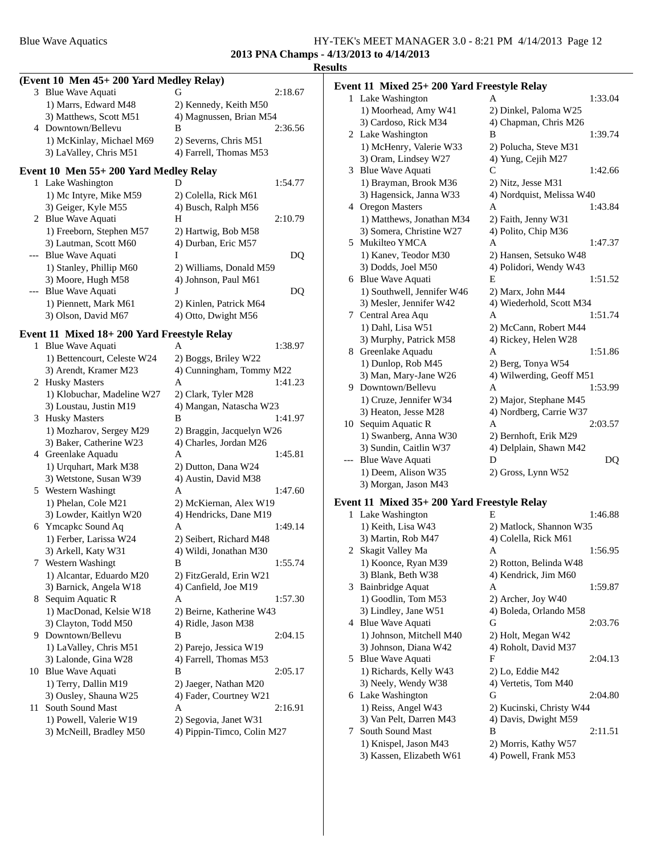|     | (Event 10 Men 45+200 Yard Medley Relay)    |                             |         |
|-----|--------------------------------------------|-----------------------------|---------|
|     | 3 Blue Wave Aquati                         | G                           | 2:18.67 |
|     | 1) Marrs, Edward M48                       | 2) Kennedy, Keith M50       |         |
|     | 3) Matthews, Scott M51                     | 4) Magnussen, Brian M54     |         |
|     | 4 Downtown/Bellevu                         | B                           | 2:36.56 |
|     | 1) McKinlay, Michael M69                   | 2) Severns, Chris M51       |         |
|     | 3) LaValley, Chris M51                     | 4) Farrell, Thomas M53      |         |
|     | Event 10 Men 55+ 200 Yard Medley Relay     |                             |         |
|     | 1 Lake Washington                          | D                           | 1:54.77 |
|     | 1) Mc Intyre, Mike M59                     | 2) Colella, Rick M61        |         |
|     | 3) Geiger, Kyle M55                        | 4) Busch, Ralph M56         |         |
|     | 2 Blue Wave Aquati                         | Н                           | 2:10.79 |
|     | 1) Freeborn, Stephen M57                   | 2) Hartwig, Bob M58         |         |
|     | 3) Lautman, Scott M60                      | 4) Durban, Eric M57         |         |
| --- | Blue Wave Aquati                           | L                           | DQ      |
|     | 1) Stanley, Phillip M60                    | 2) Williams, Donald M59     |         |
|     | 3) Moore, Hugh M58                         | 4) Johnson, Paul M61        |         |
| --- | Blue Wave Aquati                           | J                           | DQ      |
|     | 1) Piennett, Mark M61                      | 2) Kinlen, Patrick M64      |         |
|     | 3) Olson, David M67                        | 4) Otto, Dwight M56         |         |
|     | Event 11 Mixed 18+200 Yard Freestyle Relay |                             |         |
|     | 1 Blue Wave Aquati                         | A                           | 1:38.97 |
|     | 1) Bettencourt, Celeste W24                | 2) Boggs, Briley W22        |         |
|     | 3) Arendt, Kramer M23                      | 4) Cunningham, Tommy M22    |         |
|     | 2 Husky Masters                            | А                           | 1:41.23 |
|     | 1) Klobuchar, Madeline W27                 | 2) Clark, Tyler M28         |         |
|     | 3) Loustau, Justin M19                     | 4) Mangan, Natascha W23     |         |
| 3   | <b>Husky Masters</b>                       | B                           | 1:41.97 |
|     | 1) Mozharov, Sergey M29                    | 2) Braggin, Jacquelyn W26   |         |
|     | 3) Baker, Catherine W23                    | 4) Charles, Jordan M26      |         |
|     | 4 Greenlake Aquadu                         | A                           | 1:45.81 |
|     | 1) Urquhart, Mark M38                      | 2) Dutton, Dana W24         |         |
|     | 3) Wetstone, Susan W39                     | 4) Austin, David M38        |         |
| 5   | Western Washingt                           | А                           | 1:47.60 |
|     | 1) Phelan, Cole M21                        | 2) McKiernan, Alex W19      |         |
|     | 3) Lowder, Kaitlyn W20                     | 4) Hendricks, Dane M19      |         |
| 6   | Ymcapkc Sound Aq                           | A                           | 1:49.14 |
|     | 1) Ferber, Larissa W24                     | 2) Seibert, Richard M48     |         |
|     | 3) Arkell, Katy W31                        | 4) Wildi, Jonathan M30      |         |
| 7   | Western Washingt                           | В                           | 1:55.74 |
|     | 1) Alcantar, Eduardo M20                   | 2) FitzGerald, Erin W21     |         |
|     | 3) Barnick, Angela W18                     | 4) Canfield, Joe M19        |         |
| 8   | Sequim Aquatic R                           | A                           | 1:57.30 |
|     | 1) MacDonad, Kelsie W18                    | 2) Beirne, Katherine W43    |         |
|     | 3) Clayton, Todd M50                       | 4) Ridle, Jason M38         |         |
| 9   | Downtown/Bellevu                           | В                           | 2:04.15 |
|     | 1) LaValley, Chris M51                     | 2) Parejo, Jessica W19      |         |
|     | 3) Lalonde, Gina W28                       | 4) Farrell, Thomas M53      |         |
| 10  | Blue Wave Aquati                           | В                           | 2:05.17 |
|     | 1) Terry, Dallin M19                       | 2) Jaeger, Nathan M20       |         |
| 11  | 3) Ousley, Shauna W25<br>South Sound Mast  | 4) Fader, Courtney W21<br>Α | 2:16.91 |
|     | 1) Powell, Valerie W19                     | 2) Segovia, Janet W31       |         |
|     | 3) McNeill, Bradley M50                    | 4) Pippin-Timco, Colin M27  |         |
|     |                                            |                             |         |

| . |                                             |                       |         |
|---|---------------------------------------------|-----------------------|---------|
|   | Event 11 Mixed 25+ 200 Yard Freestyle Relay |                       |         |
|   | 1 Lake Washington                           |                       | 1:33.04 |
|   | 1) Moorhead, Amy W41                        | 2) Dinkel, Paloma W25 |         |
|   | 3) Cardoso, Rick M34                        | 4) Chapman, Chris M26 |         |
|   | 2 Lake Washington                           | в                     | 1:39.74 |
|   | 1) McHenry, Valerie W33                     | 2) Polucha, Steve M31 |         |
|   | 3) Oram, Lindsey W27                        | 4) Yung, Cejih M27    |         |
|   |                                             |                       |         |

| 3   | Blue Wave Aquati           | C                         | 1:42.66 |
|-----|----------------------------|---------------------------|---------|
|     | 1) Brayman, Brook M36      | 2) Nitz, Jesse M31        |         |
|     | 3) Hagensick, Janna W33    | 4) Nordquist, Melissa W40 |         |
|     | 4 Oregon Masters           | A                         | 1:43.84 |
|     | 1) Matthews, Jonathan M34  | 2) Faith, Jenny W31       |         |
|     | 3) Somera, Christine W27   | 4) Polito, Chip M36       |         |
| 5.  | Mukilteo YMCA              | A                         | 1:47.37 |
|     | 1) Kanev, Teodor M30       | 2) Hansen, Setsuko W48    |         |
|     | 3) Dodds, Joel M50         | 4) Polidori, Wendy W43    |         |
| 6   | Blue Wave Aquati           | E                         | 1:51.52 |
|     | 1) Southwell, Jennifer W46 | 2) Marx, John M44         |         |
|     | 3) Mesler, Jennifer W42    | 4) Wiederhold, Scott M34  |         |
| 7   | Central Area Aqu           | A                         | 1:51.74 |
|     | 1) Dahl, Lisa W51          | 2) McCann, Robert M44     |         |
|     | 3) Murphy, Patrick M58     | 4) Rickey, Helen W28      |         |
| 8   | Greenlake Aquadu           | A                         | 1:51.86 |
|     | 1) Dunlop, Rob M45         | 2) Berg, Tonya W54        |         |
|     | 3) Man, Mary-Jane W26      | 4) Wilwerding, Geoff M51  |         |
| 9   | Downtown/Bellevu           | A                         | 1:53.99 |
|     | 1) Cruze, Jennifer W34     | 2) Major, Stephane M45    |         |
|     | 3) Heaton, Jesse M28       | 4) Nordberg, Carrie W37   |         |
| 10  | Sequim Aquatic R           | A                         | 2:03.57 |
|     | 1) Swanberg, Anna W30      | 2) Bernhoft, Erik M29     |         |
|     | 3) Sundin, Caitlin W37     | 4) Delplain, Shawn M42    |         |
| --- | Blue Wave Aquati           | D                         | DQ      |
|     | 1) Deem, Alison W35        | 2) Gross, Lynn W52        |         |
|     | 3) Morgan, Jason M43       |                           |         |

# **Event 11 Mixed 35+ 200 Yard Freestyle Relay**<br>1 Lake Washington E

| 1            | Lake Washington          | E                        | 1:46.88 |
|--------------|--------------------------|--------------------------|---------|
|              | 1) Keith, Lisa W43       | 2) Matlock, Shannon W35  |         |
|              | 3) Martin, Rob M47       | 4) Colella, Rick M61     |         |
| $\mathbf{2}$ | Skagit Valley Ma         | A                        | 1:56.95 |
|              | 1) Koonce, Ryan M39      | 2) Rotton, Belinda W48   |         |
|              | 3) Blank, Beth W38       | 4) Kendrick, Jim M60     |         |
| 3            | Bainbridge Aquat         | A                        | 1:59.87 |
|              | 1) Goodlin, Tom M53      | 2) Archer, Joy W40       |         |
|              | 3) Lindley, Jane W51     | 4) Boleda, Orlando M58   |         |
| 4            | Blue Wave Aquati         | G                        | 2:03.76 |
|              | 1) Johnson, Mitchell M40 | 2) Holt, Megan W42       |         |
|              | 3) Johnson, Diana W42    | 4) Roholt, David M37     |         |
| 5.           | Blue Wave Aquati         | F                        | 2:04.13 |
|              | 1) Richards, Kelly W43   | 2) Lo, Eddie M42         |         |
|              | 3) Neely, Wendy W38      | 4) Vertetis, Tom M40     |         |
| 6.           | Lake Washington          | G                        | 2:04.80 |
|              | 1) Reiss, Angel W43      | 2) Kucinski, Christy W44 |         |
|              | 3) Van Pelt, Darren M43  | 4) Davis, Dwight M59     |         |
| 7            | <b>South Sound Mast</b>  | B                        | 2:11.51 |
|              | 1) Knispel, Jason M43    | 2) Morris, Kathy W57     |         |
|              | 3) Kassen, Elizabeth W61 | 4) Powell, Frank M53     |         |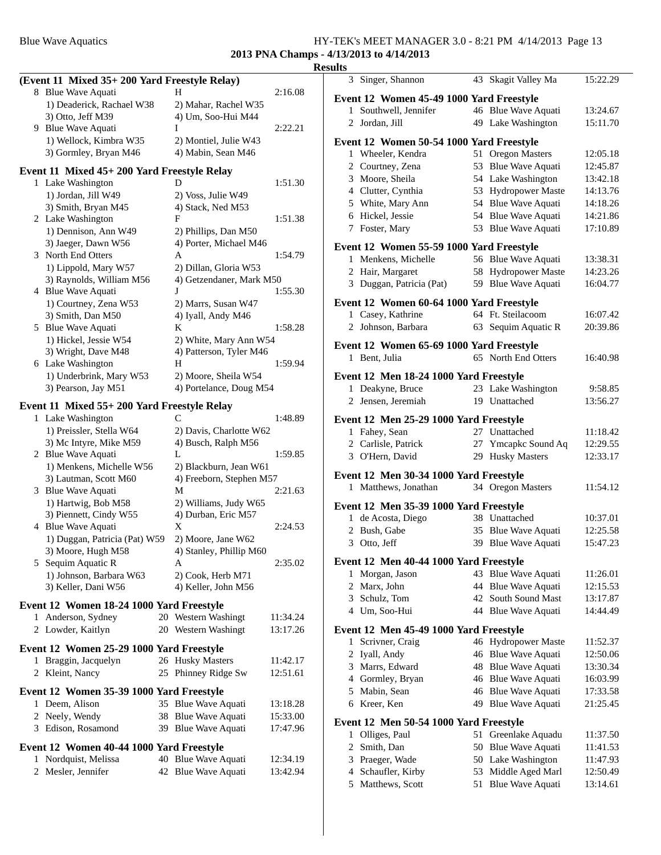#### Blue Wave Aquatics **HY-TEK's MEET MANAGER 3.0 - 8:21 PM 4/14/2013** Page 13 **2013 PNA Champs - 4/13/2013 to 4/14/2013**

|    | (Event 11 Mixed 35+200 Yard Freestyle Relay) |    |                          |          |  |  |
|----|----------------------------------------------|----|--------------------------|----------|--|--|
|    | 8 Blue Wave Aquati                           |    | H                        | 2:16.08  |  |  |
|    | 1) Deaderick, Rachael W38                    |    | 2) Mahar, Rachel W35     |          |  |  |
|    | 3) Otto, Jeff M39                            |    | 4) Um, Soo-Hui M44       |          |  |  |
| 9. | Blue Wave Aquati                             |    | I                        | 2:22.21  |  |  |
|    | 1) Wellock, Kimbra W35                       |    |                          |          |  |  |
|    |                                              |    | 2) Montiel, Julie W43    |          |  |  |
|    | 3) Gormley, Bryan M46                        |    | 4) Mabin, Sean M46       |          |  |  |
|    | Event 11 Mixed 45+ 200 Yard Freestyle Relay  |    |                          |          |  |  |
|    | 1 Lake Washington                            |    | D                        | 1:51.30  |  |  |
|    | 1) Jordan, Jill W49                          |    | 2) Voss, Julie W49       |          |  |  |
|    | 3) Smith, Bryan M45                          |    | 4) Stack, Ned M53        |          |  |  |
|    | 2 Lake Washington                            |    | F                        | 1:51.38  |  |  |
|    |                                              |    |                          |          |  |  |
|    | 1) Dennison, Ann W49                         |    | 2) Phillips, Dan M50     |          |  |  |
|    | 3) Jaeger, Dawn W56                          |    | 4) Porter, Michael M46   |          |  |  |
|    | 3 North End Otters                           |    | A                        | 1:54.79  |  |  |
|    | 1) Lippold, Mary W57                         |    | 2) Dillan, Gloria W53    |          |  |  |
|    | 3) Raynolds, William M56                     |    | 4) Getzendaner, Mark M50 |          |  |  |
|    | 4 Blue Wave Aquati                           |    | J                        | 1:55.30  |  |  |
|    | 1) Courtney, Zena W53                        |    | 2) Marrs, Susan W47      |          |  |  |
|    | 3) Smith, Dan M50                            |    | 4) Iyall, Andy M46       |          |  |  |
|    | 5 Blue Wave Aquati                           |    | K                        | 1:58.28  |  |  |
|    | 1) Hickel, Jessie W54                        |    | 2) White, Mary Ann W54   |          |  |  |
|    | 3) Wright, Dave M48                          |    | 4) Patterson, Tyler M46  |          |  |  |
|    | 6 Lake Washington                            |    | H                        | 1:59.94  |  |  |
|    | 1) Underbrink, Mary W53                      |    | 2) Moore, Sheila W54     |          |  |  |
|    | 3) Pearson, Jay M51                          |    | 4) Portelance, Doug M54  |          |  |  |
|    |                                              |    |                          |          |  |  |
|    | Event 11 Mixed 55+200 Yard Freestyle Relay   |    |                          |          |  |  |
|    | 1 Lake Washington                            |    | C                        | 1:48.89  |  |  |
|    | 1) Preissler, Stella W64                     |    | 2) Davis, Charlotte W62  |          |  |  |
|    | 3) Mc Intyre, Mike M59                       |    | 4) Busch, Ralph M56      |          |  |  |
|    | 2 Blue Wave Aquati                           |    | L                        | 1:59.85  |  |  |
|    | 1) Menkens, Michelle W56                     |    | 2) Blackburn, Jean W61   |          |  |  |
|    | 3) Lautman, Scott M60                        |    | 4) Freeborn, Stephen M57 |          |  |  |
|    | 3 Blue Wave Aquati                           |    | М                        | 2:21.63  |  |  |
|    | 1) Hartwig, Bob M58                          |    | 2) Williams, Judy W65    |          |  |  |
|    | 3) Piennett, Cindy W55                       |    | 4) Durban, Eric M57      |          |  |  |
|    | 4 Blue Wave Aquati                           |    | X                        | 2:24.53  |  |  |
|    | 1) Duggan, Patricia (Pat) W59                |    | 2) Moore, Jane W62       |          |  |  |
|    |                                              |    |                          |          |  |  |
|    | 3) Moore, Hugh M58                           |    | 4) Stanley, Phillip M60  |          |  |  |
|    | 5 Sequim Aquatic R                           |    | А                        | 2:35.02  |  |  |
|    | 1) Johnson, Barbara W63                      |    | 2) Cook, Herb M71        |          |  |  |
|    | 3) Keller, Dani W56                          |    | 4) Keller, John M56      |          |  |  |
|    | Event 12 Women 18-24 1000 Yard Freestyle     |    |                          |          |  |  |
|    | 1 Anderson, Sydney                           |    | 20 Western Washingt      | 11:34.24 |  |  |
|    | 2 Lowder, Kaitlyn                            |    | 20 Western Washingt      | 13:17.26 |  |  |
|    |                                              |    |                          |          |  |  |
|    | Event 12 Women 25-29 1000 Yard Freestyle     |    |                          |          |  |  |
| 1  | Braggin, Jacquelyn                           |    | 26 Husky Masters         | 11:42.17 |  |  |
| 2  | Kleint, Nancy                                | 25 | Phinney Ridge Sw         | 12:51.61 |  |  |
|    |                                              |    |                          |          |  |  |
|    | Event 12 Women 35-39 1000 Yard Freestyle     |    |                          |          |  |  |
|    | 1 Deem, Alison                               |    | 35 Blue Wave Aquati      | 13:18.28 |  |  |
|    | 2 Neely, Wendy                               |    | 38 Blue Wave Aquati      | 15:33.00 |  |  |
|    | 3 Edison, Rosamond                           |    | 39 Blue Wave Aquati      | 17:47.96 |  |  |
|    |                                              |    |                          |          |  |  |
|    | Event 12 Women 40-44 1000 Yard Freestyle     |    |                          |          |  |  |
|    | 1 Nordquist, Melissa                         |    | 40 Blue Wave Aquati      | 12:34.19 |  |  |
|    | 2 Mesler, Jennifer                           |    | 42 Blue Wave Aquati      | 13:42.94 |  |  |
|    |                                              |    |                          |          |  |  |

| 3            | Singer, Shannon                          | 43 | Skagit Valley Ma        | 15:22.29 |
|--------------|------------------------------------------|----|-------------------------|----------|
|              | Event 12 Women 45-49 1000 Yard Freestyle |    |                         |          |
| 1            | Southwell, Jennifer                      |    | 46 Blue Wave Aquati     | 13:24.67 |
| $\mathbf{2}$ | Jordan, Jill                             |    | 49 Lake Washington      | 15:11.70 |
|              | Event 12 Women 50-54 1000 Yard Freestyle |    |                         |          |
|              | 1 Wheeler, Kendra                        |    | 51 Oregon Masters       | 12:05.18 |
|              | 2 Courtney, Zena                         |    | 53 Blue Wave Aquati     | 12:45.87 |
|              | 3 Moore, Sheila                          |    | 54 Lake Washington      | 13:42.18 |
|              | 4 Clutter, Cynthia                       |    | 53 Hydropower Maste     | 14:13.76 |
|              | 5 White, Mary Ann                        |    | 54 Blue Wave Aquati     | 14:18.26 |
|              | 6 Hickel, Jessie                         |    | 54 Blue Wave Aquati     | 14:21.86 |
|              | 7 Foster, Mary                           | 53 | <b>Blue Wave Aquati</b> | 17:10.89 |
|              | Event 12 Women 55-59 1000 Yard Freestyle |    |                         |          |
|              | 1 Menkens, Michelle                      |    | 56 Blue Wave Aquati     | 13:38.31 |
|              | 2 Hair, Margaret                         |    | 58 Hydropower Maste     | 14:23.26 |
|              | 3 Duggan, Patricia (Pat)                 |    | 59 Blue Wave Aquati     | 16:04.77 |
|              | Event 12 Women 60-64 1000 Yard Freestyle |    |                         |          |
|              | 1 Casey, Kathrine                        |    | 64 Ft. Steilacoom       | 16:07.42 |
|              | 2 Johnson, Barbara                       | 63 | Sequim Aquatic R        | 20:39.86 |
|              | Event 12 Women 65-69 1000 Yard Freestyle |    |                         |          |
| 1            | Bent, Julia                              |    | 65 North End Otters     | 16:40.98 |
|              | Event 12 Men 18-24 1000 Yard Freestyle   |    |                         |          |
|              | 1 Deakyne, Bruce                         |    | 23 Lake Washington      | 9:58.85  |
|              | 2 Jensen, Jeremiah                       |    | 19 Unattached           | 13:56.27 |
|              | Event 12 Men 25-29 1000 Yard Freestyle   |    |                         |          |
|              | 1 Fahey, Sean                            |    | 27 Unattached           | 11:18.42 |
|              | 2 Carlisle, Patrick                      |    | 27 Ymcapkc Sound Aq     | 12:29.55 |
|              | 3 O'Hern, David                          | 29 | <b>Husky Masters</b>    | 12:33.17 |
|              | Event 12 Men 30-34 1000 Yard Freestyle   |    |                         |          |
| $\mathbf{1}$ | Matthews, Jonathan                       |    | 34 Oregon Masters       | 11:54.12 |
|              | Event 12 Men 35-39 1000 Yard Freestyle   |    |                         |          |
|              | 1 de Acosta, Diego                       |    | 38 Unattached           | 10:37.01 |
|              | 2 Bush, Gabe                             |    | 35 Blue Wave Aquati     | 12:25.58 |
|              | 3 Otto, Jeff                             |    | 39 Blue Wave Aquati     | 15:47.23 |
|              | Event 12 Men 40-44 1000 Yard Freestyle   |    |                         |          |
| 1            | Morgan, Jason                            |    | 43 Blue Wave Aquati     | 11:26.01 |
|              | 2 Marx, John                             |    | 44 Blue Wave Aquati     | 12:15.53 |
|              | 3 Schulz, Tom                            |    | 42 South Sound Mast     | 13:17.87 |
|              | 4 Um, Soo-Hui                            | 44 | Blue Wave Aquati        | 14:44.49 |
|              | Event 12 Men 45-49 1000 Yard Freestyle   |    |                         |          |
| 1            | Scrivner, Craig                          |    | 46 Hydropower Maste     | 11:52.37 |
|              | 2 Iyall, Andy                            |    | 46 Blue Wave Aquati     | 12:50.06 |
|              | 3 Marrs, Edward                          |    | 48 Blue Wave Aquati     | 13:30.34 |
|              | 4 Gormley, Bryan                         |    | 46 Blue Wave Aquati     | 16:03.99 |
|              | 5 Mabin, Sean                            |    | 46 Blue Wave Aquati     | 17:33.58 |
|              | 6 Kreer, Ken                             |    | 49 Blue Wave Aquati     | 21:25.45 |
|              | Event 12 Men 50-54 1000 Yard Freestyle   |    |                         |          |
| 1            | Olliges, Paul                            | 51 | Greenlake Aquadu        | 11:37.50 |
| 2            | Smith, Dan                               | 50 | Blue Wave Aquati        | 11:41.53 |
|              | 3 Praeger, Wade                          | 50 | Lake Washington         | 11:47.93 |
|              | 4 Schaufler, Kirby                       | 53 | Middle Aged Marl        | 12:50.49 |
| 5            | Matthews, Scott                          | 51 | Blue Wave Aquati        | 13:14.61 |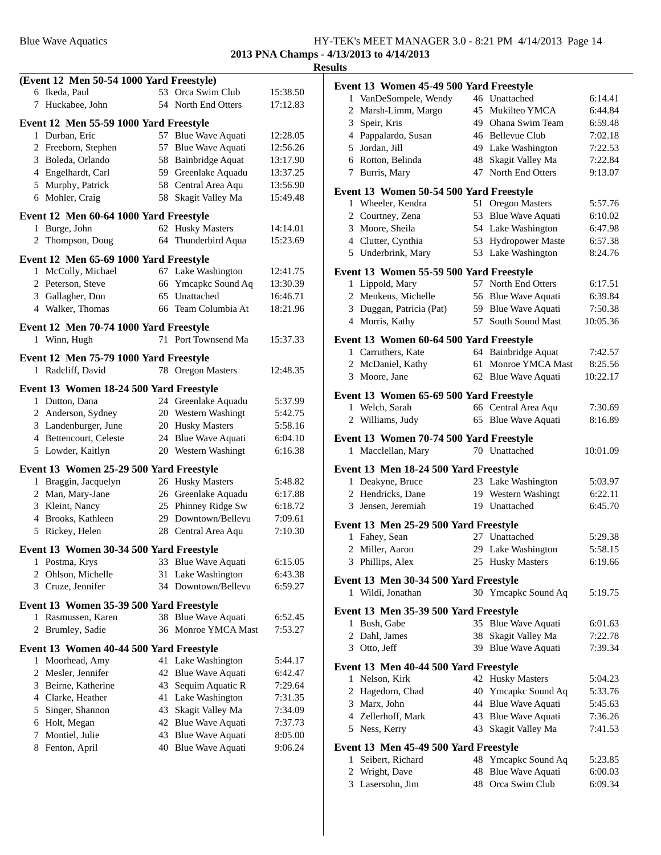|   | (Event 12 Men 50-54 1000 Yard Freestyle) |    |                     |          |
|---|------------------------------------------|----|---------------------|----------|
|   | 6 Ikeda, Paul                            |    | 53 Orca Swim Club   | 15:38.50 |
|   | 7 Huckabee, John                         |    | 54 North End Otters | 17:12.83 |
|   | Event 12 Men 55-59 1000 Yard Freestyle   |    |                     |          |
|   | 1 Durban, Eric                           |    | 57 Blue Wave Aquati | 12:28.05 |
|   | 2 Freeborn, Stephen                      |    | 57 Blue Wave Aquati | 12:56.26 |
|   | 3 Boleda, Orlando                        |    | 58 Bainbridge Aquat | 13:17.90 |
|   | 4 Engelhardt, Carl                       |    | 59 Greenlake Aquadu | 13:37.25 |
|   | 5 Murphy, Patrick                        |    | 58 Central Area Aqu | 13:56.90 |
|   | 6 Mohler, Craig                          |    | 58 Skagit Valley Ma | 15:49.48 |
|   | Event 12 Men 60-64 1000 Yard Freestyle   |    |                     |          |
|   | 1 Burge, John                            |    | 62 Husky Masters    | 14:14.01 |
|   | 2 Thompson, Doug                         |    | 64 Thunderbird Aqua | 15:23.69 |
|   | Event 12 Men 65-69 1000 Yard Freestyle   |    |                     |          |
|   | 1 McColly, Michael                       |    | 67 Lake Washington  | 12:41.75 |
|   | 2 Peterson, Steve                        |    | 66 Ymcapkc Sound Aq | 13:30.39 |
|   | 3 Gallagher, Don                         | 65 | Unattached          | 16:46.71 |
|   | 4 Walker, Thomas                         |    | 66 Team Columbia At | 18:21.96 |
|   | Event 12 Men 70-74 1000 Yard Freestyle   |    |                     |          |
|   | 1 Winn, Hugh                             |    | 71 Port Townsend Ma | 15:37.33 |
|   |                                          |    |                     |          |
|   | Event 12 Men 75-79 1000 Yard Freestyle   |    |                     |          |
|   | 1 Radcliff, David                        |    | 78 Oregon Masters   | 12:48.35 |
|   | Event 13 Women 18-24 500 Yard Freestyle  |    |                     |          |
|   | 1 Dutton, Dana                           |    | 24 Greenlake Aquadu | 5:37.99  |
|   | 2 Anderson, Sydney                       |    | 20 Western Washingt | 5:42.75  |
|   | 3 Landenburger, June                     |    | 20 Husky Masters    | 5:58.16  |
|   | 4 Bettencourt, Celeste                   |    | 24 Blue Wave Aquati | 6:04.10  |
|   | 5 Lowder, Kaitlyn                        |    | 20 Western Washingt | 6:16.38  |
|   | Event 13 Women 25-29 500 Yard Freestyle  |    |                     |          |
|   | 1 Braggin, Jacquelyn                     |    | 26 Husky Masters    | 5:48.82  |
|   | 2 Man, Mary-Jane                         |    | 26 Greenlake Aquadu | 6:17.88  |
|   | 3 Kleint, Nancy                          |    | 25 Phinney Ridge Sw | 6:18.72  |
|   | 4 Brooks, Kathleen                       |    | 29 Downtown/Bellevu | 7:09.61  |
|   | 5 Rickey, Helen                          |    | 28 Central Area Aqu | 7:10.30  |
|   | Event 13 Women 30-34 500 Yard Freestyle  |    |                     |          |
|   | 1 Postma, Krys                           |    | 33 Blue Wave Aquati | 6:15.05  |
| 2 | Ohlson, Michelle                         | 31 | Lake Washington     | 6:43.38  |
|   | 3 Cruze, Jennifer                        |    | 34 Downtown/Bellevu | 6:59.27  |
|   | Event 13 Women 35-39 500 Yard Freestyle  |    |                     |          |
| 1 | Rasmussen, Karen                         |    | 38 Blue Wave Aquati | 6:52.45  |
| 2 | Brumley, Sadie                           |    | 36 Monroe YMCA Mast | 7:53.27  |
|   |                                          |    |                     |          |
|   | Event 13 Women 40-44 500 Yard Freestyle  |    |                     |          |
| 1 | Moorhead, Amy                            |    | 41 Lake Washington  | 5:44.17  |
| 2 | Mesler, Jennifer                         |    | 42 Blue Wave Aquati | 6:42.47  |
|   | 3 Beirne, Katherine                      |    | 43 Sequim Aquatic R | 7:29.64  |
|   | 4 Clarke, Heather                        |    | 41 Lake Washington  | 7:31.35  |
| 5 | Singer, Shannon                          |    | 43 Skagit Valley Ma | 7:34.09  |
|   | 6 Holt, Megan                            |    | 42 Blue Wave Aquati | 7:37.73  |
| 7 | Montiel, Julie                           |    | 43 Blue Wave Aquati | 8:05.00  |
| 8 | Fenton, April                            |    | 40 Blue Wave Aquati | 9:06.24  |
|   |                                          |    |                     |          |

| Event 13 Women 45-49 500 Yard Freestyle |    |                         |          |
|-----------------------------------------|----|-------------------------|----------|
| 1 VanDeSompele, Wendy                   |    | 46 Unattached           | 6:14.41  |
| 2 Marsh-Limm, Margo                     |    | 45 Mukilteo YMCA        | 6:44.84  |
| 3 Speir, Kris                           |    | 49 Ohana Swim Team      | 6:59.48  |
| 4 Pappalardo, Susan                     |    | 46 Bellevue Club        | 7:02.18  |
| 5 Jordan, Jill                          |    | 49 Lake Washington      | 7:22.53  |
| 6 Rotton, Belinda                       |    | 48 Skagit Valley Ma     | 7:22.84  |
| 7 Burris, Mary                          |    | 47 North End Otters     | 9:13.07  |
| Event 13 Women 50-54 500 Yard Freestyle |    |                         |          |
| 1 Wheeler, Kendra                       |    | 51 Oregon Masters       | 5:57.76  |
| 2 Courtney, Zena                        |    | 53 Blue Wave Aquati     | 6:10.02  |
| 3 Moore, Sheila                         |    | 54 Lake Washington      | 6:47.98  |
| 4 Clutter, Cynthia                      |    | 53 Hydropower Maste     | 6:57.38  |
| 5 Underbrink, Mary                      |    | 53 Lake Washington      | 8:24.76  |
| Event 13 Women 55-59 500 Yard Freestyle |    |                         |          |
| 1 Lippold, Mary                         |    | 57 North End Otters     | 6:17.51  |
| 2 Menkens, Michelle                     |    | 56 Blue Wave Aquati     | 6:39.84  |
| 3 Duggan, Patricia (Pat)                |    | 59 Blue Wave Aquati     | 7:50.38  |
| 4 Morris, Kathy                         |    | 57 South Sound Mast     | 10:05.36 |
| Event 13 Women 60-64 500 Yard Freestyle |    |                         |          |
| 1 Carruthers, Kate                      |    | 64 Bainbridge Aquat     | 7:42.57  |
| 2 McDaniel, Kathy                       |    | 61 Monroe YMCA Mast     | 8:25.56  |
| 3 Moore, Jane                           |    | 62 Blue Wave Aquati     | 10:22.17 |
| Event 13 Women 65-69 500 Yard Freestyle |    |                         |          |
| 1 Welch, Sarah                          |    | 66 Central Area Aqu     | 7:30.69  |
| 2 Williams, Judy                        |    | 65 Blue Wave Aquati     | 8:16.89  |
| Event 13 Women 70-74 500 Yard Freestyle |    |                         |          |
| 1 Macclellan, Mary                      |    | 70 Unattached           | 10:01.09 |
| Event 13 Men 18-24 500 Yard Freestyle   |    |                         |          |
| 1 Deakyne, Bruce                        |    | 23 Lake Washington      | 5:03.97  |
| 2 Hendricks, Dane                       |    | 19 Western Washingt     | 6:22.11  |
| 3 Jensen, Jeremiah                      |    | 19 Unattached           | 6:45.70  |
| Event 13 Men 25-29 500 Yard Freestyle   |    |                         |          |
| 1 Fahey, Sean                           |    | 27 Unattached           | 5:29.38  |
| 2 Miller, Aaron                         |    | 29 Lake Washington      | 5:58.15  |
| 3 Phillips, Alex                        |    | 25 Husky Masters        | 6:19.66  |
| Event 13 Men 30-34 500 Yard Freestyle   |    |                         |          |
| 1 Wildi, Jonathan                       |    | 30 Ymcapkc Sound Aq     | 5:19.75  |
| Event 13 Men 35-39 500 Yard Freestyle   |    |                         |          |
| 1 Bush, Gabe                            |    | 35 Blue Wave Aquati     | 6:01.63  |
| 2 Dahl, James                           |    | 38 Skagit Valley Ma     | 7:22.78  |
| 3 Otto, Jeff                            |    | 39 Blue Wave Aquati     | 7:39.34  |
| Event 13 Men 40-44 500 Yard Freestyle   |    |                         |          |
| 1 Nelson, Kirk                          |    | 42 Husky Masters        | 5:04.23  |
| 2 Hagedorn, Chad                        |    | 40 Ymcapkc Sound Aq     | 5:33.76  |
| 3 Marx, John                            |    | 44 Blue Wave Aquati     | 5:45.63  |
| 4 Zellerhoff, Mark                      |    | 43 Blue Wave Aquati     | 7:36.26  |
| 5 Ness, Kerry                           |    | 43 Skagit Valley Ma     | 7:41.53  |
| Event 13 Men 45-49 500 Yard Freestyle   |    |                         |          |
| Seibert, Richard<br>1                   | 48 | Ymcapkc Sound Aq        | 5:23.85  |
| Wright, Dave<br>2                       | 48 | <b>Blue Wave Aquati</b> | 6:00.03  |
|                                         |    |                         |          |

3 6:09.34 Lasersohn, Jim 48 Orca Swim Club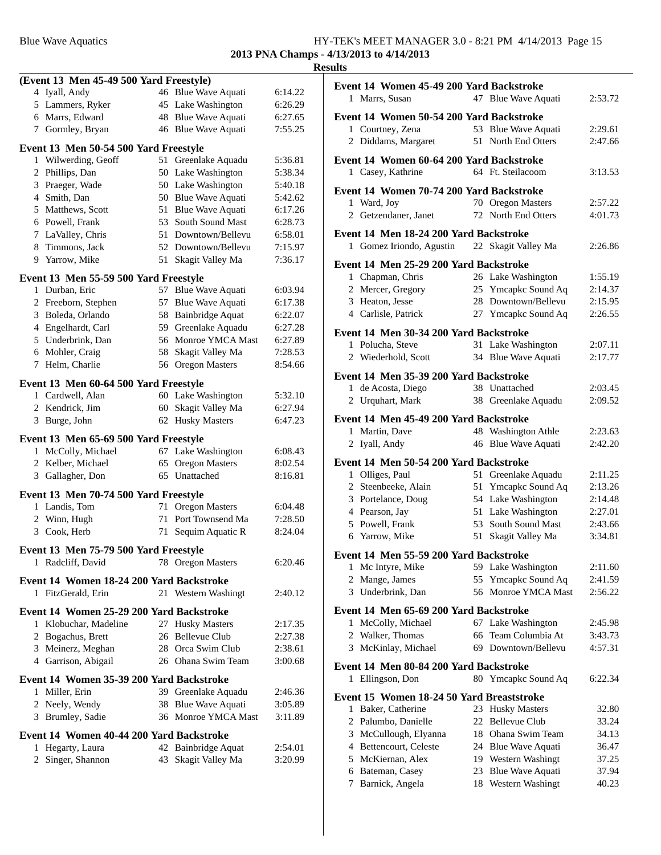| (Event 13 Men 45-49 500 Yard Freestyle)                      |    |                                            |                    |  |
|--------------------------------------------------------------|----|--------------------------------------------|--------------------|--|
| 4 Iyall, Andy                                                |    | 46 Blue Wave Aquati                        | 6:14.22            |  |
| 5 Lammers, Ryker                                             |    | 45 Lake Washington                         | 6:26.29            |  |
| 6 Marrs, Edward                                              |    | 48 Blue Wave Aquati                        | 6:27.65            |  |
| 7 Gormley, Bryan                                             |    | 46 Blue Wave Aquati                        | 7:55.25            |  |
|                                                              |    |                                            |                    |  |
| Event 13 Men 50-54 500 Yard Freestyle                        |    |                                            |                    |  |
| 1 Wilwerding, Geoff                                          |    | 51 Greenlake Aquadu                        | 5:36.81            |  |
| 2 Phillips, Dan                                              |    | 50 Lake Washington                         | 5:38.34            |  |
| 3 Praeger, Wade                                              |    | 50 Lake Washington                         | 5:40.18            |  |
| 4 Smith, Dan                                                 |    | 50 Blue Wave Aquati                        | 5:42.62            |  |
| 5 Matthews, Scott                                            |    | 51 Blue Wave Aquati<br>53 South Sound Mast | 6:17.26            |  |
| 6 Powell, Frank                                              |    |                                            | 6:28.73            |  |
| 7 LaValley, Chris                                            |    | 51 Downtown/Bellevu                        | 6:58.01            |  |
| 8 Timmons, Jack<br>9 Yarrow, Mike                            |    | 52 Downtown/Bellevu<br>51 Skagit Valley Ma | 7:15.97<br>7:36.17 |  |
|                                                              |    |                                            |                    |  |
| Event 13 Men 55-59 500 Yard Freestyle                        |    |                                            |                    |  |
| 1 Durban, Eric                                               | 57 | Blue Wave Aquati                           | 6:03.94            |  |
| 2 Freeborn, Stephen                                          | 57 | Blue Wave Aquati                           | 6:17.38            |  |
| 3 Boleda, Orlando                                            |    | 58 Bainbridge Aquat                        | 6:22.07            |  |
| 4 Engelhardt, Carl                                           |    | 59 Greenlake Aquadu                        | 6:27.28            |  |
| 5 Underbrink, Dan                                            |    | 56 Monroe YMCA Mast                        | 6:27.89            |  |
| 6 Mohler, Craig                                              |    | 58 Skagit Valley Ma                        | 7:28.53            |  |
| 7 Helm, Charlie                                              |    | 56 Oregon Masters                          | 8:54.66            |  |
| Event 13 Men 60-64 500 Yard Freestyle                        |    |                                            |                    |  |
| 1 Cardwell, Alan                                             |    | 60 Lake Washington                         | 5:32.10            |  |
| 2 Kendrick, Jim                                              |    | 60 Skagit Valley Ma                        | 6:27.94            |  |
| 3 Burge, John                                                |    | 62 Husky Masters                           | 6:47.23            |  |
| Event 13 Men 65-69 500 Yard Freestyle                        |    |                                            |                    |  |
| 1 McColly, Michael                                           |    | 67 Lake Washington                         | 6:08.43            |  |
| 2 Kelber, Michael                                            |    | 65 Oregon Masters                          | 8:02.54            |  |
| 3 Gallagher, Don                                             |    | 65 Unattached                              | 8:16.81            |  |
|                                                              |    |                                            |                    |  |
| Event 13 Men 70-74 500 Yard Freestyle                        |    |                                            |                    |  |
| 1 Landis, Tom                                                |    | 71 Oregon Masters                          | 6:04.48            |  |
| 2 Winn, Hugh                                                 |    | 71 Port Townsend Ma                        | 7:28.50            |  |
| 3 Cook, Herb                                                 | 71 | Sequim Aquatic R                           | 8:24.04            |  |
| Event 13 Men 75-79 500 Yard Freestyle                        |    |                                            |                    |  |
| 1 Radcliff, David                                            |    | 78 Oregon Masters                          | 6:20.46            |  |
| Event 14 Women 18-24 200 Yard Backstroke                     |    |                                            |                    |  |
| FitzGerald, Erin<br>1                                        |    | 21 Western Washingt                        | 2:40.12            |  |
|                                                              |    |                                            |                    |  |
| Event 14 Women 25-29 200 Yard Backstroke                     |    |                                            |                    |  |
| 1 Klobuchar, Madeline                                        |    | 27 Husky Masters                           | 2:17.35            |  |
| 2 Bogachus, Brett                                            | 26 | <b>Bellevue Club</b>                       | 2:27.38            |  |
| 3 Meinerz, Meghan                                            |    | 28 Orca Swim Club                          | 2:38.61            |  |
| 4 Garrison, Abigail                                          |    | 26 Ohana Swim Team                         | 3:00.68            |  |
| Event 14 Women 35-39 200 Yard Backstroke                     |    |                                            |                    |  |
| 1 Miller, Erin                                               |    | 39 Greenlake Aquadu                        | 2:46.36            |  |
| 2 Neely, Wendy                                               | 38 | Blue Wave Aquati                           | 3:05.89            |  |
| 3 Brumley, Sadie                                             |    | 36 Monroe YMCA Mast                        | 3:11.89            |  |
|                                                              |    |                                            |                    |  |
| Event 14 Women 40-44 200 Yard Backstroke<br>1 Hegarty, Laura |    | 42 Bainbridge Aquat                        | 2:54.01            |  |
|                                                              |    |                                            |                    |  |
|                                                              |    |                                            |                    |  |
| 2 Singer, Shannon                                            | 43 | Skagit Valley Ma                           | 3:20.99            |  |

| Event 14 Women 45-49 200 Yard Backstroke<br>1 Marrs, Susan    |    | 47 Blue Wave Aquati  | 2:53.72 |
|---------------------------------------------------------------|----|----------------------|---------|
| Event 14 Women 50-54 200 Yard Backstroke                      |    |                      |         |
| 1 Courtney, Zena                                              |    | 53 Blue Wave Aquati  | 2:29.61 |
| 2 Diddams, Margaret                                           |    | 51 North End Otters  | 2:47.66 |
|                                                               |    |                      |         |
| Event 14 Women 60-64 200 Yard Backstroke                      |    |                      |         |
| 1 Casey, Kathrine                                             |    | 64 Ft. Steilacoom    | 3:13.53 |
| Event 14 Women 70-74 200 Yard Backstroke                      |    |                      |         |
| 1 Ward, Joy                                                   |    | 70 Oregon Masters    | 2:57.22 |
| 2 Getzendaner, Janet                                          |    | 72 North End Otters  | 4:01.73 |
| Event 14 Men 18-24 200 Yard Backstroke                        |    |                      |         |
| 1 Gomez Iriondo, Agustin                                      |    | 22 Skagit Valley Ma  | 2:26.86 |
|                                                               |    |                      |         |
| Event 14 Men 25-29 200 Yard Backstroke                        |    |                      |         |
| 1 Chapman, Chris                                              |    | 26 Lake Washington   | 1:55.19 |
| 2 Mercer, Gregory                                             |    | 25 Ymcapkc Sound Aq  | 2:14.37 |
| 3 Heaton, Jesse                                               |    | 28 Downtown/Bellevu  | 2:15.95 |
| 4 Carlisle, Patrick                                           |    | 27 Ymcapkc Sound Aq  | 2:26.55 |
| Event 14 Men 30-34 200 Yard Backstroke                        |    |                      |         |
| 1 Polucha, Steve                                              |    | 31 Lake Washington   | 2:07.11 |
| 2 Wiederhold, Scott                                           |    | 34 Blue Wave Aquati  | 2:17.77 |
| Event 14 Men 35-39 200 Yard Backstroke                        |    |                      |         |
| 1 de Acosta, Diego                                            |    | 38 Unattached        | 2:03.45 |
| 2 Urquhart, Mark                                              |    | 38 Greenlake Aquadu  | 2:09.52 |
| Event 14 Men 45-49 200 Yard Backstroke                        |    |                      |         |
| 1 Martin, Dave                                                |    | 48 Washington Athle  | 2:23.63 |
| 2 Iyall, Andy                                                 |    | 46 Blue Wave Aquati  | 2:42.20 |
|                                                               |    |                      |         |
| Event 14 Men 50-54 200 Yard Backstroke                        |    |                      |         |
| 1 Olliges, Paul                                               |    | 51 Greenlake Aquadu  | 2:11.25 |
| 2 Steenbeeke, Alain                                           |    | 51 Ymcapkc Sound Aq  | 2:13.26 |
| 3 Portelance, Doug                                            |    | 54 Lake Washington   | 2:14.48 |
| 4 Pearson, Jay                                                |    | 51 Lake Washington   | 2:27.01 |
| 5 Powell, Frank                                               |    | 53 South Sound Mast  | 2:43.66 |
| 6 Yarrow, Mike                                                |    | 51 Skagit Valley Ma  | 3:34.81 |
| Event 14 Men 55-59 200 Yard Backstroke                        |    |                      |         |
| Mc Intyre, Mike<br>1                                          | 59 | Lake Washington      | 2:11.60 |
| Mange, James<br>2                                             | 55 | Ymcapkc Sound Aq     | 2:41.59 |
| Underbrink, Dan<br>3                                          | 56 | Monroe YMCA Mast     | 2:56.22 |
| Event 14 Men 65-69 200 Yard Backstroke                        |    |                      |         |
| McColly, Michael<br>1                                         |    | 67 Lake Washington   | 2:45.98 |
| Walker, Thomas<br>2                                           | 66 | Team Columbia At     | 3:43.73 |
| McKinlay, Michael<br>3                                        |    | 69 Downtown/Bellevu  | 4:57.31 |
|                                                               |    |                      |         |
| Event 14 Men 80-84 200 Yard Backstroke<br>1<br>Ellingson, Don |    | 80 Ymcapkc Sound Aq  | 6:22.34 |
|                                                               |    |                      |         |
| Event 15 Women 18-24 50 Yard Breaststroke                     |    |                      |         |
| Baker, Catherine<br>1                                         | 23 | <b>Husky Masters</b> | 32.80   |
| 2 Palumbo, Danielle                                           | 22 | <b>Bellevue Club</b> | 33.24   |
| 3 McCullough, Elyanna                                         |    | 18 Ohana Swim Team   | 34.13   |
| 4 Bettencourt, Celeste                                        |    | 24 Blue Wave Aquati  | 36.47   |
| 5 McKiernan, Alex                                             |    | 19 Western Washingt  | 37.25   |
| 6 Bateman, Casey                                              |    | 23 Blue Wave Aquati  | 37.94   |
| Barnick, Angela<br>7                                          |    | 18 Western Washingt  | 40.23   |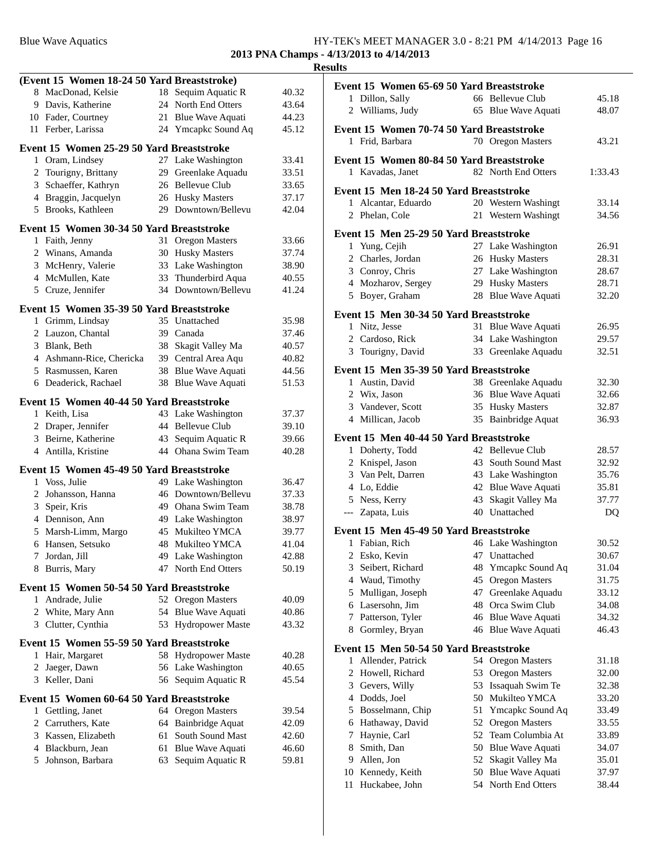|   | (Event 15 Women 18-24 50 Yard Breaststroke) |    |                     |       |
|---|---------------------------------------------|----|---------------------|-------|
|   | 8 MacDonad, Kelsie                          |    | 18 Sequim Aquatic R | 40.32 |
|   | 9 Davis, Katherine                          |    | 24 North End Otters | 43.64 |
|   | 10 Fader, Courtney                          |    | 21 Blue Wave Aquati | 44.23 |
|   | 11 Ferber, Larissa                          |    | 24 Ymcapkc Sound Aq | 45.12 |
|   |                                             |    |                     |       |
|   | Event 15 Women 25-29 50 Yard Breaststroke   |    |                     |       |
|   | 1 Oram, Lindsey                             |    | 27 Lake Washington  | 33.41 |
|   | 2 Tourigny, Brittany                        | 29 | Greenlake Aquadu    | 33.51 |
|   | 3 Schaeffer, Kathryn                        |    | 26 Bellevue Club    | 33.65 |
|   | 4 Braggin, Jacquelyn                        |    | 26 Husky Masters    | 37.17 |
| 5 | Brooks, Kathleen                            |    | 29 Downtown/Bellevu | 42.04 |
|   | Event 15 Women 30-34 50 Yard Breaststroke   |    |                     |       |
|   | 1 Faith, Jenny                              |    | 31 Oregon Masters   | 33.66 |
|   | 2 Winans, Amanda                            |    | 30 Husky Masters    | 37.74 |
|   | 3 McHenry, Valerie                          |    | 33 Lake Washington  | 38.90 |
|   | 4 McMullen, Kate                            |    | 33 Thunderbird Aqua | 40.55 |
|   | 5 Cruze, Jennifer                           |    | 34 Downtown/Bellevu | 41.24 |
|   |                                             |    |                     |       |
|   | Event 15 Women 35-39 50 Yard Breaststroke   |    |                     |       |
|   | 1 Grimm, Lindsay                            |    | 35 Unattached       | 35.98 |
|   | 2 Lauzon, Chantal                           |    | 39 Canada           | 37.46 |
|   | 3 Blank, Beth                               |    | 38 Skagit Valley Ma | 40.57 |
|   | 4 Ashmann-Rice, Chericka                    |    | 39 Central Area Aqu | 40.82 |
|   | 5 Rasmussen, Karen                          |    | 38 Blue Wave Aquati | 44.56 |
|   | 6 Deaderick, Rachael                        |    | 38 Blue Wave Aquati | 51.53 |
|   | Event 15 Women 40-44 50 Yard Breaststroke   |    |                     |       |
|   | 1 Keith, Lisa                               |    | 43 Lake Washington  | 37.37 |
|   | 2 Draper, Jennifer                          |    | 44 Bellevue Club    | 39.10 |
|   | 3 Beirne, Katherine                         | 43 | Sequim Aquatic R    | 39.66 |
|   | 4 Antilla, Kristine                         | 44 | Ohana Swim Team     | 40.28 |
|   |                                             |    |                     |       |
|   | Event 15 Women 45-49 50 Yard Breaststroke   |    |                     |       |
|   | 1 Voss, Julie                               |    | 49 Lake Washington  | 36.47 |
|   | 2 Johansson, Hanna                          |    | 46 Downtown/Bellevu | 37.33 |
|   | 3 Speir, Kris                               |    | 49 Ohana Swim Team  | 38.78 |
|   | 4 Dennison, Ann                             |    | 49 Lake Washington  | 38.97 |
|   | 5 Marsh-Limm, Margo                         |    | 45 Mukilteo YMCA    | 39.77 |
|   | 6 Hansen, Setsuko                           |    | 48 Mukilteo YMCA    | 41.04 |
| 7 | Jordan, Jill                                | 49 | Lake Washington     | 42.88 |
| 8 | Burris, Mary                                | 47 | North End Otters    | 50.19 |
|   | Event 15 Women 50-54 50 Yard Breaststroke   |    |                     |       |
| 1 | Andrade, Julie                              |    | 52 Oregon Masters   | 40.09 |
| 2 | White, Mary Ann                             | 54 | Blue Wave Aquati    | 40.86 |
|   | 3 Clutter, Cynthia                          |    | 53 Hydropower Maste | 43.32 |
|   |                                             |    |                     |       |
|   | Event 15 Women 55-59 50 Yard Breaststroke   |    |                     |       |
|   | 1 Hair, Margaret                            |    | 58 Hydropower Maste | 40.28 |
|   | 2 Jaeger, Dawn                              |    | 56 Lake Washington  | 40.65 |
|   | 3 Keller, Dani                              |    | 56 Sequim Aquatic R | 45.54 |
|   | Event 15 Women 60-64 50 Yard Breaststroke   |    |                     |       |
| 1 | Gettling, Janet                             |    | 64 Oregon Masters   | 39.54 |
|   | 2 Carruthers, Kate                          |    | 64 Bainbridge Aquat | 42.09 |
|   | 3 Kassen, Elizabeth                         |    | 61 South Sound Mast | 42.60 |
|   | 4 Blackburn, Jean                           |    | 61 Blue Wave Aquati | 46.60 |
| 5 | Johnson, Barbara                            | 63 | Sequim Aquatic R    | 59.81 |
|   |                                             |    |                     |       |
|   |                                             |    |                     |       |

|    | Event 15 Women 65-69 50 Yard Breaststroke |    |                         |         |
|----|-------------------------------------------|----|-------------------------|---------|
|    | 1 Dillon, Sally                           |    | 66 Bellevue Club        | 45.18   |
|    | 2 Williams, Judy                          |    | 65 Blue Wave Aquati     | 48.07   |
|    |                                           |    |                         |         |
|    | Event 15 Women 70-74 50 Yard Breaststroke |    |                         |         |
|    | 1 Frid, Barbara                           |    | 70 Oregon Masters       | 43.21   |
|    | Event 15 Women 80-84 50 Yard Breaststroke |    |                         |         |
|    | 1 Kavadas, Janet                          |    | 82 North End Otters     | 1:33.43 |
|    |                                           |    |                         |         |
|    | Event 15 Men 18-24 50 Yard Breaststroke   |    |                         |         |
|    | 1 Alcantar, Eduardo                       |    | 20 Western Washingt     | 33.14   |
|    | 2 Phelan, Cole                            |    | 21 Western Washingt     | 34.56   |
|    |                                           |    |                         |         |
|    | Event 15 Men 25-29 50 Yard Breaststroke   |    |                         |         |
|    | 1 Yung, Cejih                             |    | 27 Lake Washington      | 26.91   |
|    | 2 Charles, Jordan                         |    | 26 Husky Masters        | 28.31   |
|    | 3 Conroy, Chris                           |    | 27 Lake Washington      | 28.67   |
|    | 4 Mozharov, Sergey                        |    | 29 Husky Masters        | 28.71   |
|    | 5 Boyer, Graham                           |    | 28 Blue Wave Aquati     | 32.20   |
|    | Event 15 Men 30-34 50 Yard Breaststroke   |    |                         |         |
|    | 1 Nitz, Jesse                             |    | 31 Blue Wave Aquati     | 26.95   |
|    | 2 Cardoso, Rick                           |    | 34 Lake Washington      | 29.57   |
|    | 3 Tourigny, David                         |    | 33 Greenlake Aquadu     | 32.51   |
|    |                                           |    |                         |         |
|    | Event 15 Men 35-39 50 Yard Breaststroke   |    |                         |         |
|    | 1 Austin, David                           |    | 38 Greenlake Aquadu     | 32.30   |
|    | 2 Wix, Jason                              |    | 36 Blue Wave Aquati     | 32.66   |
|    | 3 Vandever, Scott                         |    | 35 Husky Masters        | 32.87   |
|    | 4 Millican, Jacob                         |    | 35 Bainbridge Aquat     | 36.93   |
|    | Event 15 Men 40-44 50 Yard Breaststroke   |    |                         |         |
|    | 1 Doherty, Todd                           |    | 42 Bellevue Club        | 28.57   |
|    | 2 Knispel, Jason                          |    | 43 South Sound Mast     | 32.92   |
|    | 3 Van Pelt, Darren                        |    | 43 Lake Washington      | 35.76   |
|    | 4 Lo, Eddie                               |    | 42 Blue Wave Aquati     | 35.81   |
|    | 5 Ness, Kerry                             |    | 43 Skagit Valley Ma     | 37.77   |
|    | --- Zapata, Luis                          |    | 40 Unattached           | DQ      |
|    |                                           |    |                         |         |
|    | Event 15 Men 45-49 50 Yard Breaststroke   |    |                         |         |
|    | 1 Fabian, Rich                            |    | 46 Lake Washington      | 30.52   |
|    | 2 Esko, Kevin                             |    | 47 Unattached           | 30.67   |
| 3  | Seibert, Richard                          | 48 | Ymcapkc Sound Aq        | 31.04   |
| 4  | Waud, Timothy                             | 45 | <b>Oregon Masters</b>   | 31.75   |
| 5  | Mulligan, Joseph                          | 47 | Greenlake Aquadu        | 33.12   |
|    | 6 Lasersohn, Jim                          |    | 48 Orca Swim Club       | 34.08   |
| 7  | Patterson, Tyler                          | 46 | Blue Wave Aquati        | 34.32   |
| 8  | Gormley, Bryan                            | 46 | <b>Blue Wave Aquati</b> | 46.43   |
|    |                                           |    |                         |         |
|    | Event 15 Men 50-54 50 Yard Breaststroke   |    |                         |         |
| 1  | Allender, Patrick                         | 54 | <b>Oregon Masters</b>   | 31.18   |
| 2  | Howell, Richard                           | 53 | <b>Oregon Masters</b>   | 32.00   |
|    | 3 Gevers, Willy                           | 53 | Issaquah Swim Te        | 32.38   |
|    | 4 Dodds, Joel                             | 50 | Mukilteo YMCA           | 33.20   |
| 5  | Bosselmann, Chip                          | 51 | Ymcapkc Sound Aq        | 33.49   |
|    | 6 Hathaway, David                         | 52 | <b>Oregon Masters</b>   | 33.55   |
| 7  | Haynie, Carl                              | 52 | Team Columbia At        | 33.89   |
| 8  | Smith, Dan                                |    | 50 Blue Wave Aquati     | 34.07   |
| 9  | Allen, Jon                                | 52 | Skagit Valley Ma        | 35.01   |
| 10 | Kennedy, Keith                            | 50 | <b>Blue Wave Aquati</b> | 37.97   |
| 11 | Huckabee, John                            | 54 | North End Otters        | 38.44   |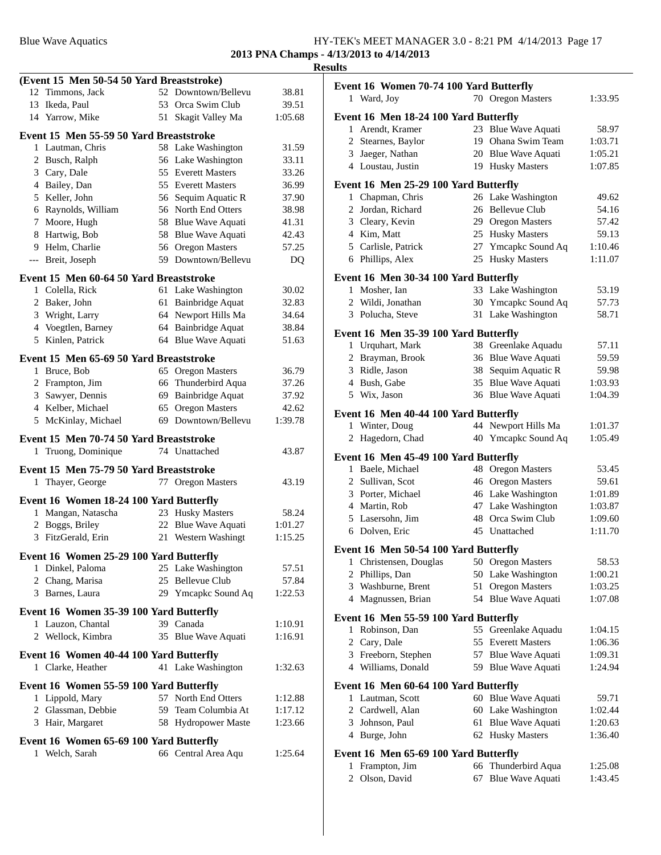|   | (Event 15 Men 50-54 50 Yard Breaststroke) |                     |         |
|---|-------------------------------------------|---------------------|---------|
|   | 12 Timmons, Jack                          | 52 Downtown/Bellevu | 38.81   |
|   | 13 Ikeda, Paul                            | 53 Orca Swim Club   | 39.51   |
|   | 14 Yarrow, Mike                           | 51 Skagit Valley Ma | 1:05.68 |
|   |                                           |                     |         |
|   | Event 15 Men 55-59 50 Yard Breaststroke   |                     |         |
|   | 1 Lautman, Chris                          | 58 Lake Washington  | 31.59   |
|   | 2 Busch, Ralph                            | 56 Lake Washington  | 33.11   |
|   | 3 Cary, Dale                              | 55 Everett Masters  | 33.26   |
|   | 4 Bailey, Dan                             | 55 Everett Masters  | 36.99   |
|   | 5 Keller, John                            | 56 Sequim Aquatic R | 37.90   |
|   | 6 Raynolds, William                       | 56 North End Otters | 38.98   |
|   | 7 Moore, Hugh                             | 58 Blue Wave Aquati | 41.31   |
|   | 8 Hartwig, Bob                            | 58 Blue Wave Aquati | 42.43   |
|   | 9 Helm, Charlie                           | 56 Oregon Masters   | 57.25   |
|   | --- Breit, Joseph                         | 59 Downtown/Bellevu | DQ      |
|   | Event 15 Men 60-64 50 Yard Breaststroke   |                     |         |
|   | 1 Colella, Rick                           | 61 Lake Washington  | 30.02   |
|   | 2 Baker, John                             | 61 Bainbridge Aquat | 32.83   |
|   | 3 Wright, Larry                           | 64 Newport Hills Ma | 34.64   |
|   | 4 Voegtlen, Barney                        | 64 Bainbridge Aquat | 38.84   |
| 5 | Kinlen, Patrick                           | 64 Blue Wave Aquati | 51.63   |
|   | Event 15 Men 65-69 50 Yard Breaststroke   |                     |         |
|   | 1 Bruce, Bob                              | 65 Oregon Masters   | 36.79   |
|   | 2 Frampton, Jim                           | 66 Thunderbird Aqua | 37.26   |
|   | 3 Sawyer, Dennis                          | 69 Bainbridge Aquat | 37.92   |
|   | 4 Kelber, Michael                         | 65 Oregon Masters   | 42.62   |
|   | 5 McKinlay, Michael                       | 69 Downtown/Bellevu | 1:39.78 |
|   |                                           |                     |         |
|   |                                           |                     |         |
|   | Event 15 Men 70-74 50 Yard Breaststroke   |                     |         |
|   | 1 Truong, Dominique                       | 74 Unattached       | 43.87   |
|   | Event 15 Men 75-79 50 Yard Breaststroke   |                     |         |
| 1 | Thayer, George                            | 77 Oregon Masters   | 43.19   |
|   |                                           |                     |         |
|   | Event 16 Women 18-24 100 Yard Butterfly   |                     | 58.24   |
|   | 1 Mangan, Natascha<br>2 Boggs, Briley     | 23 Husky Masters    | 1:01.27 |
|   | 3 FitzGerald, Erin                        | 22 Blue Wave Aquati | 1:15.25 |
|   |                                           | 21 Western Washingt |         |
|   | Event 16 Women 25-29 100 Yard Butterfly   |                     |         |
| 1 | Dinkel, Paloma                            | 25 Lake Washington  | 57.51   |
|   | 2 Chang, Marisa                           | 25 Bellevue Club    | 57.84   |
|   | 3 Barnes, Laura                           | 29 Ymcapkc Sound Aq | 1:22.53 |
|   | Event 16 Women 35-39 100 Yard Butterfly   |                     |         |
|   | 1 Lauzon, Chantal                         | 39 Canada           | 1:10.91 |
| 2 | Wellock, Kimbra                           | 35 Blue Wave Aquati | 1:16.91 |
|   | Event 16 Women 40-44 100 Yard Butterfly   |                     |         |
|   | 1 Clarke, Heather                         | 41 Lake Washington  | 1:32.63 |
|   |                                           |                     |         |
|   | Event 16 Women 55-59 100 Yard Butterfly   |                     |         |
|   | 1 Lippold, Mary                           | 57 North End Otters | 1:12.88 |
|   | 2 Glassman, Debbie                        | 59 Team Columbia At | 1:17.12 |
|   | 3 Hair, Margaret                          | 58 Hydropower Maste | 1:23.66 |
|   | Event 16 Women 65-69 100 Yard Butterfly   |                     |         |
|   | 1 Welch, Sarah                            | 66 Central Area Aqu | 1:25.64 |

|   | Event 16 Women 70-74 100 Yard Butterfly  |          |                                              |                    |
|---|------------------------------------------|----------|----------------------------------------------|--------------------|
|   | 1 Ward, Joy                              |          | 70 Oregon Masters                            | 1:33.95            |
|   | Event 16 Men 18-24 100 Yard Butterfly    |          |                                              |                    |
|   | 1 Arendt, Kramer                         |          | 23 Blue Wave Aquati                          | 58.97              |
|   | 2 Stearnes, Baylor                       |          | 19 Ohana Swim Team                           | 1:03.71            |
|   | 3 Jaeger, Nathan                         |          | 20 Blue Wave Aquati                          | 1:05.21            |
|   | 4 Loustau, Justin                        |          | 19 Husky Masters                             | 1:07.85            |
|   | Event 16 Men 25-29 100 Yard Butterfly    |          |                                              |                    |
|   | 1 Chapman, Chris                         |          | 26 Lake Washington                           | 49.62              |
|   | 2 Jordan, Richard                        |          | 26 Bellevue Club                             | 54.16              |
|   | 3 Cleary, Kevin                          |          | 29 Oregon Masters                            | 57.42              |
|   | 4 Kim, Matt                              |          | 25 Husky Masters                             | 59.13              |
|   | 5 Carlisle, Patrick                      |          | 27 Ymcapkc Sound Aq                          | 1:10.46            |
|   | 6 Phillips, Alex                         |          | 25 Husky Masters                             | 1:11.07            |
|   | Event 16 Men 30-34 100 Yard Butterfly    |          |                                              |                    |
|   | 1 Mosher, Ian                            |          | 33 Lake Washington                           | 53.19              |
|   | 2 Wildi, Jonathan                        |          | 30 Ymcapkc Sound Aq                          | 57.73              |
|   | 3 Polucha, Steve                         | 31       | Lake Washington                              | 58.71              |
|   | Event 16 Men 35-39 100 Yard Butterfly    |          |                                              |                    |
|   | 1 Urquhart, Mark                         |          | 38 Greenlake Aquadu                          | 57.11              |
|   | 2 Brayman, Brook                         |          | 36 Blue Wave Aquati                          | 59.59              |
|   | 3 Ridle, Jason                           |          | 38 Sequim Aquatic R                          | 59.98              |
|   | 4 Bush, Gabe                             |          | 35 Blue Wave Aquati                          | 1:03.93            |
|   | 5 Wix, Jason                             |          | 36 Blue Wave Aquati                          | 1:04.39            |
|   | Event 16 Men 40-44 100 Yard Butterfly    |          |                                              |                    |
|   | 1 Winter, Doug                           |          | 44 Newport Hills Ma                          | 1:01.37            |
|   | 2 Hagedorn, Chad                         |          | 40 Ymcapkc Sound Aq                          | 1:05.49            |
|   |                                          |          |                                              |                    |
|   | Event 16 Men 45-49 100 Yard Butterfly    |          |                                              |                    |
|   | 1 Baele, Michael                         |          | 48 Oregon Masters                            | 53.45              |
|   | 2 Sullivan, Scot                         |          | 46 Oregon Masters                            | 59.61              |
|   | 3 Porter, Michael                        |          | 46 Lake Washington<br>47 Lake Washington     | 1:01.89            |
|   | 4 Martin, Rob<br>5 Lasersohn, Jim        |          | 48 Orca Swim Club                            | 1:03.87<br>1:09.60 |
|   | 6 Dolven, Eric                           |          | 45 Unattached                                | 1:11.70            |
|   |                                          |          |                                              |                    |
|   | Event 16 Men 50-54 100 Yard Butterfly    |          |                                              |                    |
|   | 1 Christensen, Douglas 50 Oregon Masters |          |                                              | 58.53              |
|   | 2 Phillips, Dan<br>3 Washburne, Brent    | 50<br>51 | Lake Washington                              | 1:00.21<br>1:03.25 |
|   | 4 Magnussen, Brian                       |          | <b>Oregon Masters</b><br>54 Blue Wave Aquati | 1:07.08            |
|   |                                          |          |                                              |                    |
|   | Event 16 Men 55-59 100 Yard Butterfly    |          |                                              |                    |
| 1 | Robinson, Dan                            |          | 55 Greenlake Aquadu                          | 1:04.15            |
|   | 2 Cary, Dale                             | 55       | <b>Everett Masters</b>                       | 1:06.36            |
|   | 3 Freeborn, Stephen                      |          | 57 Blue Wave Aquati                          | 1:09.31            |
|   | 4 Williams, Donald                       |          | 59 Blue Wave Aquati                          | 1:24.94            |
|   | Event 16 Men 60-64 100 Yard Butterfly    |          |                                              |                    |
| 1 | Lautman, Scott                           | 60       | Blue Wave Aquati                             | 59.71              |
|   | 2 Cardwell, Alan                         | 60       | Lake Washington                              | 1:02.44            |
|   | 3 Johnson, Paul                          | 61       | Blue Wave Aquati                             | 1:20.63            |
|   | 4 Burge, John                            | 62       | <b>Husky Masters</b>                         | 1:36.40            |
|   | Event 16 Men 65-69 100 Yard Butterfly    |          |                                              |                    |
| 1 | Frampton, Jim                            |          | 66 Thunderbird Aqua                          | 1:25.08            |
| 2 | Olson, David                             | 67       | <b>Blue Wave Aquati</b>                      | 1:43.45            |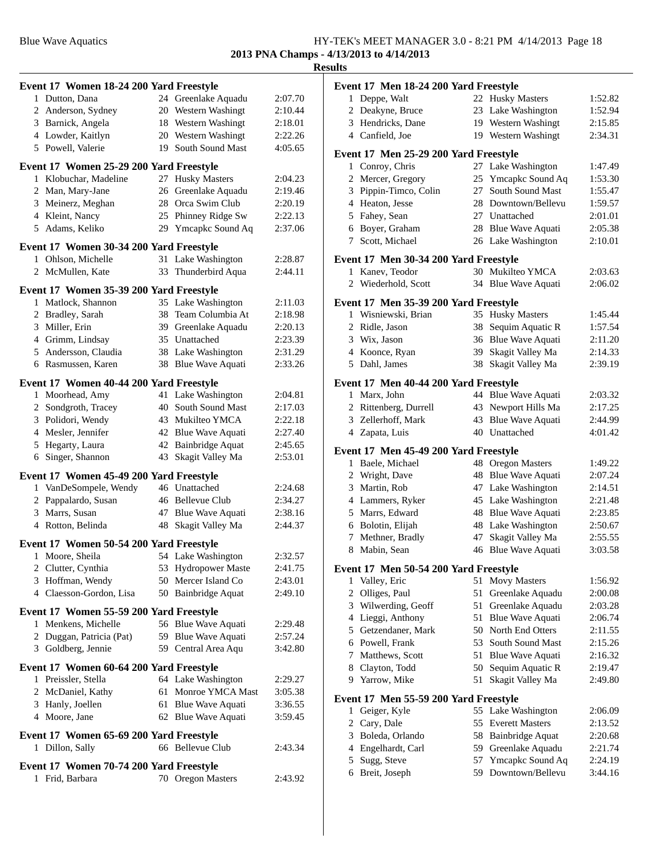|   | Event 17 Women 18-24 200 Yard Freestyle                    |     |                     |         |
|---|------------------------------------------------------------|-----|---------------------|---------|
|   | 1 Dutton, Dana                                             |     | 24 Greenlake Aquadu | 2:07.70 |
|   | 2 Anderson, Sydney                                         |     | 20 Western Washingt | 2:10.44 |
|   | 3 Barnick, Angela                                          |     | 18 Western Washingt | 2:18.01 |
|   | 4 Lowder, Kaitlyn                                          |     | 20 Western Washingt | 2:22.26 |
|   | 5 Powell, Valerie                                          |     | 19 South Sound Mast | 4:05.65 |
|   | Event 17 Women 25-29 200 Yard Freestyle                    |     |                     |         |
|   | 1 Klobuchar, Madeline                                      |     | 27 Husky Masters    | 2:04.23 |
|   | 2 Man, Mary-Jane                                           |     | 26 Greenlake Aquadu | 2:19.46 |
|   | 3 Meinerz, Meghan                                          |     | 28 Orca Swim Club   | 2:20.19 |
|   | 4 Kleint, Nancy                                            |     | 25 Phinney Ridge Sw | 2:22.13 |
|   | 5 Adams, Keliko                                            |     | 29 Ymcapkc Sound Aq | 2:37.06 |
|   | Event 17 Women 30-34 200 Yard Freestyle                    |     |                     |         |
|   | 1 Ohlson, Michelle                                         |     | 31 Lake Washington  | 2:28.87 |
|   | 2 McMullen, Kate                                           | 33  | Thunderbird Aqua    | 2:44.11 |
|   | Event 17 Women 35-39 200 Yard Freestyle                    |     |                     |         |
|   | 1 Matlock, Shannon                                         |     | 35 Lake Washington  | 2:11.03 |
|   | 2 Bradley, Sarah                                           |     | 38 Team Columbia At | 2:18.98 |
|   | 3 Miller, Erin                                             |     | 39 Greenlake Aquadu | 2:20.13 |
|   | 4 Grimm, Lindsay                                           |     | 35 Unattached       | 2:23.39 |
|   | 5 Andersson, Claudia                                       |     | 38 Lake Washington  | 2:31.29 |
|   | 6 Rasmussen, Karen                                         |     | 38 Blue Wave Aquati | 2:33.26 |
|   | Event 17 Women 40-44 200 Yard Freestyle                    |     |                     |         |
|   | 1 Moorhead, Amy                                            |     | 41 Lake Washington  | 2:04.81 |
|   | 2 Sondgroth, Tracey                                        |     | 40 South Sound Mast | 2:17.03 |
|   | 3 Polidori, Wendy                                          |     | 43 Mukilteo YMCA    | 2:22.18 |
|   | 4 Mesler, Jennifer                                         |     | 42 Blue Wave Aquati | 2:27.40 |
|   | 5 Hegarty, Laura                                           |     | 42 Bainbridge Aquat | 2:45.65 |
|   | 6 Singer, Shannon                                          |     | 43 Skagit Valley Ma | 2:53.01 |
|   | Event 17 Women 45-49 200 Yard Freestyle                    |     |                     |         |
|   | 1 VanDeSompele, Wendy                                      |     | 46 Unattached       | 2:24.68 |
|   | 2 Pappalardo, Susan                                        |     | 46 Bellevue Club    | 2:34.27 |
|   | 3 Marrs, Susan                                             |     | 47 Blue Wave Aquati | 2:38.16 |
|   | 4 Rotton, Belinda                                          |     | 48 Skagit Valley Ma | 2:44.37 |
|   | Event 17 Women 50-54 200 Yard Freestyle                    |     |                     |         |
| 1 | Moore, Sheila                                              |     | 54 Lake Washington  | 2:32.57 |
|   | 2 Clutter, Cynthia                                         |     | 53 Hydropower Maste | 2:41.75 |
|   | 3 Hoffman, Wendy                                           |     | 50 Mercer Island Co | 2:43.01 |
|   | 4 Claesson-Gordon, Lisa                                    |     | 50 Bainbridge Aquat | 2:49.10 |
|   | Event 17 Women 55-59 200 Yard Freestyle                    |     |                     |         |
|   | 1 Menkens, Michelle                                        |     | 56 Blue Wave Aquati | 2:29.48 |
| 2 | Duggan, Patricia (Pat)                                     | 59. | Blue Wave Aquati    | 2:57.24 |
|   | 3 Goldberg, Jennie                                         |     | 59 Central Area Aqu | 3:42.80 |
|   | Event 17 Women 60-64 200 Yard Freestyle                    |     |                     |         |
|   | 1 Preissler, Stella                                        |     | 64 Lake Washington  | 2:29.27 |
|   | 2 McDaniel, Kathy                                          |     | 61 Monroe YMCA Mast | 3:05.38 |
|   | 3 Hanly, Joellen                                           |     | 61 Blue Wave Aquati | 3:36.55 |
|   | 4 Moore, Jane                                              |     | 62 Blue Wave Aquati | 3:59.45 |
|   | Event 17 Women 65-69 200 Yard Freestyle                    |     |                     |         |
|   | 1 Dillon, Sally                                            |     | 66 Bellevue Club    | 2:43.34 |
|   |                                                            |     |                     |         |
|   | Event 17 Women 70-74 200 Yard Freestyle<br>1 Frid, Barbara |     | 70 Oregon Masters   | 2:43.92 |
|   |                                                            |     |                     |         |

|                | Event 17 Men 18-24 200 Yard Freestyle |    |                        |         |
|----------------|---------------------------------------|----|------------------------|---------|
|                | 1 Deppe, Walt                         |    | 22 Husky Masters       | 1:52.82 |
|                | 2 Deakyne, Bruce                      |    | 23 Lake Washington     | 1:52.94 |
|                | 3 Hendricks, Dane                     |    | 19 Western Washingt    | 2:15.85 |
|                | 4 Canfield, Joe                       |    | 19 Western Washingt    | 2:34.31 |
|                | Event 17 Men 25-29 200 Yard Freestyle |    |                        |         |
|                | 1 Conroy, Chris                       |    | 27 Lake Washington     | 1:47.49 |
|                | 2 Mercer, Gregory                     |    | 25 Ymcapkc Sound Aq    | 1:53.30 |
|                | 3 Pippin-Timco, Colin                 |    | 27 South Sound Mast    | 1:55.47 |
|                | 4 Heaton, Jesse                       |    | 28 Downtown/Bellevu    | 1:59.57 |
|                | 5 Fahey, Sean                         |    | 27 Unattached          | 2:01.01 |
|                | 6 Boyer, Graham                       |    | 28 Blue Wave Aquati    | 2:05.38 |
|                | 7 Scott, Michael                      |    | 26 Lake Washington     | 2:10.01 |
|                | Event 17 Men 30-34 200 Yard Freestyle |    |                        |         |
|                | 1 Kanev, Teodor                       |    | 30 Mukilteo YMCA       | 2:03.63 |
|                | 2 Wiederhold, Scott                   |    | 34 Blue Wave Aquati    | 2:06.02 |
|                | Event 17 Men 35-39 200 Yard Freestyle |    |                        |         |
|                | 1 Wisniewski, Brian                   |    | 35 Husky Masters       | 1:45.44 |
|                | 2 Ridle, Jason                        |    | 38 Sequim Aquatic R    | 1:57.54 |
|                | 3 Wix, Jason                          |    | 36 Blue Wave Aquati    | 2:11.20 |
|                | 4 Koonce, Ryan                        |    | 39 Skagit Valley Ma    | 2:14.33 |
|                | 5 Dahl, James                         | 38 | Skagit Valley Ma       | 2:39.19 |
|                | Event 17 Men 40-44 200 Yard Freestyle |    |                        |         |
|                | 1 Marx, John                          |    | 44 Blue Wave Aquati    | 2:03.32 |
|                | 2 Rittenberg, Durrell                 |    | 43 Newport Hills Ma    | 2:17.25 |
|                | 3 Zellerhoff, Mark                    |    | 43 Blue Wave Aquati    | 2:44.99 |
|                | 4 Zapata, Luis                        |    | 40 Unattached          | 4:01.42 |
|                | Event 17 Men 45-49 200 Yard Freestyle |    |                        |         |
|                | 1 Baele, Michael                      |    | 48 Oregon Masters      | 1:49.22 |
|                | 2 Wright, Dave                        |    | 48 Blue Wave Aquati    | 2:07.24 |
|                | 3 Martin, Rob                         |    | 47 Lake Washington     | 2:14.51 |
|                | 4 Lammers, Ryker                      |    | 45 Lake Washington     | 2:21.48 |
|                | 5 Marrs, Edward                       |    | 48 Blue Wave Aquati    | 2:23.85 |
|                | 6 Bolotin, Elijah                     |    | 48 Lake Washington     | 2:50.67 |
|                | 7 Methner, Bradly                     |    | 47 Skagit Valley Ma    | 2:55.55 |
|                | 8 Mabin, Sean                         |    | 46 Blue Wave Aquati    | 3:03.58 |
|                | Event 17 Men 50-54 200 Yard Freestyle |    |                        |         |
| 1              | Valley, Eric                          | 51 | Movy Masters           | 1:56.92 |
| $\overline{c}$ | Olliges, Paul                         | 51 | Greenlake Aquadu       | 2:00.08 |
|                | 3 Wilwerding, Geoff                   | 51 | Greenlake Aquadu       | 2:03.28 |
| 4              | Lieggi, Anthony                       | 51 | Blue Wave Aquati       | 2:06.74 |
|                | 5 Getzendaner, Mark                   |    | 50 North End Otters    | 2:11.55 |
|                | 6 Powell, Frank                       |    | 53 South Sound Mast    | 2:15.26 |
| 7              | Matthews, Scott                       | 51 | Blue Wave Aquati       | 2:16.32 |
|                | 8 Clayton, Todd                       | 50 | Sequim Aquatic R       | 2:19.47 |
| 9              | Yarrow, Mike                          | 51 | Skagit Valley Ma       | 2:49.80 |
|                | Event 17 Men 55-59 200 Yard Freestyle |    |                        |         |
| 1              | Geiger, Kyle                          |    | 55 Lake Washington     | 2:06.09 |
| 2              | Cary, Dale                            | 55 | <b>Everett Masters</b> | 2:13.52 |
| 3              | Boleda, Orlando                       |    | 58 Bainbridge Aquat    | 2:20.68 |
|                | 4 Engelhardt, Carl                    |    | 59 Greenlake Aquadu    | 2:21.74 |
| 5              | Sugg, Steve                           | 57 | Ymcapkc Sound Aq       | 2:24.19 |
| 6              | Breit, Joseph                         | 59 | Downtown/Bellevu       | 3:44.16 |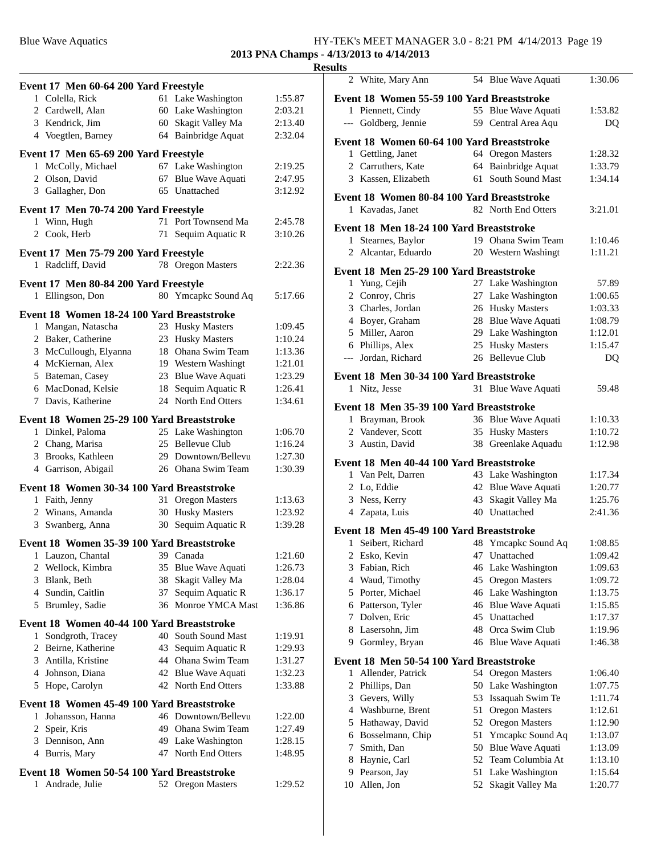#### Blue Wave Aquatics **HY-TEK's MEET MANAGER 3.0 - 8:21 PM 4/14/2013** Page 19 **2013 PNA Champs - 4/13/2013 to 4/14/2013**

# **Resul**

| Event 17 Men 60-64 200 Yard Freestyle                          |                                           |                    |
|----------------------------------------------------------------|-------------------------------------------|--------------------|
| 1 Colella, Rick                                                | 61 Lake Washington                        | 1:55.87            |
| 2 Cardwell, Alan                                               | 60 Lake Washington                        | 2:03.21            |
| 3 Kendrick, Jim                                                | 60 Skagit Valley Ma                       | 2:13.40            |
| 4 Voegtlen, Barney                                             | 64 Bainbridge Aquat                       | 2:32.04            |
|                                                                |                                           |                    |
| Event 17 Men 65-69 200 Yard Freestyle<br>1 McColly, Michael    | 67 Lake Washington                        | 2:19.25            |
| 2 Olson, David                                                 | 67 Blue Wave Aquati                       | 2:47.95            |
| 3 Gallagher, Don                                               | 65 Unattached                             | 3:12.92            |
|                                                                |                                           |                    |
| Event 17 Men 70-74 200 Yard Freestyle                          |                                           |                    |
| 1 Winn, Hugh                                                   | 71 Port Townsend Ma                       | 2:45.78            |
| 2 Cook, Herb                                                   | 71 Sequim Aquatic R                       | 3:10.26            |
| Event 17 Men 75-79 200 Yard Freestyle                          |                                           |                    |
| 1 Radcliff, David                                              | 78 Oregon Masters                         | 2:22.36            |
| Event 17 Men 80-84 200 Yard Freestyle                          |                                           |                    |
| 1 Ellingson, Don                                               | 80 Ymcapkc Sound Aq                       | 5:17.66            |
| Event 18 Women 18-24 100 Yard Breaststroke                     |                                           |                    |
| 1 Mangan, Natascha                                             | 23 Husky Masters                          | 1:09.45            |
| 2 Baker, Catherine                                             | 23 Husky Masters                          | 1:10.24            |
| 3 McCullough, Elyanna                                          | 18 Ohana Swim Team                        | 1:13.36            |
| 4 McKiernan, Alex                                              | 19 Western Washingt                       | 1:21.01            |
| 5 Bateman, Casey                                               | 23 Blue Wave Aquati                       | 1:23.29            |
| 6 MacDonad, Kelsie                                             | 18 Sequim Aquatic R                       | 1:26.41            |
| 7 Davis, Katherine                                             | 24 North End Otters                       | 1:34.61            |
|                                                                |                                           |                    |
| Event 18 Women 25-29 100 Yard Breaststroke<br>1 Dinkel, Paloma | 25 Lake Washington                        | 1:06.70            |
| 2 Chang, Marisa                                                | 25 Bellevue Club                          | 1:16.24            |
|                                                                |                                           |                    |
| 3 Brooks, Kathleen<br>4 Garrison, Abigail                      | 29 Downtown/Bellevu<br>26 Ohana Swim Team | 1:27.30<br>1:30.39 |
|                                                                |                                           |                    |
| Event 18 Women 30-34 100 Yard Breaststroke                     |                                           |                    |
| 1 Faith, Jenny                                                 | 31 Oregon Masters                         | 1:13.63            |
| 2 Winans, Amanda                                               | 30 Husky Masters                          | 1:23.92            |
| 3 Swanberg, Anna                                               | 30 Sequim Aquatic R                       | 1:39.28            |
| Event 18 Women 35-39 100 Yard Breaststroke                     |                                           |                    |
| 1 Lauzon, Chantal                                              | 39 Canada                                 | 1:21.60            |
| 2 Wellock, Kimbra                                              | 35 Blue Wave Aquati                       | 1:26.73            |
| 3 Blank, Beth                                                  | 38<br>Skagit Valley Ma                    | 1:28.04            |
| 4 Sundin, Caitlin                                              | Sequim Aquatic R<br>37                    | 1:36.17            |
| 5 Brumley, Sadie                                               | 36 Monroe YMCA Mast                       | 1:36.86            |
| Event 18 Women 40-44 100 Yard Breaststroke                     |                                           |                    |
| Sondgroth, Tracey<br>1                                         | 40 South Sound Mast                       | 1:19.91            |
| 2 Beirne, Katherine                                            | 43 Sequim Aquatic R                       | 1:29.93            |
| 3 Antilla, Kristine                                            | 44 Ohana Swim Team                        | 1:31.27            |
| 4 Johnson, Diana                                               | 42 Blue Wave Aquati                       | 1:32.23            |
| 5 Hope, Carolyn                                                | 42 North End Otters                       | 1:33.88            |
| Event 18 Women 45-49 100 Yard Breaststroke                     |                                           |                    |
| Johansson, Hanna<br>1                                          | 46 Downtown/Bellevu                       | 1:22.00            |
| 2 Speir, Kris                                                  | 49 Ohana Swim Team                        | 1:27.49            |
| 3 Dennison, Ann                                                | 49 Lake Washington                        | 1:28.15            |
| 4 Burris, Mary                                                 | 47 North End Otters                       | 1:48.95            |
|                                                                |                                           |                    |
| Event 18 Women 50-54 100 Yard Breaststroke                     |                                           |                    |
| 1 Andrade, Julie                                               | 52 Oregon Masters                         | 1:29.52            |
|                                                                |                                           |                    |

| ılts         |                                            |    |                       |         |
|--------------|--------------------------------------------|----|-----------------------|---------|
| 2            | White, Mary Ann                            |    | 54 Blue Wave Aquati   | 1:30.06 |
|              | Event 18 Women 55-59 100 Yard Breaststroke |    |                       |         |
|              | 1 Piennett, Cindy                          |    | 55 Blue Wave Aquati   | 1:53.82 |
|              | --- Goldberg, Jennie                       |    | 59 Central Area Aqu   | DQ      |
|              |                                            |    |                       |         |
|              | Event 18 Women 60-64 100 Yard Breaststroke |    |                       |         |
|              | 1 Gettling, Janet                          |    | 64 Oregon Masters     | 1:28.32 |
|              | 2 Carruthers, Kate                         |    | 64 Bainbridge Aquat   | 1:33.79 |
|              | 3 Kassen, Elizabeth                        | 61 | South Sound Mast      | 1:34.14 |
|              | Event 18 Women 80-84 100 Yard Breaststroke |    |                       |         |
|              | 1 Kavadas, Janet                           |    | 82 North End Otters   | 3:21.01 |
|              |                                            |    |                       |         |
|              | Event 18 Men 18-24 100 Yard Breaststroke   |    |                       |         |
|              | 1 Stearnes, Baylor                         |    | 19 Ohana Swim Team    | 1:10.46 |
|              | 2 Alcantar, Eduardo                        |    | 20 Western Washingt   | 1:11.21 |
|              | Event 18 Men 25-29 100 Yard Breaststroke   |    |                       |         |
|              | 1 Yung, Cejih                              |    | 27 Lake Washington    | 57.89   |
|              | 2 Conroy, Chris                            |    | 27 Lake Washington    | 1:00.65 |
|              | 3 Charles, Jordan                          |    | 26 Husky Masters      | 1:03.33 |
|              | 4 Boyer, Graham                            |    | 28 Blue Wave Aquati   | 1:08.79 |
|              | 5 Miller, Aaron                            |    | 29 Lake Washington    | 1:12.01 |
|              | 6 Phillips, Alex                           |    | 25 Husky Masters      | 1:15.47 |
|              | --- Jordan, Richard                        |    | 26 Bellevue Club      | DQ      |
|              |                                            |    |                       |         |
|              | Event 18 Men 30-34 100 Yard Breaststroke   |    |                       |         |
|              | 1 Nitz, Jesse                              | 31 | Blue Wave Aquati      | 59.48   |
|              | Event 18 Men 35-39 100 Yard Breaststroke   |    |                       |         |
|              | 1 Brayman, Brook                           |    | 36 Blue Wave Aquati   | 1:10.33 |
|              | 2 Vandever, Scott                          |    | 35 Husky Masters      |         |
|              | 3 Austin, David                            |    |                       | 1:10.72 |
|              |                                            |    | 38 Greenlake Aquadu   | 1:12.98 |
|              | Event 18 Men 40-44 100 Yard Breaststroke   |    |                       |         |
|              | 1 Van Pelt, Darren                         |    | 43 Lake Washington    | 1:17.34 |
|              | 2 Lo, Eddie                                |    | 42 Blue Wave Aquati   | 1:20.77 |
|              | 3 Ness, Kerry                              |    | 43 Skagit Valley Ma   | 1:25.76 |
|              | 4 Zapata, Luis                             |    | 40 Unattached         | 2:41.36 |
|              | Event 18 Men 45-49 100 Yard Breaststroke   |    |                       |         |
| $\mathbf{1}$ | Seibert, Richard                           |    | 48 Ymcapkc Sound Aq   | 1:08.85 |
| 2            | Esko, Kevin                                |    | 47 Unattached         |         |
| 3            |                                            |    |                       | 1:09.42 |
|              | Fabian, Rich                               | 46 | Lake Washington       | 1:09.63 |
| 4            | Waud, Timothy                              |    | 45 Oregon Masters     | 1:09.72 |
| 5            | Porter, Michael                            |    | 46 Lake Washington    | 1:13.75 |
| 6            | Patterson, Tyler                           | 46 | Blue Wave Aquati      | 1:15.85 |
| 7            | Dolven, Eric                               | 45 | Unattached            | 1:17.37 |
| 8            | Lasersohn, Jim                             | 48 | Orca Swim Club        | 1:19.96 |
| 9            | Gormley, Bryan                             | 46 | Blue Wave Aquati      | 1:46.38 |
|              | Event 18 Men 50-54 100 Yard Breaststroke   |    |                       |         |
| 1            | Allender, Patrick                          |    | 54 Oregon Masters     | 1:06.40 |
| 2            | Phillips, Dan                              | 50 | Lake Washington       | 1:07.75 |
| 3            | Gevers, Willy                              | 53 | Issaquah Swim Te      | 1:11.74 |
| 4            | Washburne, Brent                           | 51 | <b>Oregon Masters</b> | 1:12.61 |
| 5            | Hathaway, David                            | 52 | <b>Oregon Masters</b> | 1:12.90 |
| 6            |                                            | 51 |                       | 1:13.07 |
|              | Bosselmann, Chip                           |    | Ymcapkc Sound Aq      |         |
| 7            | Smith, Dan                                 | 50 | Blue Wave Aquati      | 1:13.09 |
| 8            | Haynie, Carl                               | 52 | Team Columbia At      | 1:13.10 |
| 9            | Pearson, Jay                               | 51 | Lake Washington       | 1:15.64 |
| 10           | Allen, Jon                                 | 52 | Skagit Valley Ma      | 1:20.77 |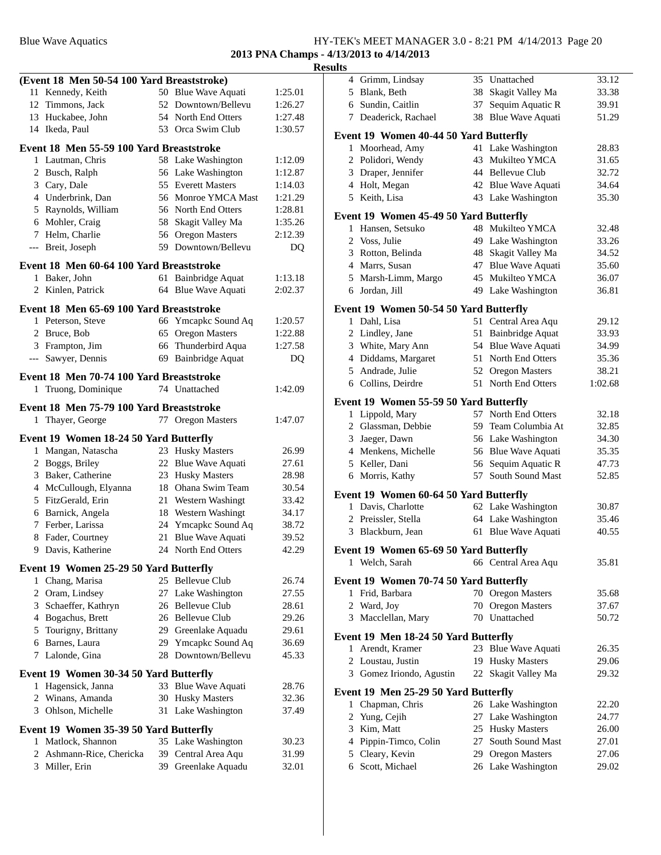#### Blue Wave Aquatics **HY-TEK's MEET MANAGER 3.0 - 8:21 PM 4/14/2013** Page 20 **2013 PNA Champs - 4/13/2013 to 4/14/2013**

|              | (Event 18 Men 50-54 100 Yard Breaststroke) |    |                         |                |
|--------------|--------------------------------------------|----|-------------------------|----------------|
|              | 11 Kennedy, Keith                          |    | 50 Blue Wave Aquati     | 1:25.01        |
|              | 12 Timmons, Jack                           |    | 52 Downtown/Bellevu     | 1:26.27        |
|              | 13 Huckabee, John                          |    | 54 North End Otters     | 1:27.48        |
|              | 14 Ikeda, Paul                             |    | 53 Orca Swim Club       | 1:30.57        |
|              | Event 18 Men 55-59 100 Yard Breaststroke   |    |                         |                |
| $\mathbf{1}$ | Lautman, Chris                             |    | 58 Lake Washington      | 1:12.09        |
|              | 2 Busch, Ralph                             |    | 56 Lake Washington      | 1:12.87        |
|              | 3 Cary, Dale                               |    | 55 Everett Masters      | 1:14.03        |
|              | 4 Underbrink, Dan                          |    | 56 Monroe YMCA Mast     | 1:21.29        |
|              | 5 Raynolds, William                        |    | 56 North End Otters     | 1:28.81        |
|              | 6 Mohler, Craig                            |    | 58 Skagit Valley Ma     | 1:35.26        |
|              | 7 Helm, Charlie                            |    | 56 Oregon Masters       | 2:12.39        |
|              | --- Breit, Joseph                          |    | 59 Downtown/Bellevu     | DQ             |
|              | Event 18 Men 60-64 100 Yard Breaststroke   |    |                         |                |
|              | 1 Baker, John                              | 61 | <b>Bainbridge Aquat</b> | 1:13.18        |
|              | 2 Kinlen, Patrick                          | 64 | <b>Blue Wave Aquati</b> | 2:02.37        |
|              | Event 18 Men 65-69 100 Yard Breaststroke   |    |                         |                |
|              | 1 Peterson, Steve                          |    | 66 Ymcapkc Sound Aq     | 1:20.57        |
|              | 2 Bruce, Bob                               |    | 65 Oregon Masters       | 1:22.88        |
|              | 3 Frampton, Jim                            |    | 66 Thunderbird Aqua     | 1:27.58        |
|              | --- Sawyer, Dennis                         |    | 69 Bainbridge Aquat     | DQ             |
|              |                                            |    |                         |                |
|              | Event 18 Men 70-74 100 Yard Breaststroke   |    |                         |                |
|              | 1 Truong, Dominique                        |    | 74 Unattached           | 1:42.09        |
|              | Event 18 Men 75-79 100 Yard Breaststroke   |    |                         |                |
| 1            | Thayer, George                             |    | 77 Oregon Masters       | 1:47.07        |
|              | Event 19 Women 18-24 50 Yard Butterfly     |    |                         |                |
|              | 1 Mangan, Natascha                         |    | 23 Husky Masters        | 26.99          |
|              | 2 Boggs, Briley                            |    | 22 Blue Wave Aquati     | 27.61          |
|              | 3 Baker, Catherine                         |    | 23 Husky Masters        | 28.98          |
|              | 4 McCullough, Elyanna                      |    | 18 Ohana Swim Team      | 30.54          |
|              | 5 FitzGerald, Erin                         |    | 21 Western Washingt     | 33.42          |
|              | 6 Barnick, Angela                          |    | 18 Western Washingt     | 34.17          |
|              | 7 Ferber, Larissa                          |    | 24 Ymcapkc Sound Aq     | 38.72          |
|              | 8 Fader, Courtney                          |    | 21 Blue Wave Aquati     | 39.52          |
|              | 9 Davis, Katherine                         |    | 24 North End Otters     | 42.29          |
|              | Event 19 Women 25-29 50 Yard Butterfly     |    |                         |                |
| 1            | Chang, Marisa                              |    | 25 Bellevue Club        | 26.74          |
|              | 2 Oram, Lindsey                            |    | 27 Lake Washington      | 27.55          |
|              | 3 Schaeffer, Kathryn                       |    | 26 Bellevue Club        | 28.61          |
|              | 4 Bogachus, Brett                          |    | 26 Bellevue Club        | 29.26          |
|              | 5 Tourigny, Brittany                       |    | 29 Greenlake Aquadu     | 29.61          |
|              | 6 Barnes, Laura                            |    | 29 Ymcapkc Sound Aq     | 36.69          |
| 7            | Lalonde, Gina                              |    | 28 Downtown/Bellevu     | 45.33          |
|              |                                            |    |                         |                |
|              | Event 19 Women 30-34 50 Yard Butterfly     |    |                         |                |
| 1            | Hagensick, Janna                           |    | 33 Blue Wave Aquati     | 28.76          |
|              | 2 Winans, Amanda                           |    | 30 Husky Masters        | 32.36<br>37.49 |
|              | 3 Ohlson, Michelle                         | 31 | Lake Washington         |                |
|              | Event 19 Women 35-39 50 Yard Butterfly     |    |                         |                |
| $\mathbf{1}$ | Matlock, Shannon                           |    | 35 Lake Washington      | 30.23          |
|              | 2 Ashmann-Rice, Chericka                   |    | 39 Central Area Aqu     | 31.99          |
|              | 3 Miller, Erin                             |    | 39 Greenlake Aquadu     | 32.01          |
|              |                                            |    |                         |                |

|                | 4 Grimm, Lindsay                       |    | 35 Unattached         | 33.12   |
|----------------|----------------------------------------|----|-----------------------|---------|
|                | 5 Blank, Beth                          |    | 38 Skagit Valley Ma   | 33.38   |
|                | 6 Sundin, Caitlin                      | 37 | Sequim Aquatic R      | 39.91   |
|                | 7 Deaderick, Rachael                   |    | 38 Blue Wave Aquati   | 51.29   |
|                | Event 19 Women 40-44 50 Yard Butterfly |    |                       |         |
|                | 1 Moorhead, Amy                        |    | 41 Lake Washington    | 28.83   |
|                | 2 Polidori, Wendy                      |    | 43 Mukilteo YMCA      | 31.65   |
|                | 3 Draper, Jennifer                     |    | 44 Bellevue Club      | 32.72   |
|                | 4 Holt, Megan                          |    | 42 Blue Wave Aquati   | 34.64   |
|                | 5 Keith, Lisa                          |    | 43 Lake Washington    | 35.30   |
|                | Event 19 Women 45-49 50 Yard Butterfly |    |                       |         |
|                | 1 Hansen, Setsuko                      |    | 48 Mukilteo YMCA      | 32.48   |
|                | 2 Voss, Julie                          |    | 49 Lake Washington    | 33.26   |
|                | 3 Rotton, Belinda                      |    | 48 Skagit Valley Ma   | 34.52   |
|                | 4 Marrs, Susan                         |    | 47 Blue Wave Aquati   | 35.60   |
|                | 5 Marsh-Limm, Margo                    |    | 45 Mukilteo YMCA      | 36.07   |
|                | 6 Jordan, Jill                         |    | 49 Lake Washington    | 36.81   |
|                | Event 19 Women 50-54 50 Yard Butterfly |    |                       |         |
|                | 1 Dahl, Lisa                           |    | 51 Central Area Aqu   | 29.12   |
|                | 2 Lindley, Jane                        |    | 51 Bainbridge Aquat   | 33.93   |
|                | 3 White, Mary Ann                      |    | 54 Blue Wave Aquati   | 34.99   |
|                | 4 Diddams, Margaret                    |    | 51 North End Otters   | 35.36   |
|                | 5 Andrade, Julie                       |    | 52 Oregon Masters     | 38.21   |
|                | 6 Collins, Deirdre                     | 51 | North End Otters      | 1:02.68 |
|                | Event 19 Women 55-59 50 Yard Butterfly |    |                       |         |
|                | 1 Lippold, Mary                        |    | 57 North End Otters   | 32.18   |
|                | 2 Glassman, Debbie                     |    | 59 Team Columbia At   | 32.85   |
|                | 3 Jaeger, Dawn                         |    | 56 Lake Washington    | 34.30   |
|                | 4 Menkens, Michelle                    |    | 56 Blue Wave Aquati   | 35.35   |
|                | 5 Keller, Dani                         |    | 56 Sequim Aquatic R   | 47.73   |
|                | 6 Morris, Kathy                        |    | 57 South Sound Mast   | 52.85   |
|                | Event 19 Women 60-64 50 Yard Butterfly |    |                       |         |
|                | 1 Davis, Charlotte                     |    | 62 Lake Washington    | 30.87   |
|                | 2 Preissler, Stella                    |    | 64 Lake Washington    | 35.46   |
|                | 3 Blackburn, Jean                      |    | 61 Blue Wave Aquati   | 40.55   |
|                | Event 19 Women 65-69 50 Yard Butterfly |    |                       |         |
|                | 1 Welch, Sarah                         |    | 66 Central Area Aqu   | 35.81   |
|                | Event 19 Women 70-74 50 Yard Butterfly |    |                       |         |
|                | 1 Frid, Barbara                        |    | 70 Oregon Masters     | 35.68   |
| $\overline{c}$ | Ward, Joy                              | 70 | <b>Oregon Masters</b> | 37.67   |
|                | 3 Macclellan, Mary                     |    | 70 Unattached         | 50.72   |
|                | Event 19 Men 18-24 50 Yard Butterfly   |    |                       |         |
|                | 1 Arendt, Kramer                       |    | 23 Blue Wave Aquati   | 26.35   |
|                | 2 Loustau, Justin                      |    | 19 Husky Masters      | 29.06   |
|                | 3 Gomez Iriondo, Agustin               | 22 | Skagit Valley Ma      | 29.32   |
|                | Event 19 Men 25-29 50 Yard Butterfly   |    |                       |         |
| 1              | Chapman, Chris                         |    | 26 Lake Washington    | 22.20   |
|                | 2 Yung, Cejih                          |    | 27 Lake Washington    | 24.77   |
|                | 3 Kim, Matt                            |    | 25 Husky Masters      | 26.00   |
|                | 4 Pippin-Timco, Colin                  |    | 27 South Sound Mast   | 27.01   |
|                | 5 Cleary, Kevin                        |    | 29 Oregon Masters     | 27.06   |
|                | 6 Scott, Michael                       |    | 26 Lake Washington    | 29.02   |
|                |                                        |    |                       |         |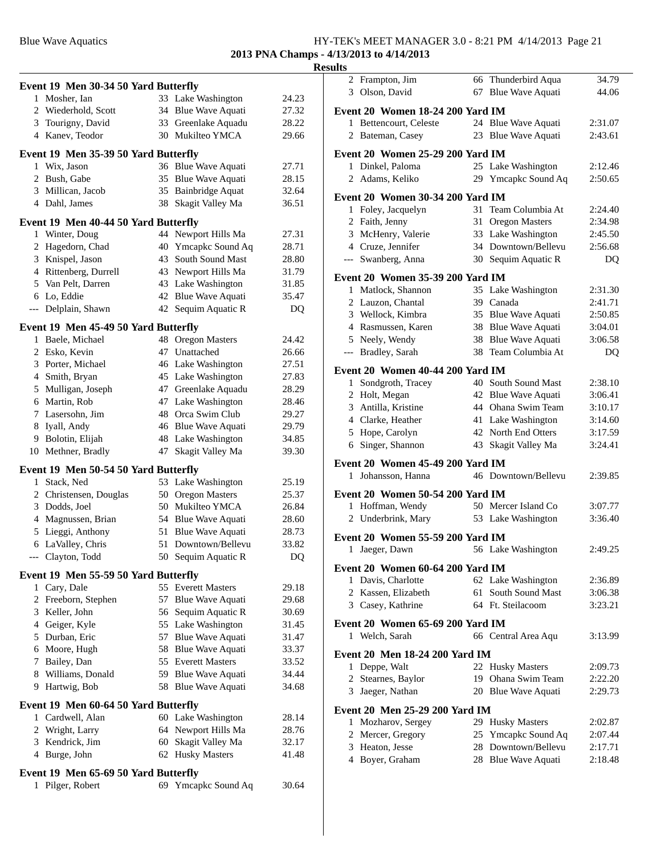#### Blue Wave Aquatics **HY-TEK's MEET MANAGER 3.0 - 8:21 PM 4/14/2013** Page 21 **2013 PNA Champs - 4/13/2013 to 4/14/2013**

|              | Event 19 Men 30-34 50 Yard Butterfly |    |                       |       |
|--------------|--------------------------------------|----|-----------------------|-------|
| 1            | Mosher, Ian                          |    | 33 Lake Washington    | 24.23 |
|              | 2 Wiederhold, Scott                  |    | 34 Blue Wave Aquati   | 27.32 |
|              | 3 Tourigny, David                    |    | 33 Greenlake Aquadu   | 28.22 |
|              | 4 Kanev, Teodor                      |    | 30 Mukilteo YMCA      | 29.66 |
|              |                                      |    |                       |       |
|              | Event 19 Men 35-39 50 Yard Butterfly |    |                       |       |
|              | 1 Wix, Jason                         |    | 36 Blue Wave Aquati   | 27.71 |
|              | 2 Bush, Gabe                         |    | 35 Blue Wave Aquati   | 28.15 |
|              | 3 Millican, Jacob                    |    | 35 Bainbridge Aquat   | 32.64 |
|              | 4 Dahl, James                        | 38 | Skagit Valley Ma      | 36.51 |
|              | Event 19 Men 40-44 50 Yard Butterfly |    |                       |       |
|              | 1 Winter, Doug                       |    | 44 Newport Hills Ma   | 27.31 |
|              | 2 Hagedorn, Chad                     | 40 | Ymcapkc Sound Aq      | 28.71 |
|              | 3 Knispel, Jason                     |    | 43 South Sound Mast   | 28.80 |
|              | 4 Rittenberg, Durrell                |    | 43 Newport Hills Ma   | 31.79 |
|              | 5 Van Pelt, Darren                   |    | 43 Lake Washington    | 31.85 |
|              | 6 Lo, Eddie                          |    | 42 Blue Wave Aquati   | 35.47 |
| $---$        | Delplain, Shawn                      |    | 42 Sequim Aquatic R   | DQ    |
|              | Event 19 Men 45-49 50 Yard Butterfly |    |                       |       |
|              | 1 Baele, Michael                     | 48 | <b>Oregon Masters</b> | 24.42 |
|              | 2 Esko, Kevin                        | 47 | Unattached            | 26.66 |
|              | 3 Porter, Michael                    |    | 46 Lake Washington    | 27.51 |
|              | 4 Smith, Bryan                       |    | 45 Lake Washington    | 27.83 |
|              | 5 Mulligan, Joseph                   |    | 47 Greenlake Aquadu   | 28.29 |
|              | 6 Martin, Rob                        |    | 47 Lake Washington    | 28.46 |
|              | 7 Lasersohn, Jim                     |    | 48 Orca Swim Club     | 29.27 |
|              | 8 Iyall, Andy                        |    | 46 Blue Wave Aquati   | 29.79 |
|              | 9 Bolotin, Elijah                    |    | 48 Lake Washington    | 34.85 |
|              | 10 Methner, Bradly                   | 47 | Skagit Valley Ma      | 39.30 |
|              | Event 19 Men 50-54 50 Yard Butterfly |    |                       |       |
| $\mathbf{1}$ | Stack, Ned                           |    | 53 Lake Washington    | 25.19 |
|              | 2 Christensen, Douglas               | 50 | <b>Oregon Masters</b> | 25.37 |
|              | 3 Dodds, Joel                        | 50 | Mukilteo YMCA         | 26.84 |
|              | 4 Magnussen, Brian                   |    | 54 Blue Wave Aquati   | 28.60 |
|              | 5 Lieggi, Anthony                    | 51 | Blue Wave Aquati      | 28.73 |
|              | 6 LaValley, Chris                    | 51 | Downtown/Bellevu      | 33.82 |
|              | --- Clayton, Todd                    |    | 50 Sequim Aquatic R   | DQ    |
|              |                                      |    |                       |       |
|              | Event 19 Men 55-59 50 Yard Butterfly |    |                       |       |
|              | 1 Cary, Dale                         |    | 55 Everett Masters    | 29.18 |
|              | 2 Freeborn, Stephen                  |    | 57 Blue Wave Aquati   | 29.68 |
|              | 3 Keller, John                       |    | 56 Sequim Aquatic R   | 30.69 |
|              | 4 Geiger, Kyle                       |    | 55 Lake Washington    | 31.45 |
|              | 5 Durban, Eric                       |    | 57 Blue Wave Aquati   | 31.47 |
|              | 6 Moore, Hugh                        |    | 58 Blue Wave Aquati   | 33.37 |
|              | 7 Bailey, Dan                        |    | 55 Everett Masters    | 33.52 |
|              | 8 Williams, Donald                   |    | 59 Blue Wave Aquati   | 34.44 |
| 9            | Hartwig, Bob                         | 58 | Blue Wave Aquati      | 34.68 |
|              | Event 19 Men 60-64 50 Yard Butterfly |    |                       |       |
|              | 1 Cardwell, Alan                     |    | 60 Lake Washington    | 28.14 |
|              | 2 Wright, Larry                      |    | 64 Newport Hills Ma   | 28.76 |
|              | 3 Kendrick, Jim                      |    | 60 Skagit Valley Ma   | 32.17 |
|              | 4 Burge, John                        |    | 62 Husky Masters      | 41.48 |
|              | Event 19 Men 65-69 50 Yard Butterfly |    |                       |       |
| 1            | Pilger, Robert                       |    | 69 Ymcapkc Sound Aq   | 30.64 |
|              |                                      |    |                       |       |
|              |                                      |    |                       |       |

|              | 2 Frampton, Jim                         | 66 | Thunderbird Aqua                        | 34.79   |
|--------------|-----------------------------------------|----|-----------------------------------------|---------|
|              | 3 Olson, David                          |    | 67 Blue Wave Aquati                     | 44.06   |
|              | <b>Event 20 Women 18-24 200 Yard IM</b> |    |                                         |         |
|              | 1 Bettencourt, Celeste                  |    | 24 Blue Wave Aquati                     | 2:31.07 |
|              | 2 Bateman, Casey                        |    | 23 Blue Wave Aquati                     | 2:43.61 |
|              |                                         |    |                                         |         |
|              | <b>Event 20 Women 25-29 200 Yard IM</b> |    |                                         |         |
|              | 1 Dinkel, Paloma                        |    | 25 Lake Washington                      | 2:12.46 |
|              | 2 Adams, Keliko                         |    | 29 Ymcapkc Sound Aq                     | 2:50.65 |
|              | Event 20 Women 30-34 200 Yard IM        |    |                                         |         |
| $\mathbf{1}$ | Foley, Jacquelyn                        | 31 | Team Columbia At                        | 2:24.40 |
|              | 2 Faith, Jenny                          | 31 | <b>Oregon Masters</b>                   | 2:34.98 |
|              | 3 McHenry, Valerie                      |    | 33 Lake Washington                      | 2:45.50 |
|              | 4 Cruze, Jennifer                       |    | 34 Downtown/Bellevu                     | 2:56.68 |
|              | --- Swanberg, Anna                      |    | 30 Sequim Aquatic R                     | DQ      |
|              | Event 20 Women 35-39 200 Yard IM        |    |                                         |         |
|              | 1 Matlock, Shannon                      |    | 35 Lake Washington                      | 2:31.30 |
|              | 2 Lauzon, Chantal                       |    | 39 Canada                               | 2:41.71 |
|              | 3 Wellock, Kimbra                       |    | 35 Blue Wave Aquati                     | 2:50.85 |
|              | 4 Rasmussen, Karen                      | 38 | <b>Blue Wave Aquati</b>                 | 3:04.01 |
|              | 5 Neely, Wendy                          | 38 | <b>Blue Wave Aquati</b>                 | 3:06.58 |
|              | --- Bradley, Sarah                      |    | 38 Team Columbia At                     | DQ      |
|              | Event 20 Women 40-44 200 Yard IM        |    |                                         |         |
|              | 1 Sondgroth, Tracey                     |    | 40 South Sound Mast                     | 2:38.10 |
|              | 2 Holt, Megan                           |    | 42 Blue Wave Aquati                     | 3:06.41 |
|              | 3 Antilla, Kristine                     |    | 44 Ohana Swim Team                      | 3:10.17 |
|              | 4 Clarke, Heather                       |    | 41 Lake Washington                      | 3:14.60 |
|              | 5 Hope, Carolyn                         |    | 42 North End Otters                     | 3:17.59 |
| 6            | Singer, Shannon                         | 43 | Skagit Valley Ma                        | 3:24.41 |
|              | <b>Event 20 Women 45-49 200 Yard IM</b> |    |                                         |         |
| 1            | Johansson, Hanna                        |    | 46 Downtown/Bellevu                     | 2:39.85 |
|              |                                         |    |                                         |         |
|              | <b>Event 20 Women 50-54 200 Yard IM</b> |    |                                         |         |
| $\mathbf{1}$ | Hoffman, Wendy                          |    | 50 Mercer Island Co                     | 3:07.77 |
|              | 2 Underbrink, Mary                      |    | 53 Lake Washington                      | 3:36.40 |
|              | <b>Event 20 Women 55-59 200 Yard IM</b> |    |                                         |         |
| 1            | Jaeger, Dawn                            |    | 56 Lake Washington                      | 2:49.25 |
|              | Event 20 Women 60-64 200 Yard IM        |    |                                         |         |
|              | 1 Davis, Charlotte                      |    | 62 Lake Washington                      | 2:36.89 |
|              | 2 Kassen, Elizabeth                     | 61 | South Sound Mast                        | 3:06.38 |
|              | 3 Casey, Kathrine                       |    | 64 Ft. Steilacoom                       | 3:23.21 |
|              |                                         |    |                                         |         |
|              | Event 20 Women 65-69 200 Yard IM        |    |                                         |         |
| 1            | Welch, Sarah                            |    | 66 Central Area Aqu                     | 3:13.99 |
|              | Event 20 Men 18-24 200 Yard IM          |    |                                         |         |
|              | 1 Deppe, Walt                           |    | 22 Husky Masters                        | 2:09.73 |
| 2            | Stearnes, Baylor                        |    | 19 Ohana Swim Team                      | 2:22.20 |
|              | 3 Jaeger, Nathan                        |    | 20 Blue Wave Aquati                     | 2:29.73 |
|              | Event 20 Men 25-29 200 Yard IM          |    |                                         |         |
| 1            | Mozharov, Sergey                        |    | 29 Husky Masters                        | 2:02.87 |
| 2            |                                         |    |                                         |         |
|              | Mercer, Gregory                         | 25 | Ymcapkc Sound Aq                        | 2:07.44 |
|              | 3 Heaton, Jesse                         | 28 | Downtown/Bellevu<br>28 Blue Wave Aquati | 2:17.71 |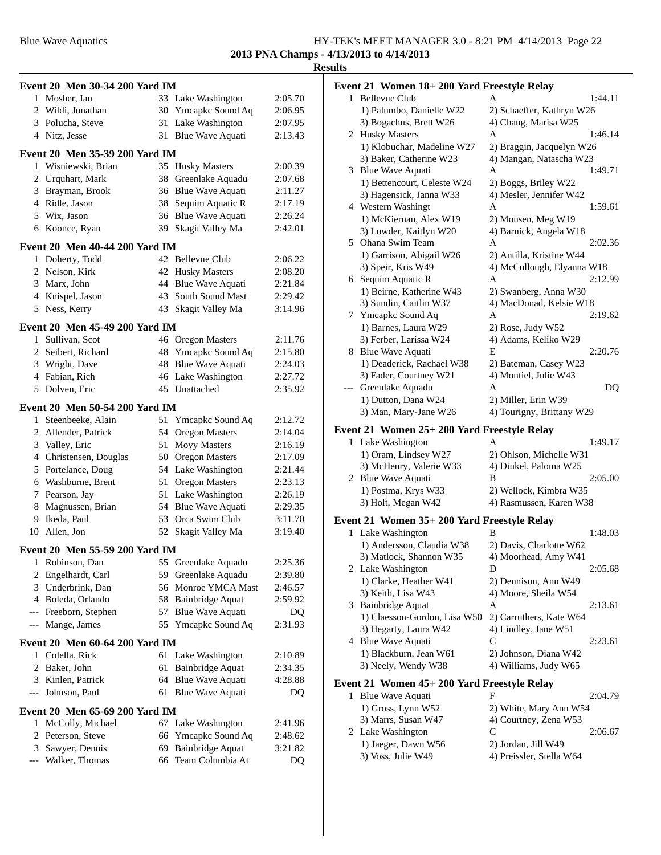|     | Event 20 Men 30-34 200 Yard IM        |     |                     |         |
|-----|---------------------------------------|-----|---------------------|---------|
|     | 1 Mosher, Ian                         |     | 33 Lake Washington  | 2:05.70 |
|     | 2 Wildi, Jonathan                     |     | 30 Ymcapkc Sound Aq | 2:06.95 |
|     | 3 Polucha, Steve                      |     | 31 Lake Washington  | 2:07.95 |
|     | 4 Nitz, Jesse                         |     | 31 Blue Wave Aquati | 2:13.43 |
|     | Event 20 Men 35-39 200 Yard IM        |     |                     |         |
|     | 1 Wisniewski, Brian                   |     | 35 Husky Masters    | 2:00.39 |
|     | 2 Urquhart, Mark                      |     | 38 Greenlake Aquadu | 2:07.68 |
|     | 3 Brayman, Brook                      |     | 36 Blue Wave Aquati | 2:11.27 |
|     | 4 Ridle, Jason                        |     | 38 Sequim Aquatic R | 2:17.19 |
|     | 5 Wix, Jason                          |     | 36 Blue Wave Aquati | 2:26.24 |
|     | 6 Koonce, Ryan                        |     | 39 Skagit Valley Ma | 2:42.01 |
|     | Event 20 Men 40-44 200 Yard IM        |     |                     |         |
|     | 1 Doherty, Todd                       |     | 42 Bellevue Club    | 2:06.22 |
|     | 2 Nelson, Kirk                        |     | 42 Husky Masters    | 2:08.20 |
|     | 3 Marx, John                          |     | 44 Blue Wave Aquati | 2:21.84 |
|     | 4 Knispel, Jason                      |     | 43 South Sound Mast | 2:29.42 |
|     | 5 Ness, Kerry                         |     | 43 Skagit Valley Ma | 3:14.96 |
|     | <b>Event 20 Men 45-49 200 Yard IM</b> |     |                     |         |
|     | 1 Sullivan, Scot                      |     | 46 Oregon Masters   | 2:11.76 |
|     | 2 Seibert, Richard                    |     | 48 Ymcapkc Sound Aq | 2:15.80 |
|     | 3 Wright, Dave                        |     | 48 Blue Wave Aquati | 2:24.03 |
|     | 4 Fabian, Rich                        |     | 46 Lake Washington  | 2:27.72 |
|     | 5 Dolven, Eric                        |     | 45 Unattached       | 2:35.92 |
|     | <b>Event 20 Men 50-54 200 Yard IM</b> |     |                     |         |
| 1   | Steenbeeke, Alain                     | 51  | Ymcapkc Sound Aq    | 2:12.72 |
|     | 2 Allender, Patrick                   |     | 54 Oregon Masters   | 2:14.04 |
|     | 3 Valley, Eric                        |     | 51 Movy Masters     | 2:16.19 |
|     | 4 Christensen, Douglas                |     | 50 Oregon Masters   | 2:17.09 |
|     | 5 Portelance, Doug                    |     | 54 Lake Washington  | 2:21.44 |
|     | 6 Washburne, Brent                    |     | 51 Oregon Masters   | 2:23.13 |
|     | 7 Pearson, Jay                        |     | 51 Lake Washington  | 2:26.19 |
|     | 8 Magnussen, Brian                    |     | 54 Blue Wave Aquati | 2:29.35 |
|     | 9 Ikeda, Paul                         |     | 53 Orca Swim Club   | 3:11.70 |
|     | 10 Allen, Jon                         |     | 52 Skagit Valley Ma | 3:19.40 |
|     | Event 20 Men 55-59 200 Yard IM        |     |                     |         |
| 1   | Robinson, Dan                         | 55  | Greenlake Aquadu    | 2:25.36 |
| 2   | Engelhardt, Carl                      | 59. | Greenlake Aquadu    | 2:39.80 |
|     | 3 Underbrink, Dan                     |     | 56 Monroe YMCA Mast | 2:46.57 |
|     | 4 Boleda, Orlando                     |     | 58 Bainbridge Aquat | 2:59.92 |
|     | --- Freeborn, Stephen                 | 57  | Blue Wave Aquati    | DQ      |
| --- | Mange, James                          | 55  | Ymcapkc Sound Aq    | 2:31.93 |
|     | Event 20 Men 60-64 200 Yard IM        |     |                     |         |
|     | 1 Colella, Rick                       |     | 61 Lake Washington  | 2:10.89 |
| 2   | Baker, John                           | 61  | Bainbridge Aquat    | 2:34.35 |
|     | 3 Kinlen, Patrick                     | 64  | Blue Wave Aquati    | 4:28.88 |
| --- | Johnson, Paul                         | 61  | Blue Wave Aquati    | DQ      |
|     | Event 20 Men 65-69 200 Yard IM        |     |                     |         |
| 1   | McColly, Michael                      |     | 67 Lake Washington  | 2:41.96 |
| 2   | Peterson, Steve                       | 66  | Ymcapkc Sound Aq    | 2:48.62 |
| 3   | Sawyer, Dennis                        | 69  | Bainbridge Aquat    | 3:21.82 |
|     | Walker, Thomas                        | 66  | Team Columbia At    | DQ      |

|     | Event 21 Women 18+200 Yard Freestyle Relay    |                                                 |
|-----|-----------------------------------------------|-------------------------------------------------|
|     | 1 Bellevue Club                               | A<br>1:44.11                                    |
|     | 1) Palumbo, Danielle W22                      | 2) Schaeffer, Kathryn W26                       |
|     | 3) Bogachus, Brett W26                        | 4) Chang, Marisa W25                            |
|     | 2 Husky Masters                               | A<br>1:46.14                                    |
|     | 1) Klobuchar, Madeline W27                    | 2) Braggin, Jacquelyn W26                       |
|     | 3) Baker, Catherine W23                       | 4) Mangan, Natascha W23                         |
| 3   | <b>Blue Wave Aquati</b>                       | 1:49.71<br>Α                                    |
|     | 1) Bettencourt, Celeste W24                   | 2) Boggs, Briley W22                            |
|     | 3) Hagensick, Janna W33                       | 4) Mesler, Jennifer W42                         |
| 4   | Western Washingt                              | A<br>1:59.61                                    |
|     | 1) McKiernan, Alex W19                        | 2) Monsen, Meg W19                              |
|     | 3) Lowder, Kaitlyn W20                        | 4) Barnick, Angela W18                          |
| 5   | Ohana Swim Team                               | А<br>2:02.36                                    |
|     | 1) Garrison, Abigail W26                      | 2) Antilla, Kristine W44                        |
|     | 3) Speir, Kris W49                            | 4) McCullough, Elyanna W18                      |
| 6   | Sequim Aquatic R                              | A<br>2:12.99                                    |
|     | 1) Beirne, Katherine W43                      | 2) Swanberg, Anna W30                           |
|     | 3) Sundin, Caitlin W37                        | 4) MacDonad, Kelsie W18                         |
| 7   | Ymcapkc Sound Aq                              | A<br>2:19.62                                    |
|     | 1) Barnes, Laura W29                          | 2) Rose, Judy W52                               |
|     | 3) Ferber, Larissa W24                        | 4) Adams, Keliko W29                            |
| 8   | <b>Blue Wave Aquati</b>                       | Е<br>2:20.76                                    |
|     | 1) Deaderick, Rachael W38                     | 2) Bateman, Casey W23                           |
|     | 3) Fader, Courtney W21                        | 4) Montiel, Julie W43                           |
| --- | Greenlake Aquadu                              | A<br>DO                                         |
|     | 1) Dutton, Dana W24                           | 2) Miller, Erin W39                             |
|     | 3) Man, Mary-Jane W26                         | 4) Tourigny, Brittany W29                       |
|     |                                               |                                                 |
|     |                                               |                                                 |
|     | Event 21 Women 25+ 200 Yard Freestyle Relay   | А                                               |
|     | 1 Lake Washington                             | 1:49.17                                         |
|     | 1) Oram, Lindsey W27                          | 2) Ohlson, Michelle W31                         |
|     | 3) McHenry, Valerie W33<br>2 Blue Wave Aquati | 4) Dinkel, Paloma W25<br>B<br>2:05.00           |
|     | 1) Postma, Krys W33                           | 2) Wellock, Kimbra W35                          |
|     | 3) Holt, Megan W42                            | 4) Rasmussen, Karen W38                         |
|     |                                               |                                                 |
|     | Event 21 Women 35+ 200 Yard Freestyle Relay   |                                                 |
| 1   | Lake Washington                               | В<br>1:48.03                                    |
|     | 1) Andersson, Claudia W38                     | 2) Davis, Charlotte W62                         |
|     | 3) Matlock, Shannon W35                       | 4) Moorhead, Amy W41                            |
|     | 2 Lake Washington                             | D<br>2:05.68                                    |
|     | 1) Clarke, Heather W41                        | 2) Dennison, Ann W49                            |
|     | 3) Keith, Lisa W43                            | 4) Moore, Sheila W54                            |
|     | 3 Bainbridge Aquat                            | 2:13.61<br>Α                                    |
|     | 1) Claesson-Gordon, Lisa W50                  | 2) Carruthers, Kate W64                         |
|     | 3) Hegarty, Laura W42                         | 4) Lindley, Jane W51<br>C<br>2:23.61            |
|     | 4 Blue Wave Aquati                            | 2) Johnson, Diana W42                           |
|     | 1) Blackburn, Jean W61<br>3) Neely, Wendy W38 |                                                 |
|     |                                               | 4) Williams, Judy W65                           |
|     | Event 21 Women 45+ 200 Yard Freestyle Relay   |                                                 |
| l   | <b>Blue Wave Aquati</b>                       | F<br>2:04.79                                    |
|     | 1) Gross, Lynn W52                            | 2) White, Mary Ann W54                          |
|     | 3) Marrs, Susan W47                           | 4) Courtney, Zena W53                           |
| 2   | Lake Washington                               | С<br>2:06.67                                    |
|     | 1) Jaeger, Dawn W56<br>3) Voss, Julie W49     | 2) Jordan, Jill W49<br>4) Preissler, Stella W64 |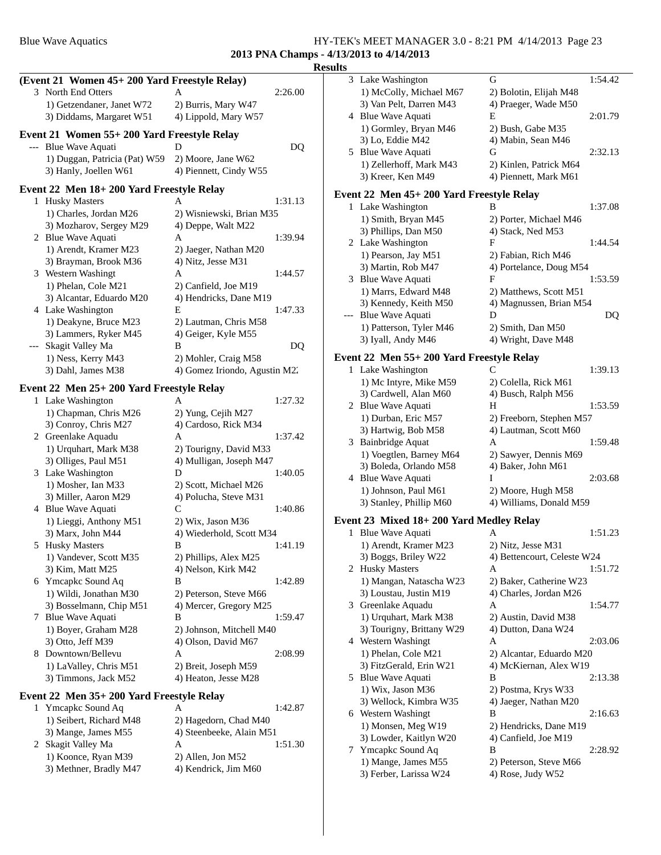#### Blue Wave Aquatics **HY-TEK's MEET MANAGER 3.0 - 8:21 PM 4/14/2013** Page 23 **2013 PNA Champs - 4/13/2013 to 4/14/2013**

## **Results**

|    | (Event 21 Women 45+ 200 Yard Freestyle Relay) |                               |         |  |
|----|-----------------------------------------------|-------------------------------|---------|--|
|    | 3 North End Otters                            | A                             | 2:26.00 |  |
|    | 1) Getzendaner, Janet W72                     | 2) Burris, Mary W47           |         |  |
|    | 3) Diddams, Margaret W51                      | 4) Lippold, Mary W57          |         |  |
|    | Event 21 Women 55+ 200 Yard Freestyle Relay   |                               |         |  |
|    | --- Blue Wave Aquati                          | D                             | DO      |  |
|    | 1) Duggan, Patricia (Pat) W59                 | 2) Moore, Jane W62            |         |  |
|    | 3) Hanly, Joellen W61                         | 4) Piennett, Cindy W55        |         |  |
|    | Event 22 Men 18+ 200 Yard Freestyle Relay     |                               |         |  |
| 1  | <b>Husky Masters</b>                          | А                             | 1:31.13 |  |
|    | 1) Charles, Jordan M26                        | 2) Wisniewski, Brian M35      |         |  |
|    | 3) Mozharov, Sergey M29                       | 4) Deppe, Walt M22            |         |  |
|    | 2 Blue Wave Aquati                            | A                             | 1:39.94 |  |
|    | 1) Arendt, Kramer M23                         | 2) Jaeger, Nathan M20         |         |  |
|    | 3) Brayman, Brook M36                         | 4) Nitz, Jesse M31            |         |  |
|    | 3 Western Washingt                            | A                             | 1:44.57 |  |
|    | 1) Phelan, Cole M21                           | 2) Canfield, Joe M19          |         |  |
|    | 3) Alcantar, Eduardo M20                      | 4) Hendricks, Dane M19        |         |  |
|    | 4 Lake Washington                             | E                             | 1:47.33 |  |
|    | 1) Deakyne, Bruce M23                         | 2) Lautman, Chris M58         |         |  |
|    | 3) Lammers, Ryker M45                         | 4) Geiger, Kyle M55           |         |  |
|    | --- Skagit Valley Ma                          | B                             | DQ      |  |
|    | 1) Ness, Kerry M43                            | 2) Mohler, Craig M58          |         |  |
|    | 3) Dahl, James M38                            | 4) Gomez Iriondo, Agustin M2. |         |  |
|    | Event 22 Men 25+ 200 Yard Freestyle Relay     |                               |         |  |
|    | 1 Lake Washington                             | A                             | 1:27.32 |  |
|    | 1) Chapman, Chris M26                         | 2) Yung, Cejih M27            |         |  |
|    | 3) Conroy, Chris M27                          | 4) Cardoso, Rick M34          |         |  |
|    | 2 Greenlake Aquadu                            | A                             | 1:37.42 |  |
|    | 1) Urquhart, Mark M38                         | 2) Tourigny, David M33        |         |  |
|    | 3) Olliges, Paul M51                          | 4) Mulligan, Joseph M47       |         |  |
|    | 3 Lake Washington                             | D                             | 1:40.05 |  |
|    | 1) Mosher, Ian M33                            | 2) Scott, Michael M26         |         |  |
|    | 3) Miller, Aaron M29                          | 4) Polucha, Steve M31         |         |  |
|    | 4 Blue Wave Aquati                            | C                             | 1:40.86 |  |
|    | 1) Lieggi, Anthony M51                        | 2) Wix, Jason M36             |         |  |
|    | 3) Marx, John M44                             | 4) Wiederhold, Scott M34      |         |  |
|    | 5 Husky Masters                               | В                             | 1:41.19 |  |
|    | 1) Vandever, Scott M35                        | 2) Phillips, Alex M25         |         |  |
|    | 3) Kim, Matt M25                              | 4) Nelson, Kirk M42           |         |  |
|    | 6 Ymcapkc Sound Aq                            | В                             | 1:42.89 |  |
|    | 1) Wildi, Jonathan M30                        | 2) Peterson, Steve M66        |         |  |
|    | 3) Bosselmann, Chip M51                       | 4) Mercer, Gregory M25        |         |  |
| 7  | Blue Wave Aquati                              | B                             | 1:59.47 |  |
|    | 1) Boyer, Graham M28                          | 2) Johnson, Mitchell M40      |         |  |
|    | 3) Otto, Jeff M39                             | 4) Olson, David M67           |         |  |
| 8. | Downtown/Bellevu                              | A                             | 2:08.99 |  |
|    | 1) LaValley, Chris M51                        | 2) Breit, Joseph M59          |         |  |
|    | 3) Timmons, Jack M52                          | 4) Heaton, Jesse M28          |         |  |
|    | Event 22 Men 35+ 200 Yard Freestyle Relay     |                               |         |  |
| 1  | Ymcapkc Sound Aq                              | A                             | 1:42.87 |  |
|    | 1) Seibert, Richard M48                       | 2) Hagedorn, Chad M40         |         |  |
|    | 3) Mange, James M55                           | 4) Steenbeeke, Alain M51      |         |  |
|    | 2 Skagit Valley Ma                            | А                             | 1:51.30 |  |

1) Koonce, Ryan M39 2) Allen, Jon M52<br>3) Methner, Bradly M47 4) Kendrick, Jim M60

3) Methner, Bradly M47

| ᄖᄖ |                                           |                                               |         |
|----|-------------------------------------------|-----------------------------------------------|---------|
| 3  | Lake Washington                           | G                                             | 1:54.42 |
|    | 1) McColly, Michael M67                   | 2) Bolotin, Elijah M48                        |         |
|    | 3) Van Pelt, Darren M43                   | 4) Praeger, Wade M50                          |         |
| 4  | Blue Wave Aquati                          | E                                             | 2:01.79 |
|    | 1) Gormley, Bryan M46                     | 2) Bush, Gabe M35                             |         |
|    | 3) Lo, Eddie M42                          | 4) Mabin, Sean M46                            |         |
|    | 5 Blue Wave Aquati                        | G                                             | 2:32.13 |
|    | 1) Zellerhoff, Mark M43                   | 2) Kinlen, Patrick M64                        |         |
|    | 3) Kreer, Ken M49                         | 4) Piennett, Mark M61                         |         |
|    |                                           |                                               |         |
|    | Event 22 Men 45+ 200 Yard Freestyle Relay |                                               |         |
|    | 1 Lake Washington                         | B                                             | 1:37.08 |
|    | 1) Smith, Bryan M45                       | 2) Porter, Michael M46                        |         |
|    | 3) Phillips, Dan M50                      | 4) Stack, Ned M53                             |         |
|    | 2 Lake Washington                         | F                                             | 1:44.54 |
|    | 1) Pearson, Jay M51                       | 2) Fabian, Rich M46                           |         |
|    | 3) Martin, Rob M47                        | 4) Portelance, Doug M54                       |         |
|    | 3 Blue Wave Aquati                        | F                                             | 1:53.59 |
|    | 1) Marrs, Edward M48                      | 2) Matthews, Scott M51                        |         |
|    | 3) Kennedy, Keith M50                     | 4) Magnussen, Brian M54                       |         |
|    | <b>Blue Wave Aquati</b>                   | D                                             | DQ      |
|    | 1) Patterson, Tyler M46                   | 2) Smith, Dan M50                             |         |
|    | 3) Iyall, Andy M46                        | 4) Wright, Dave M48                           |         |
|    |                                           |                                               |         |
|    | Event 22 Men 55+ 200 Yard Freestyle Relay |                                               |         |
| 1  | Lake Washington                           | С                                             | 1:39.13 |
|    | 1) Mc Intyre, Mike M59                    | 2) Colella, Rick M61                          |         |
|    | 3) Cardwell, Alan M60                     | 4) Busch, Ralph M56                           |         |
|    | 2 Blue Wave Aquati                        | Н                                             | 1:53.59 |
|    | 1) Durban, Eric M57                       | 2) Freeborn, Stephen M57                      |         |
|    | 3) Hartwig, Bob M58                       | 4) Lautman, Scott M60                         |         |
| 3  | <b>Bainbridge Aquat</b>                   | A                                             | 1:59.48 |
|    | 1) Voegtlen, Barney M64                   | 2) Sawyer, Dennis M69                         |         |
|    | 3) Boleda, Orlando M58                    | 4) Baker, John M61                            |         |
| 4  | <b>Blue Wave Aquati</b>                   | L                                             | 2:03.68 |
|    | 1) Johnson, Paul M61                      | 2) Moore, Hugh M58<br>4) Williams, Donald M59 |         |
|    | 3) Stanley, Phillip M60                   |                                               |         |
|    | Event 23 Mixed 18+ 200 Yard Medley Relay  |                                               |         |
| 1  | <b>Blue Wave Aquati</b>                   | А                                             | 1:51.23 |
|    | 1) Arendt, Kramer M23                     | 2) Nitz, Jesse M31                            |         |
|    | 3) Boggs, Briley W22                      | 4) Bettencourt, Celeste W24                   |         |
|    | 2 Husky Masters                           | Α                                             | 1:51.72 |
|    | 1) Mangan, Natascha W23                   | 2) Baker, Catherine W23                       |         |
|    | 3) Loustau, Justin M19                    | 4) Charles, Jordan M26                        |         |
| 3  | Greenlake Aquadu                          | A                                             | 1:54.77 |
|    | 1) Urquhart, Mark M38                     | 2) Austin, David M38                          |         |
|    | 3) Tourigny, Brittany W29                 | 4) Dutton, Dana W24                           |         |
| 4  | Western Washingt                          | A                                             | 2:03.06 |
|    | 1) Phelan, Cole M21                       | 2) Alcantar, Eduardo M20                      |         |
|    | 3) FitzGerald, Erin W21                   | 4) McKiernan, Alex W19                        |         |
| 5  | Blue Wave Aquati                          | B                                             | 2:13.38 |
|    | 1) Wix, Jason M36                         | 2) Postma, Krys W33                           |         |
|    | 3) Wellock, Kimbra W35                    | 4) Jaeger, Nathan M20                         |         |
| 6  | Western Washingt                          | В                                             | 2:16.63 |
|    | 1) Monsen, Meg W19                        | 2) Hendricks, Dane M19                        |         |
|    | 3) Lowder, Kaitlyn W20                    | 4) Canfield, Joe M19                          |         |
| 7  | Ymcapkc Sound Aq                          | В                                             | 2:28.92 |
|    | 1) Mange, James M55                       | 2) Peterson, Steve M66                        |         |
|    | 3) Ferber, Larissa W24                    | 4) Rose, Judy W52                             |         |
|    |                                           |                                               |         |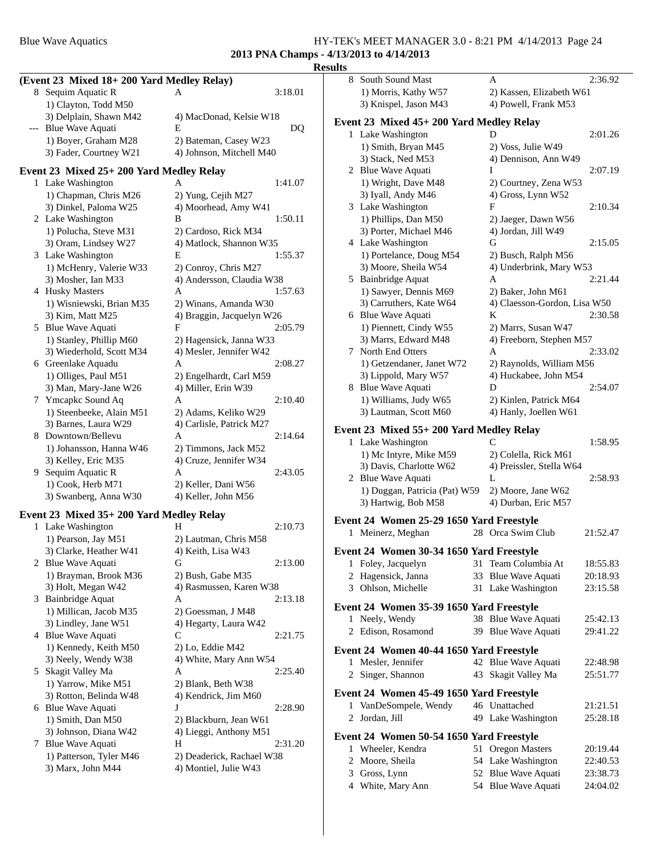## Blue Wave Aquatics HY-TEK's MEET MANAGER 3.0 - 8:21 PM 4/14/2013 Page 24 **2013 PNA Champs - 4/13/2013 to 4/14/2013**

|   |                                               |                              | R)             |
|---|-----------------------------------------------|------------------------------|----------------|
|   | (Event 23 Mixed 18+200 Yard Medley Relay)     |                              |                |
|   | 8 Sequim Aquatic R                            | А                            | 3:18.01        |
|   | 1) Clayton, Todd M50                          |                              |                |
|   | 3) Delplain, Shawn M42                        | 4) MacDonad, Kelsie W18      |                |
|   | Blue Wave Aquati                              | Е                            | D <sub>O</sub> |
|   | 1) Boyer, Graham M28                          | 2) Bateman, Casey W23        |                |
|   | 3) Fader, Courtney W21                        | 4) Johnson, Mitchell M40     |                |
|   | Event 23 Mixed 25+ 200 Yard Medley Relay      |                              |                |
| 1 | Lake Washington                               | А                            | 1:41.07        |
|   | 1) Chapman, Chris M26                         | 2) Yung, Cejih M27           |                |
|   | 3) Dinkel, Paloma W25                         | 4) Moorhead, Amy W41         |                |
|   | 2 Lake Washington                             | В                            | 1:50.11        |
|   | 1) Polucha, Steve M31                         | 2) Cardoso, Rick M34         |                |
|   | 3) Oram, Lindsey W27                          | 4) Matlock, Shannon W35      |                |
|   | 3 Lake Washington                             | E                            | 1:55.37        |
|   | 1) McHenry, Valerie W33                       | 2) Conroy, Chris M27         |                |
|   | 3) Mosher, Ian M33                            | 4) Andersson, Claudia W38    |                |
|   | 4 Husky Masters                               | A                            | 1:57.63        |
|   | 1) Wisniewski, Brian M35                      | 2) Winans, Amanda W30        |                |
|   | 3) Kim, Matt M25                              | 4) Braggin, Jacquelyn W26    |                |
|   | 5 Blue Wave Aquati                            | F                            | 2:05.79        |
|   | 1) Stanley, Phillip M60                       | 2) Hagensick, Janna W33      |                |
|   | 3) Wiederhold, Scott M34                      | 4) Mesler, Jennifer W42      |                |
|   | 6 Greenlake Aquadu                            | A<br>2) Engelhardt, Carl M59 | 2:08.27        |
|   | 1) Olliges, Paul M51<br>3) Man, Mary-Jane W26 | 4) Miller, Erin W39          |                |
|   | 7 Ymcapkc Sound Aq                            | A                            | 2:10.40        |
|   | 1) Steenbeeke, Alain M51                      | 2) Adams, Keliko W29         |                |
|   | 3) Barnes, Laura W29                          | 4) Carlisle, Patrick M27     |                |
| 8 | Downtown/Bellevu                              | A                            | 2:14.64        |
|   | 1) Johansson, Hanna W46                       | 2) Timmons, Jack M52         |                |
|   | 3) Kelley, Eric M35                           | 4) Cruze, Jennifer W34       |                |
|   | 9 Sequim Aquatic R                            | A                            | 2:43.05        |
|   | 1) Cook, Herb M71                             | 2) Keller, Dani W56          |                |
|   | 3) Swanberg, Anna W30                         | 4) Keller, John M56          |                |
|   | Event 23 Mixed 35+ 200 Yard Medley Relay      |                              |                |
| 1 | Lake Washington                               | Н                            | 2:10.73        |
|   | 1) Pearson, Jay M51                           | 2) Lautman, Chris M58        |                |
|   | 3) Clarke, Heather W41                        | 4) Keith, Lisa W43           |                |
|   | 2 Blue Wave Aquati                            | G                            | 2:13.00        |
|   | 1) Brayman, Brook M36                         | 2) Bush, Gabe M35            |                |
|   | 3) Holt, Megan W42                            | 4) Rasmussen, Karen W38      |                |
|   | 3 Bainbridge Aquat                            | A                            | 2:13.18        |
|   | 1) Millican, Jacob M35                        | 2) Goessman, J M48           |                |
|   | 3) Lindley, Jane W51                          | 4) Hegarty, Laura W42        |                |
|   | 4 Blue Wave Aquati                            | C                            | 2:21.75        |
|   | 1) Kennedy, Keith M50                         | 2) Lo, Eddie M42             |                |
|   | 3) Neely, Wendy W38                           | 4) White, Mary Ann W54       |                |
|   | 5 Skagit Valley Ma                            | A                            | 2:25.40        |
|   | 1) Yarrow, Mike M51                           | 2) Blank, Beth W38           |                |
|   | 3) Rotton, Belinda W48                        | 4) Kendrick, Jim M60         |                |
|   | 6 Blue Wave Aquati                            | J                            | 2:28.90        |
|   | 1) Smith, Dan M50                             | 2) Blackburn, Jean W61       |                |
|   | 3) Johnson, Diana W42                         | 4) Lieggi, Anthony M51       |                |
| 7 | Blue Wave Aquati                              | Н                            | 2:31.20        |
|   | 1) Patterson, Tyler M46                       | 2) Deaderick, Rachael W38    |                |
|   | 3) Marx, John M44                             | 4) Montiel, Julie W43        |                |
|   |                                               |                              |                |

| 8 | South Sound Mast                                  |    | A                                         | 2:36.92  |
|---|---------------------------------------------------|----|-------------------------------------------|----------|
|   | 1) Morris, Kathy W57                              |    | 2) Kassen, Elizabeth W61                  |          |
|   | 3) Knispel, Jason M43                             |    | 4) Powell, Frank M53                      |          |
|   | Event 23 Mixed 45+ 200 Yard Medley Relay          |    |                                           |          |
|   | 1 Lake Washington                                 |    | D                                         | 2:01.26  |
|   | 1) Smith, Bryan M45                               |    | 2) Voss, Julie W49                        |          |
|   | 3) Stack, Ned M53                                 |    | 4) Dennison, Ann W49                      |          |
|   | 2 Blue Wave Aquati                                |    | I                                         | 2:07.19  |
|   | 1) Wright, Dave M48                               |    | 2) Courtney, Zena W53                     |          |
|   | 3) Iyall, Andy M46                                |    | 4) Gross, Lynn W52                        |          |
|   | 3 Lake Washington                                 |    | F                                         | 2:10.34  |
|   | 1) Phillips, Dan M50                              |    | 2) Jaeger, Dawn W56                       |          |
|   | 3) Porter, Michael M46                            |    | 4) Jordan, Jill W49                       |          |
|   | 4 Lake Washington                                 |    | G                                         | 2:15.05  |
|   | 1) Portelance, Doug M54                           |    | 2) Busch, Ralph M56                       |          |
|   | 3) Moore, Sheila W54                              |    | 4) Underbrink, Mary W53                   |          |
|   | 5 Bainbridge Aquat                                |    | A                                         | 2:21.44  |
|   | 1) Sawyer, Dennis M69                             |    | 2) Baker, John M61                        |          |
|   | 3) Carruthers, Kate W64                           |    | 4) Claesson-Gordon, Lisa W50              |          |
|   | 6 Blue Wave Aquati                                |    | K                                         | 2:30.58  |
|   | 1) Piennett, Cindy W55                            |    | 2) Marrs, Susan W47                       |          |
|   | 3) Marrs, Edward M48                              |    | 4) Freeborn, Stephen M57                  |          |
| 7 | North End Otters                                  |    | A                                         | 2:33.02  |
|   | 1) Getzendaner, Janet W72                         |    | 2) Raynolds, William M56                  |          |
|   | 3) Lippold, Mary W57                              |    | 4) Huckabee, John M54                     |          |
|   | 8 Blue Wave Aquati                                |    | D                                         | 2:54.07  |
|   | 1) Williams, Judy W65                             |    | 2) Kinlen, Patrick M64                    |          |
|   | 3) Lautman, Scott M60                             |    | 4) Hanly, Joellen W61                     |          |
|   |                                                   |    |                                           |          |
|   | Event 23 Mixed 55+ 200 Yard Medley Relay          |    | C                                         |          |
|   | 1 Lake Washington                                 |    |                                           | 1:58.95  |
|   | 1) Mc Intyre, Mike M59<br>3) Davis, Charlotte W62 |    | 2) Colella, Rick M61                      |          |
|   | 2 Blue Wave Aquati                                |    | 4) Preissler, Stella W64<br>L             | 2:58.93  |
|   | 1) Duggan, Patricia (Pat) W59                     |    |                                           |          |
|   | 3) Hartwig, Bob M58                               |    | 2) Moore, Jane W62<br>4) Durban, Eric M57 |          |
|   |                                                   |    |                                           |          |
|   | <b>Event 24 Women 25-29 1650 Yard Freestyle</b>   |    |                                           |          |
| 1 | Meinerz, Meghan                                   |    | 28 Orca Swim Club                         | 21:52.47 |
|   | Event 24 Women 30-34 1650 Yard Freestyle          |    |                                           |          |
| 1 | Foley, Jacquelyn                                  | 31 | Team Columbia At                          | 18:55.83 |
| 2 | Hagensick, Janna                                  | 33 | Blue Wave Aquati                          | 20:18.93 |
| 3 | Ohlson, Michelle                                  | 31 | Lake Washington                           | 23:15.58 |
|   |                                                   |    |                                           |          |
|   | Event 24 Women 35-39 1650 Yard Freestyle          |    |                                           |          |
| 1 | Neely, Wendy                                      |    | 38 Blue Wave Aquati                       | 25:42.13 |
| 2 | Edison, Rosamond                                  | 39 | <b>Blue Wave Aquati</b>                   | 29:41.22 |
|   | <b>Event 24 Women 40-44 1650 Yard Freestyle</b>   |    |                                           |          |
| 1 | Mesler, Jennifer                                  |    | 42 Blue Wave Aquati                       | 22:48.98 |
| 2 | Singer, Shannon                                   |    | 43 Skagit Valley Ma                       | 25:51.77 |
|   |                                                   |    |                                           |          |
|   | Event 24 Women 45-49 1650 Yard Freestyle          |    |                                           |          |
| 1 | VanDeSompele, Wendy                               |    | 46 Unattached                             | 21:21.51 |
| 2 | Jordan, Jill                                      |    | 49 Lake Washington                        | 25:28.18 |
|   | Event 24 Women 50-54 1650 Yard Freestyle          |    |                                           |          |
| 1 | Wheeler, Kendra                                   | 51 | <b>Oregon Masters</b>                     | 20:19.44 |
| 2 | Moore, Sheila                                     | 54 | Lake Washington                           | 22:40.53 |
| 3 | Gross, Lynn                                       | 52 | Blue Wave Aquati                          | 23:38.73 |
|   | 4 White, Mary Ann                                 |    | 54 Blue Wave Aquati                       | 24:04.02 |
|   |                                                   |    |                                           |          |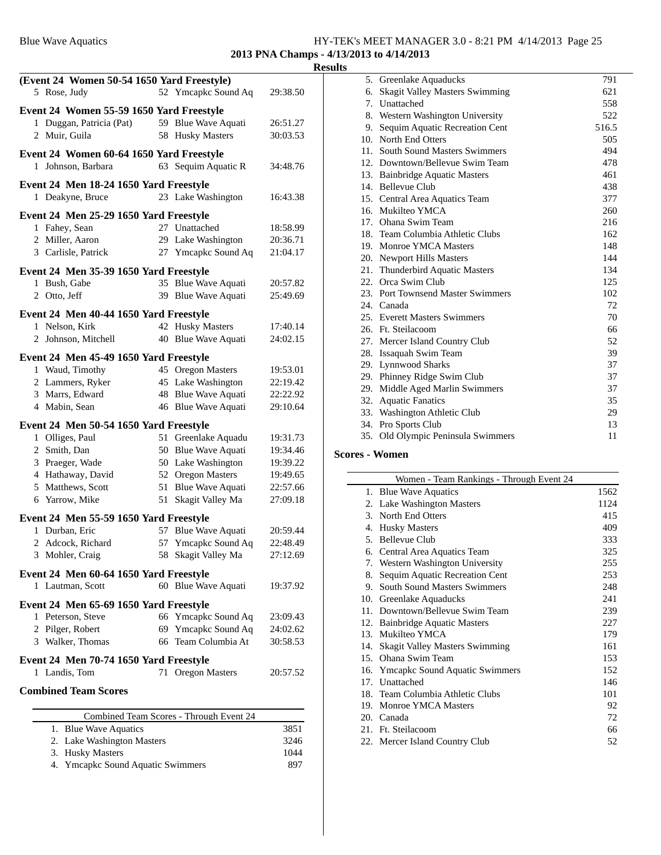#### Blue Wave Aquatics **HY-TEK's MEET MANAGER 3.0 - 8:21 PM 4/14/2013** Page 25 **2013 PNA Champs - 4/13/2013 to 4/14/2013**

#### **Results**

| (Event 24 Women 50-54 1650 Yard Freestyle)            |    |                                         |             |
|-------------------------------------------------------|----|-----------------------------------------|-------------|
| 5 Rose, Judy                                          |    | 52 Ymcapkc Sound Aq                     | 29:38.50    |
| Event 24 Women 55-59 1650 Yard Freestyle              |    |                                         |             |
| 1 Duggan, Patricia (Pat)                              |    | 59 Blue Wave Aquati                     | 26:51.27    |
|                                                       |    |                                         |             |
| 2 Muir, Guila                                         |    | 58 Husky Masters                        | 30:03.53    |
| Event 24 Women 60-64 1650 Yard Freestyle              |    |                                         |             |
| 1 Johnson, Barbara                                    |    | 63 Sequim Aquatic R                     | 34:48.76    |
|                                                       |    |                                         |             |
| Event 24 Men 18-24 1650 Yard Freestyle                |    |                                         |             |
| 1 Deakyne, Bruce                                      |    | 23 Lake Washington                      | 16:43.38    |
| Event 24 Men 25-29 1650 Yard Freestyle                |    |                                         |             |
| 1 Fahey, Sean                                         |    | 27 Unattached                           | 18:58.99    |
| 2 Miller, Aaron                                       |    | 29 Lake Washington                      | 20:36.71    |
| 3 Carlisle, Patrick                                   |    | 27 Ymcapkc Sound Aq                     | 21:04.17    |
|                                                       |    |                                         |             |
| Event 24 Men 35-39 1650 Yard Freestyle                |    |                                         |             |
| 1 Bush, Gabe                                          |    | 35 Blue Wave Aquati                     | 20:57.82    |
| 2 Otto, Jeff                                          |    | 39 Blue Wave Aquati                     | 25:49.69    |
| Event 24 Men 40-44 1650 Yard Freestyle                |    |                                         |             |
| 1 Nelson, Kirk                                        |    | 42 Husky Masters                        | 17:40.14    |
| 2 Johnson, Mitchell                                   |    | 40 Blue Wave Aquati                     | 24:02.15    |
|                                                       |    |                                         |             |
| Event 24 Men 45-49 1650 Yard Freestyle                |    |                                         |             |
| 1 Waud, Timothy                                       |    | 45 Oregon Masters                       | 19:53.01    |
| 2 Lammers, Ryker                                      |    | 45 Lake Washington                      | 22:19.42    |
| 3 Marrs, Edward                                       |    | 48 Blue Wave Aquati                     | 22:22.92    |
| 4 Mabin, Sean                                         |    | 46 Blue Wave Aquati                     | 29:10.64    |
|                                                       |    |                                         |             |
| Event 24 Men 50-54 1650 Yard Freestyle                |    |                                         |             |
| 1 Olliges, Paul                                       | 51 | Greenlake Aquadu                        | 19:31.73    |
| 2 Smith, Dan                                          |    | 50 Blue Wave Aquati                     | 19:34.46    |
| 3 Praeger, Wade                                       |    | 50 Lake Washington                      | 19:39.22    |
| 4 Hathaway, David                                     |    | 52 Oregon Masters                       | 19:49.65    |
| 5 Matthews, Scott                                     |    | 51 Blue Wave Aquati                     | 22:57.66    |
| 6 Yarrow, Mike                                        | 51 | Skagit Valley Ma                        | 27:09.18    |
| Event 24 Men 55-59 1650 Yard Freestyle                |    |                                         |             |
| 1 Durban, Eric                                        |    | 57 Blue Wave Aquati                     | 20:59.44    |
| 2 Adcock, Richard                                     |    | 57 Ymcapkc Sound Aq                     | 22:48.49    |
| 3 Mohler, Craig                                       |    | 58 Skagit Valley Ma                     | 27:12.69    |
|                                                       |    |                                         |             |
| Event 24 Men 60-64 1650 Yard Freestyle                |    |                                         |             |
| Lautman, Scott<br>1                                   |    | 60 Blue Wave Aquati                     | 19:37.92    |
| Event 24 Men 65-69 1650 Yard Freestyle                |    |                                         |             |
| 1 Peterson, Steve                                     |    | 66 Ymcapkc Sound Aq                     | 23:09.43    |
| 2 Pilger, Robert                                      |    | 69 Ymcapkc Sound Aq                     | 24:02.62    |
| 3 Walker, Thomas                                      |    | 66 Team Columbia At                     | 30:58.53    |
|                                                       |    |                                         |             |
| Event 24 Men 70-74 1650 Yard Freestyle                |    |                                         |             |
| 1 Landis, Tom                                         |    | 71 Oregon Masters                       | 20:57.52    |
| <b>Combined Team Scores</b>                           |    |                                         |             |
|                                                       |    |                                         |             |
|                                                       |    |                                         |             |
|                                                       |    | Combined Team Scores - Through Event 24 | 3851        |
| 1. Blue Wave Aquatics<br>2. Lake Washington Masters   |    |                                         | 3246        |
|                                                       |    |                                         |             |
| 3. Husky Masters<br>4. Ymcapke Sound Aquatic Swimmers |    |                                         | 1044<br>897 |
|                                                       |    |                                         |             |

| ᄖ                     |                                       |       |
|-----------------------|---------------------------------------|-------|
|                       | 5. Greenlake Aquaducks                | 791   |
| 6.                    | <b>Skagit Valley Masters Swimming</b> | 621   |
|                       | 7. Unattached                         | 558   |
|                       | 8. Western Washington University      | 522   |
|                       | 9. Sequim Aquatic Recreation Cent     | 516.5 |
|                       | 10. North End Otters                  | 505   |
|                       | 11. South Sound Masters Swimmers      | 494   |
|                       | 12. Downtown/Bellevue Swim Team       | 478   |
|                       | 13. Bainbridge Aquatic Masters        | 461   |
|                       | 14. Bellevue Club                     | 438   |
|                       | 15. Central Area Aquatics Team        | 377   |
|                       | 16. Mukilteo YMCA                     | 260   |
|                       | 17. Ohana Swim Team                   | 216   |
|                       | 18. Team Columbia Athletic Clubs      | 162   |
|                       | 19. Monroe YMCA Masters               | 148   |
|                       | 20. Newport Hills Masters             | 144   |
|                       | 21. Thunderbird Aquatic Masters       | 134   |
|                       | 22. Orca Swim Club                    | 125   |
|                       | 23. Port Townsend Master Swimmers     | 102   |
|                       | 24. Canada                            | 72    |
|                       | 25. Everett Masters Swimmers          | 70    |
|                       | 26. Ft. Steilacoom                    | 66    |
|                       | 27. Mercer Island Country Club        | 52    |
|                       | 28. Issaquah Swim Team                | 39    |
|                       | 29. Lynnwood Sharks                   | 37    |
|                       | 29. Phinney Ridge Swim Club           | 37    |
|                       | 29. Middle Aged Marlin Swimmers       | 37    |
|                       | 32. Aquatic Fanatics                  | 35    |
|                       | 33. Washington Athletic Club          | 29    |
|                       | 34. Pro Sports Club                   | 13    |
|                       | 35. Old Olympic Peninsula Swimmers    | 11    |
| <b>Scores - Women</b> |                                       |       |

#### Women - Team Rankings - Through Event 24 1. Blue Wave Aquatics 1562 2. Lake Washington Masters 1124 3. North End Otters 415 4. Husky Masters 409 5. Bellevue Club 333 6. Central Area Aquatics Team 325 7. Western Washington University 255 8. Sequim Aquatic Recreation Cent 253 9. South Sound Masters Swimmers 248 10. Greenlake Aquaducks 241 11. Downtown/Bellevue Swim Team 239 12. Bainbridge Aquatic Masters 227 13. Mukilteo YMCA 179 14. Skagit Valley Masters Swimming 161 15. Ohana Swim Team 153 16. Ymcapkc Sound Aquatic Swimmers 152 17. Unattached 146 18. Team Columbia Athletic Clubs 101 19. Monroe YMCA Masters 92 20. Canada 72 21. Ft. Steilacoom 66 22. Mercer Island Country Club 52